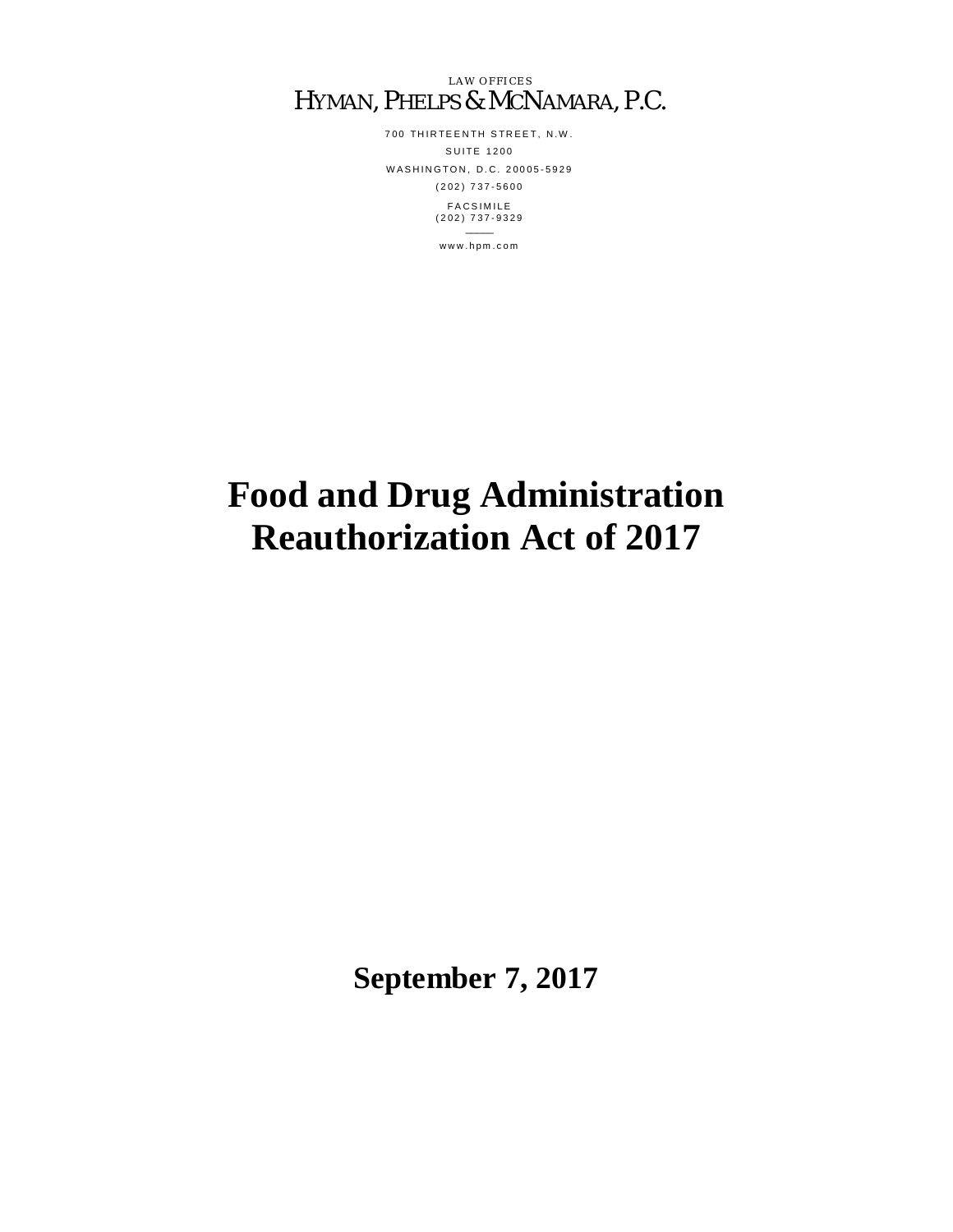LAW OFFICES HYMAN, PHELPS & MCNAMARA, P.C.

> 700 THIRTEENTH STREET, N.W. S U I T E 1200 WASHINGTON, D.C. 20005-5929 ( 2 0 2 ) 7 3 7 - 5 6 0 0 **FACSIMILE**  $(202)$  737-9329  $\overline{\phantom{a}}$

> > w w w . h p m . c o m

# **Food and Drug Administration Reauthorization Act of 2017**

**September 7, 2017**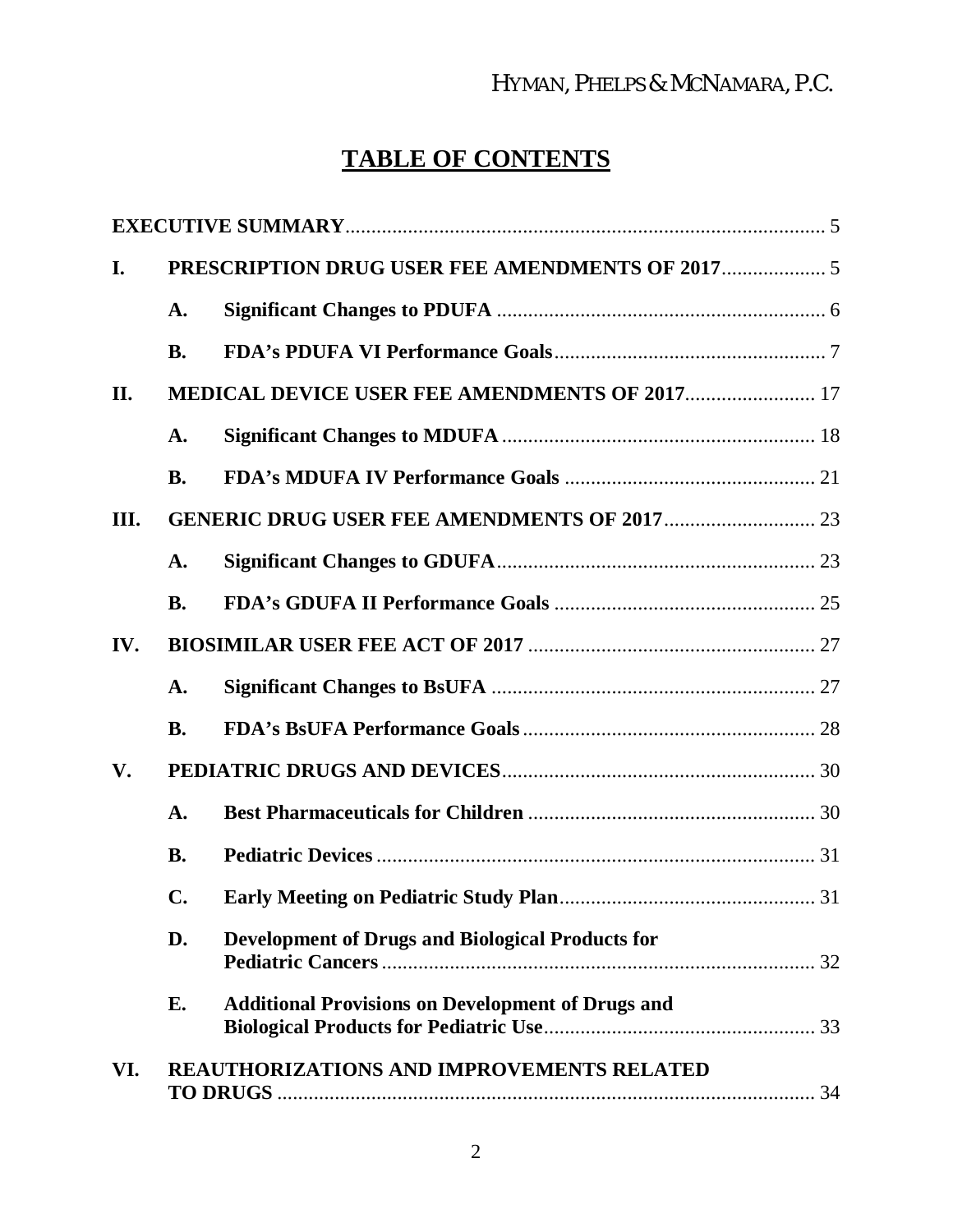# HYMAN, PHELPS & MCNAMARA, P.C.

# **TABLE OF CONTENTS**

| I.   |                                                      |                                                          |  |  |
|------|------------------------------------------------------|----------------------------------------------------------|--|--|
|      | A.                                                   |                                                          |  |  |
|      | <b>B.</b>                                            |                                                          |  |  |
| II.  | <b>MEDICAL DEVICE USER FEE AMENDMENTS OF 2017 17</b> |                                                          |  |  |
|      | A.                                                   |                                                          |  |  |
|      | <b>B.</b>                                            |                                                          |  |  |
| III. |                                                      |                                                          |  |  |
|      | A.                                                   |                                                          |  |  |
|      | <b>B.</b>                                            |                                                          |  |  |
| IV.  |                                                      |                                                          |  |  |
|      | $\mathbf{A}$ .                                       |                                                          |  |  |
|      | <b>B.</b>                                            |                                                          |  |  |
| V.   |                                                      |                                                          |  |  |
|      | $\mathbf{A}$ .                                       |                                                          |  |  |
|      | <b>B.</b>                                            |                                                          |  |  |
|      | C.                                                   |                                                          |  |  |
|      | D.                                                   | <b>Development of Drugs and Biological Products for</b>  |  |  |
|      | E.                                                   | <b>Additional Provisions on Development of Drugs and</b> |  |  |
| VI.  |                                                      | <b>REAUTHORIZATIONS AND IMPROVEMENTS RELATED</b>         |  |  |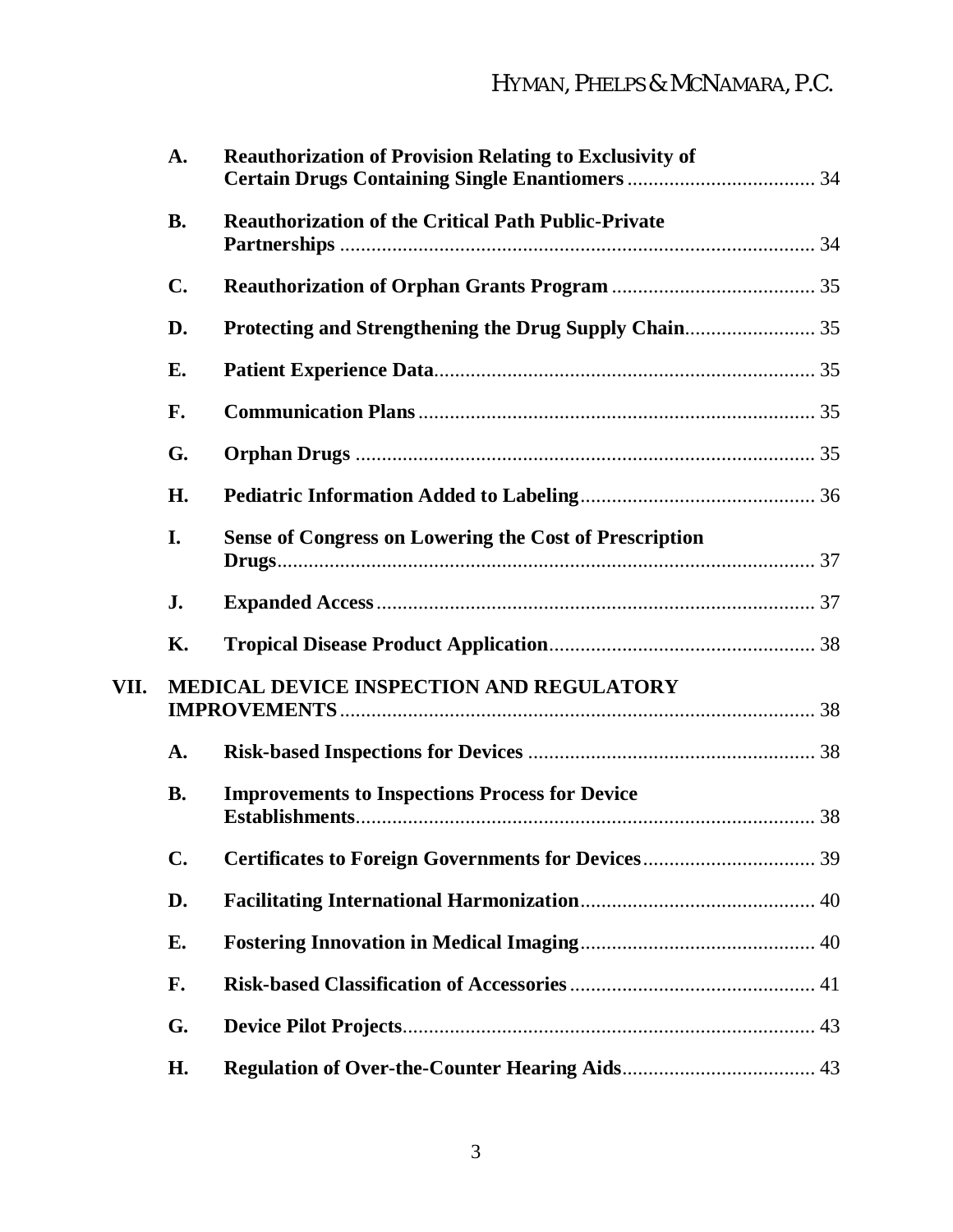|      | A.             | <b>Reauthorization of Provision Relating to Exclusivity of</b> |  |  |  |
|------|----------------|----------------------------------------------------------------|--|--|--|
|      | <b>B.</b>      | <b>Reauthorization of the Critical Path Public-Private</b>     |  |  |  |
|      | $\mathbf{C}$ . |                                                                |  |  |  |
|      | D.             | Protecting and Strengthening the Drug Supply Chain 35          |  |  |  |
|      | E.             |                                                                |  |  |  |
|      | F.             |                                                                |  |  |  |
|      | G.             |                                                                |  |  |  |
|      | H.             |                                                                |  |  |  |
|      | I.             | <b>Sense of Congress on Lowering the Cost of Prescription</b>  |  |  |  |
|      | J.             |                                                                |  |  |  |
|      | <b>K.</b>      |                                                                |  |  |  |
| VII. |                | <b>MEDICAL DEVICE INSPECTION AND REGULATORY</b>                |  |  |  |
|      | A.             |                                                                |  |  |  |
|      | <b>B.</b>      | <b>Improvements to Inspections Process for Device</b>          |  |  |  |
|      | $C_{\bullet}$  |                                                                |  |  |  |
|      | D.             |                                                                |  |  |  |
|      | E.             |                                                                |  |  |  |
|      | F.             |                                                                |  |  |  |
|      | G.             |                                                                |  |  |  |
|      | Н.             |                                                                |  |  |  |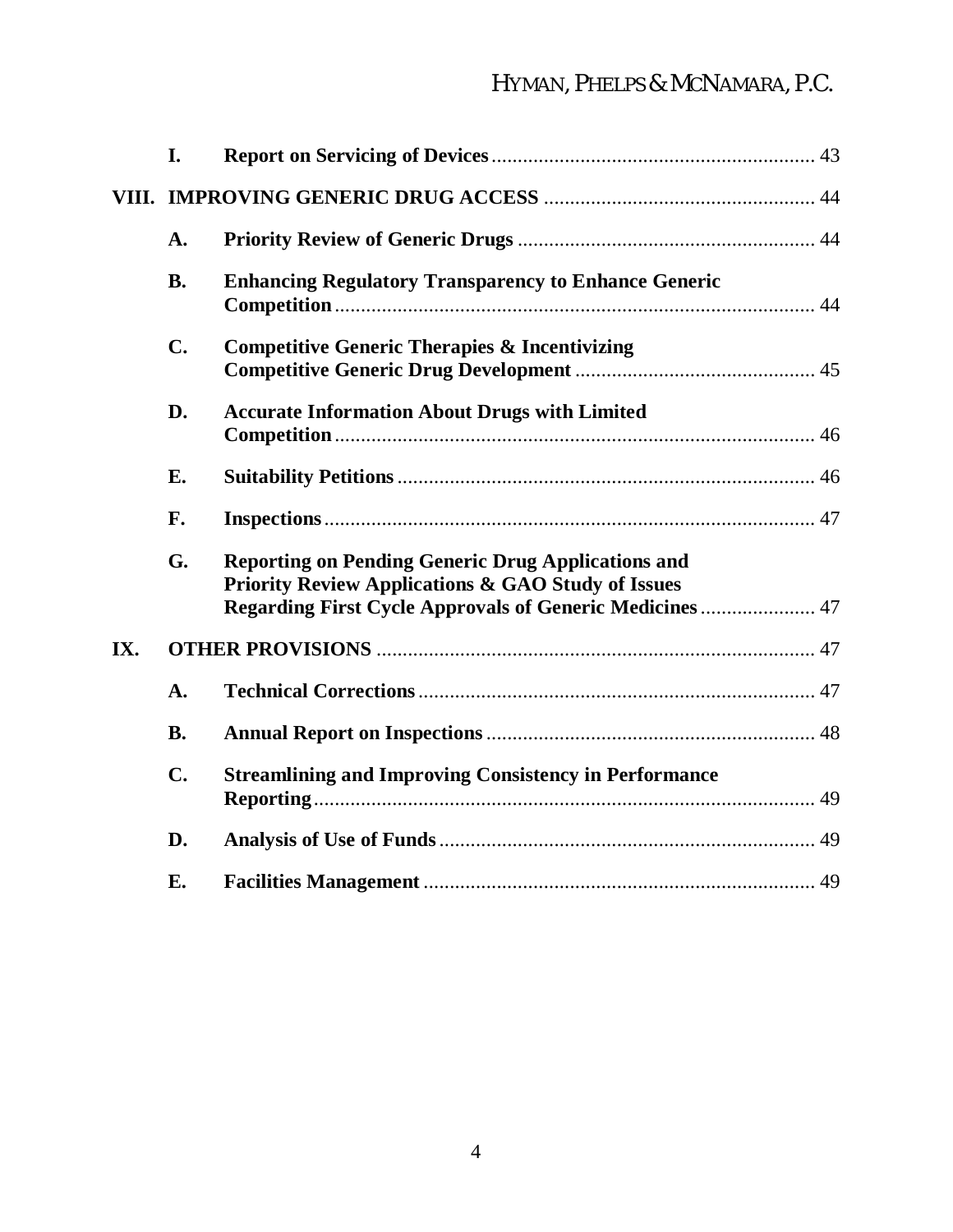# HYMAN, PHELPS & MCNAMARA, P.C.

|     | I.             |                                                                                                                                                                                               |  |  |  |  |
|-----|----------------|-----------------------------------------------------------------------------------------------------------------------------------------------------------------------------------------------|--|--|--|--|
|     |                |                                                                                                                                                                                               |  |  |  |  |
|     | A.             |                                                                                                                                                                                               |  |  |  |  |
|     | <b>B.</b>      | <b>Enhancing Regulatory Transparency to Enhance Generic</b>                                                                                                                                   |  |  |  |  |
|     | $\mathbf{C}$ . | <b>Competitive Generic Therapies &amp; Incentivizing</b>                                                                                                                                      |  |  |  |  |
|     | D.             | <b>Accurate Information About Drugs with Limited</b>                                                                                                                                          |  |  |  |  |
|     | <b>E.</b>      |                                                                                                                                                                                               |  |  |  |  |
|     | F.             |                                                                                                                                                                                               |  |  |  |  |
|     | G.             | <b>Reporting on Pending Generic Drug Applications and</b><br><b>Priority Review Applications &amp; GAO Study of Issues</b><br><b>Regarding First Cycle Approvals of Generic Medicines  47</b> |  |  |  |  |
| IX. |                |                                                                                                                                                                                               |  |  |  |  |
|     | A.             |                                                                                                                                                                                               |  |  |  |  |
|     | <b>B.</b>      |                                                                                                                                                                                               |  |  |  |  |
|     | $\mathbf{C}$ . | <b>Streamlining and Improving Consistency in Performance</b>                                                                                                                                  |  |  |  |  |
|     | D.             |                                                                                                                                                                                               |  |  |  |  |
|     | <b>E.</b>      |                                                                                                                                                                                               |  |  |  |  |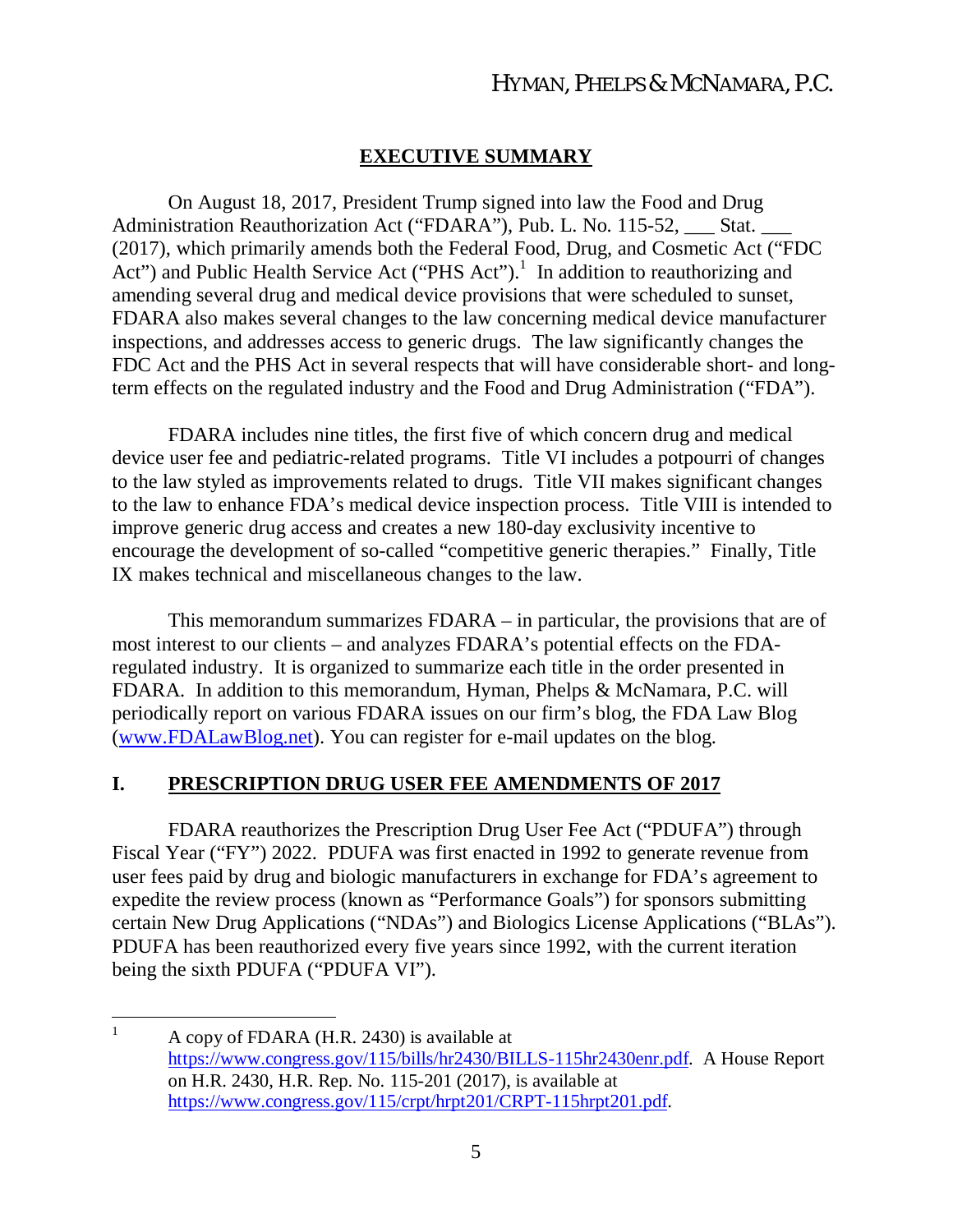#### **EXECUTIVE SUMMARY**

On August 18, 2017, President Trump signed into law the Food and Drug Administration Reauthorization Act ("FDARA"), Pub. L. No. 115-52, \_\_\_ Stat. (2017), which primarily amends both the Federal Food, Drug, and Cosmetic Act ("FDC Act") and Public Health Service Act ("PHS Act").<sup>1</sup> In addition to reauthorizing and amending several drug and medical device provisions that were scheduled to sunset, FDARA also makes several changes to the law concerning medical device manufacturer inspections, and addresses access to generic drugs. The law significantly changes the FDC Act and the PHS Act in several respects that will have considerable short- and longterm effects on the regulated industry and the Food and Drug Administration ("FDA").

FDARA includes nine titles, the first five of which concern drug and medical device user fee and pediatric-related programs. Title VI includes a potpourri of changes to the law styled as improvements related to drugs. Title VII makes significant changes to the law to enhance FDA's medical device inspection process. Title VIII is intended to improve generic drug access and creates a new 180-day exclusivity incentive to encourage the development of so-called "competitive generic therapies." Finally, Title IX makes technical and miscellaneous changes to the law.

This memorandum summarizes FDARA – in particular, the provisions that are of most interest to our clients – and analyzes FDARA's potential effects on the FDAregulated industry. It is organized to summarize each title in the order presented in FDARA. In addition to this memorandum, Hyman, Phelps & McNamara, P.C. will periodically report on various FDARA issues on our firm's blog, the FDA Law Blog (www.FDALawBlog.net). You can register for e-mail updates on the blog.

#### **I. PRESCRIPTION DRUG USER FEE AMENDMENTS OF 2017**

FDARA reauthorizes the Prescription Drug User Fee Act ("PDUFA") through Fiscal Year ("FY") 2022. PDUFA was first enacted in 1992 to generate revenue from user fees paid by drug and biologic manufacturers in exchange for FDA's agreement to expedite the review process (known as "Performance Goals") for sponsors submitting certain New Drug Applications ("NDAs") and Biologics License Applications ("BLAs"). PDUFA has been reauthorized every five years since 1992, with the current iteration being the sixth PDUFA ("PDUFA VI").

 $1$  A copy of FDARA (H.R. 2430) is available at https://www.congress.gov/115/bills/hr2430/BILLS-115hr2430enr.pdf. A House Report on H.R. 2430, H.R. Rep. No. 115-201 (2017), is available at https://www.congress.gov/115/crpt/hrpt201/CRPT-115hrpt201.pdf.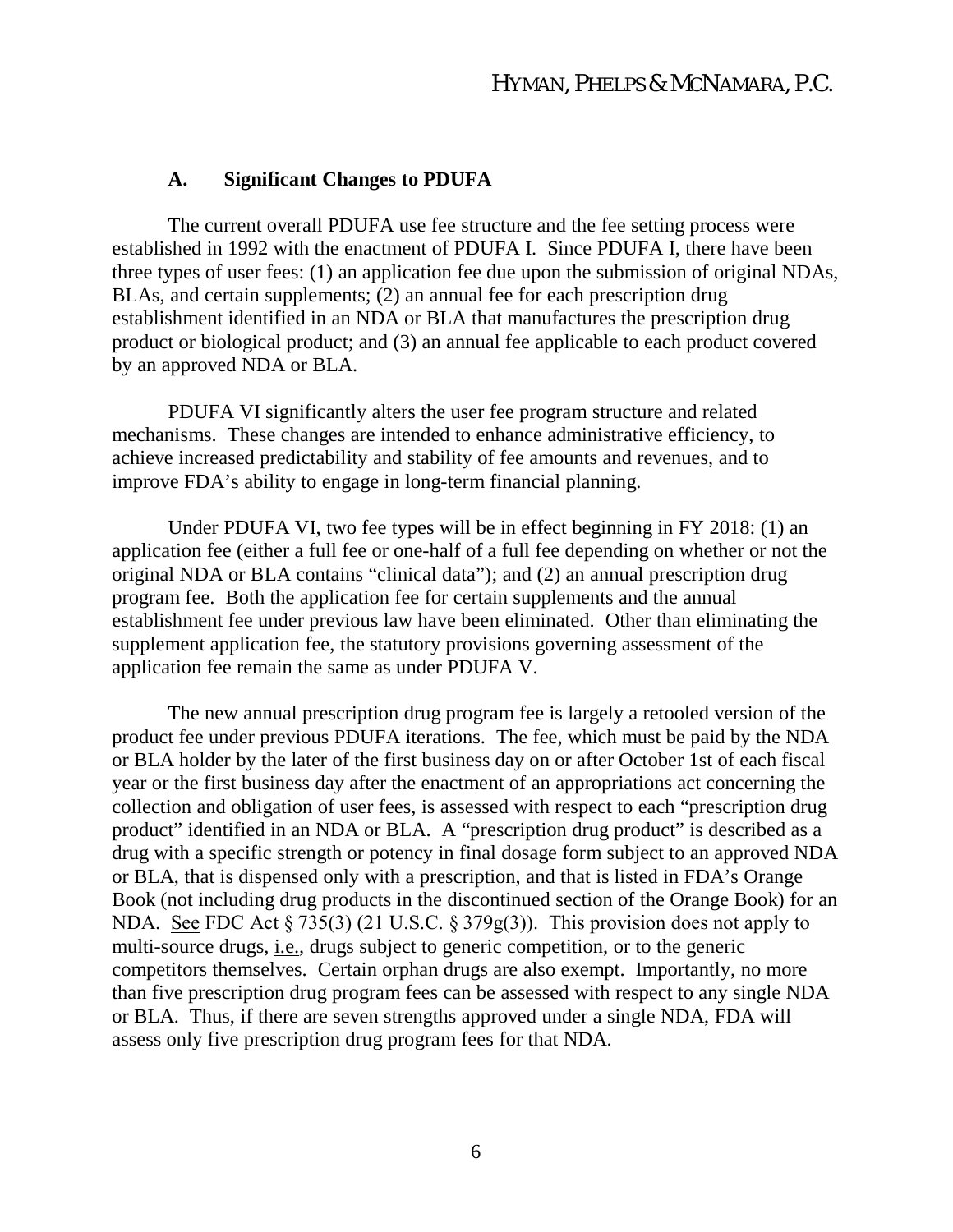#### **A. Significant Changes to PDUFA**

The current overall PDUFA use fee structure and the fee setting process were established in 1992 with the enactment of PDUFA I. Since PDUFA I, there have been three types of user fees: (1) an application fee due upon the submission of original NDAs, BLAs, and certain supplements; (2) an annual fee for each prescription drug establishment identified in an NDA or BLA that manufactures the prescription drug product or biological product; and (3) an annual fee applicable to each product covered by an approved NDA or BLA.

PDUFA VI significantly alters the user fee program structure and related mechanisms. These changes are intended to enhance administrative efficiency, to achieve increased predictability and stability of fee amounts and revenues, and to improve FDA's ability to engage in long-term financial planning.

Under PDUFA VI, two fee types will be in effect beginning in FY 2018: (1) an application fee (either a full fee or one-half of a full fee depending on whether or not the original NDA or BLA contains "clinical data"); and (2) an annual prescription drug program fee. Both the application fee for certain supplements and the annual establishment fee under previous law have been eliminated. Other than eliminating the supplement application fee, the statutory provisions governing assessment of the application fee remain the same as under PDUFA V.

The new annual prescription drug program fee is largely a retooled version of the product fee under previous PDUFA iterations. The fee, which must be paid by the NDA or BLA holder by the later of the first business day on or after October 1st of each fiscal year or the first business day after the enactment of an appropriations act concerning the collection and obligation of user fees, is assessed with respect to each "prescription drug product" identified in an NDA or BLA. A "prescription drug product" is described as a drug with a specific strength or potency in final dosage form subject to an approved NDA or BLA, that is dispensed only with a prescription, and that is listed in FDA's Orange Book (not including drug products in the discontinued section of the Orange Book) for an NDA. <u>See</u> FDC Act § 735(3) (21 U.S.C. § 379g(3)). This provision does not apply to multi-source drugs, i.e.*,* drugs subject to generic competition, or to the generic competitors themselves. Certain orphan drugs are also exempt. Importantly, no more than five prescription drug program fees can be assessed with respect to any single NDA or BLA. Thus, if there are seven strengths approved under a single NDA, FDA will assess only five prescription drug program fees for that NDA.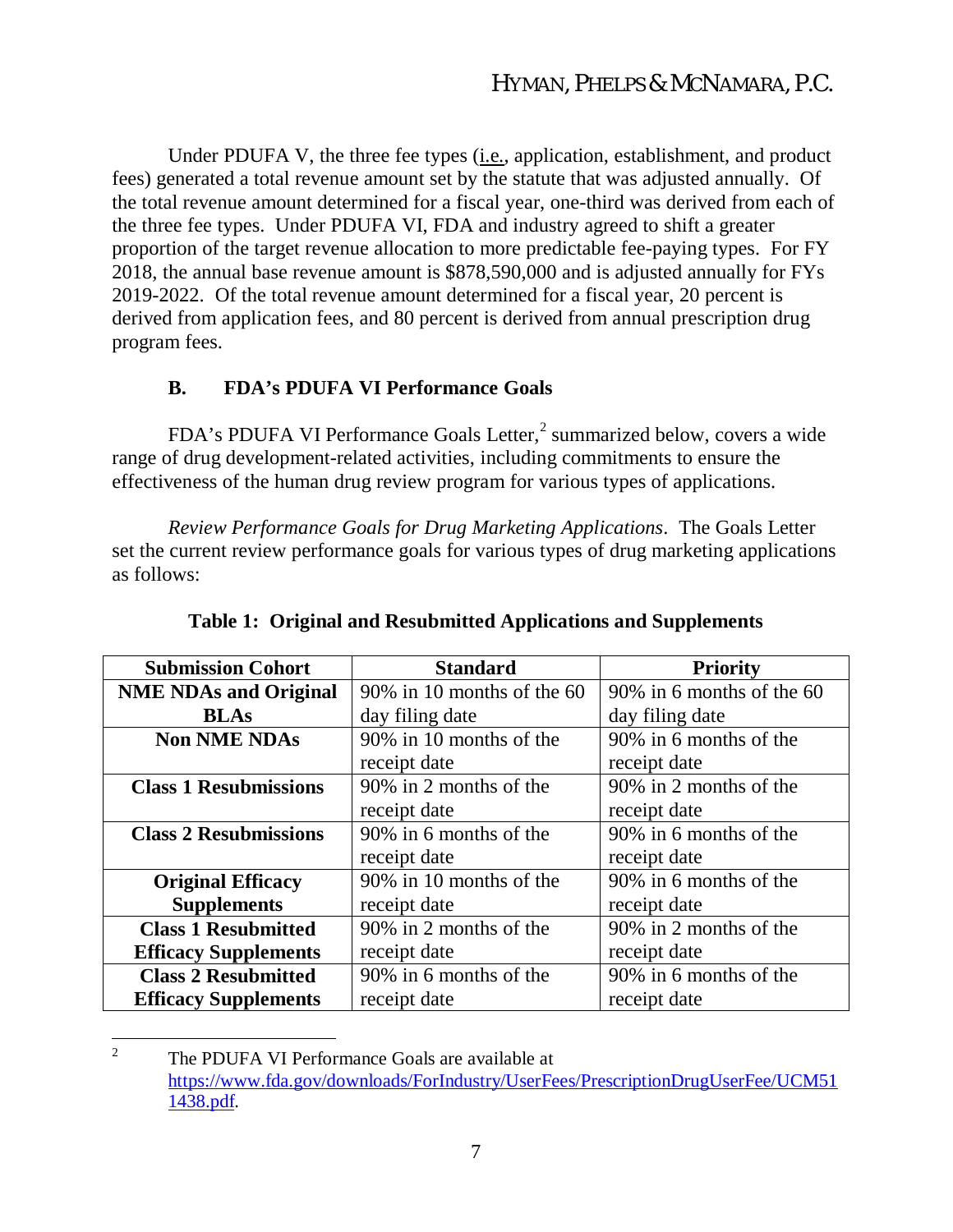Under PDUFA V, the three fee types (i.e., application, establishment, and product fees) generated a total revenue amount set by the statute that was adjusted annually. Of the total revenue amount determined for a fiscal year, one-third was derived from each of the three fee types. Under PDUFA VI, FDA and industry agreed to shift a greater proportion of the target revenue allocation to more predictable fee-paying types. For FY 2018, the annual base revenue amount is \$878,590,000 and is adjusted annually for FYs 2019-2022. Of the total revenue amount determined for a fiscal year, 20 percent is derived from application fees, and 80 percent is derived from annual prescription drug program fees.

### **B. FDA's PDUFA VI Performance Goals**

FDA's PDUFA VI Performance Goals Letter,<sup>2</sup> summarized below, covers a wide range of drug development-related activities, including commitments to ensure the effectiveness of the human drug review program for various types of applications.

*Review Performance Goals for Drug Marketing Applications*. The Goals Letter set the current review performance goals for various types of drug marketing applications as follows:

| <b>Submission Cohort</b>     | <b>Standard</b>               | <b>Priority</b>           |  |
|------------------------------|-------------------------------|---------------------------|--|
| <b>NME NDAs and Original</b> | $90\%$ in 10 months of the 60 | 90% in 6 months of the 60 |  |
| <b>BLAs</b>                  | day filing date               | day filing date           |  |
| <b>Non NME NDAs</b>          | 90% in 10 months of the       | 90% in 6 months of the    |  |
|                              | receipt date                  | receipt date              |  |
| <b>Class 1 Resubmissions</b> | 90% in 2 months of the        | 90% in 2 months of the    |  |
|                              | receipt date                  | receipt date              |  |
| <b>Class 2 Resubmissions</b> | 90% in 6 months of the        | 90% in 6 months of the    |  |
|                              | receipt date                  | receipt date              |  |
| <b>Original Efficacy</b>     | 90% in 10 months of the       | 90% in 6 months of the    |  |
| <b>Supplements</b>           | receipt date                  | receipt date              |  |
| <b>Class 1 Resubmitted</b>   | 90% in 2 months of the        | 90% in 2 months of the    |  |
| <b>Efficacy Supplements</b>  | receipt date                  | receipt date              |  |
| <b>Class 2 Resubmitted</b>   | 90% in 6 months of the        | 90% in 6 months of the    |  |
| <b>Efficacy Supplements</b>  | receipt date                  | receipt date              |  |

**Table 1: Original and Resubmitted Applications and Supplements**

<sup>2</sup> The PDUFA VI Performance Goals are available at https://www.fda.gov/downloads/ForIndustry/UserFees/PrescriptionDrugUserFee/UCM51 1438.pdf.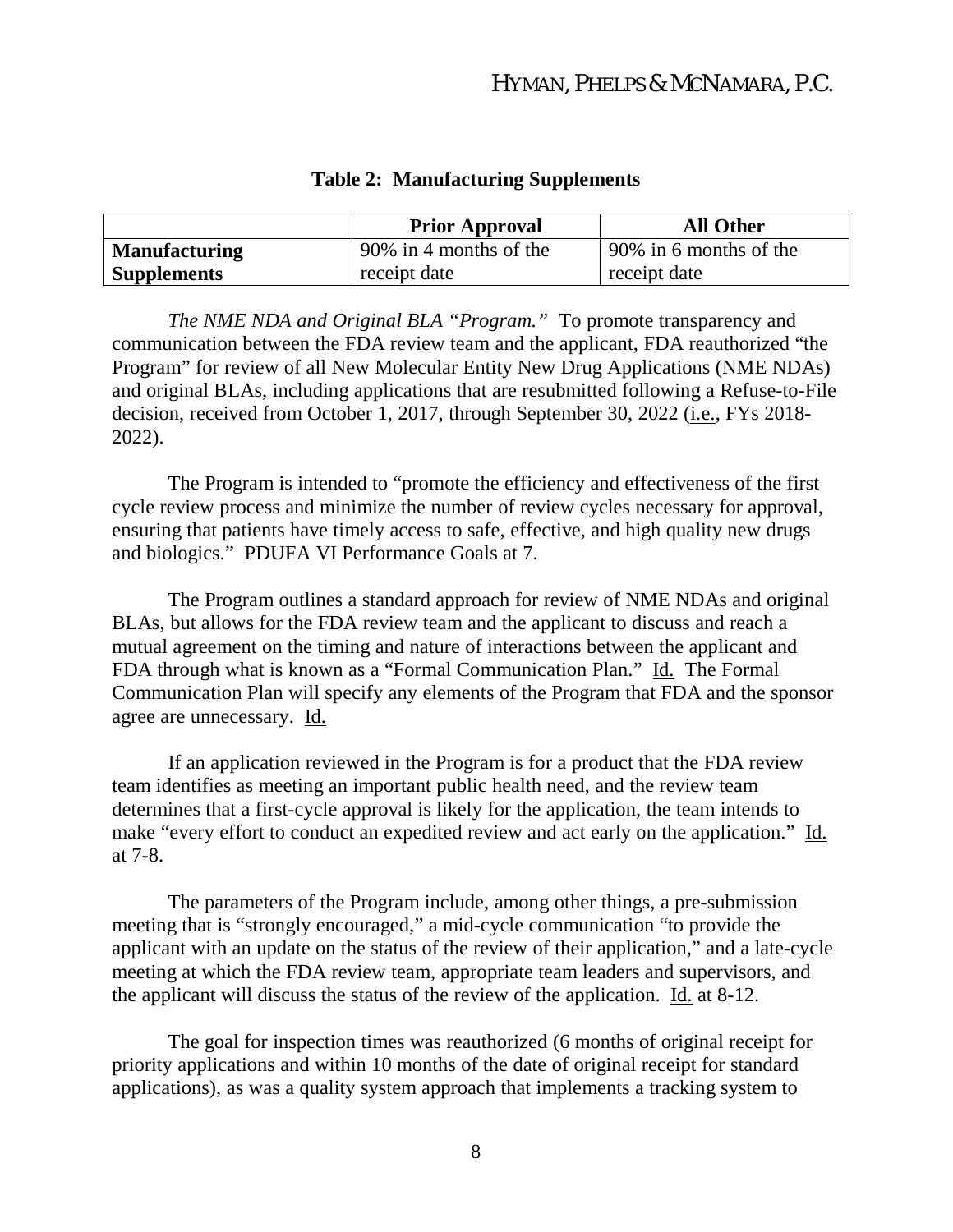|                      | <b>Prior Approval</b>  | <b>All Other</b>       |
|----------------------|------------------------|------------------------|
| <b>Manufacturing</b> | 90% in 4 months of the | 90% in 6 months of the |
| <b>Supplements</b>   | receipt date           | receipt date           |

#### **Table 2: Manufacturing Supplements**

*The NME NDA and Original BLA "Program."* To promote transparency and communication between the FDA review team and the applicant, FDA reauthorized "the Program" for review of all New Molecular Entity New Drug Applications (NME NDAs) and original BLAs, including applications that are resubmitted following a Refuse-to-File decision, received from October 1, 2017, through September 30, 2022 (i.e., FYs 2018- 2022).

The Program is intended to "promote the efficiency and effectiveness of the first cycle review process and minimize the number of review cycles necessary for approval, ensuring that patients have timely access to safe, effective, and high quality new drugs and biologics." PDUFA VI Performance Goals at 7.

The Program outlines a standard approach for review of NME NDAs and original BLAs, but allows for the FDA review team and the applicant to discuss and reach a mutual agreement on the timing and nature of interactions between the applicant and FDA through what is known as a "Formal Communication Plan." Id. The Formal Communication Plan will specify any elements of the Program that FDA and the sponsor agree are unnecessary. Id.

If an application reviewed in the Program is for a product that the FDA review team identifies as meeting an important public health need, and the review team determines that a first-cycle approval is likely for the application, the team intends to make "every effort to conduct an expedited review and act early on the application." Id. at 7-8.

The parameters of the Program include, among other things, a pre-submission meeting that is "strongly encouraged," a mid-cycle communication "to provide the applicant with an update on the status of the review of their application," and a late-cycle meeting at which the FDA review team, appropriate team leaders and supervisors, and the applicant will discuss the status of the review of the application. Id. at 8-12.

The goal for inspection times was reauthorized (6 months of original receipt for priority applications and within 10 months of the date of original receipt for standard applications), as was a quality system approach that implements a tracking system to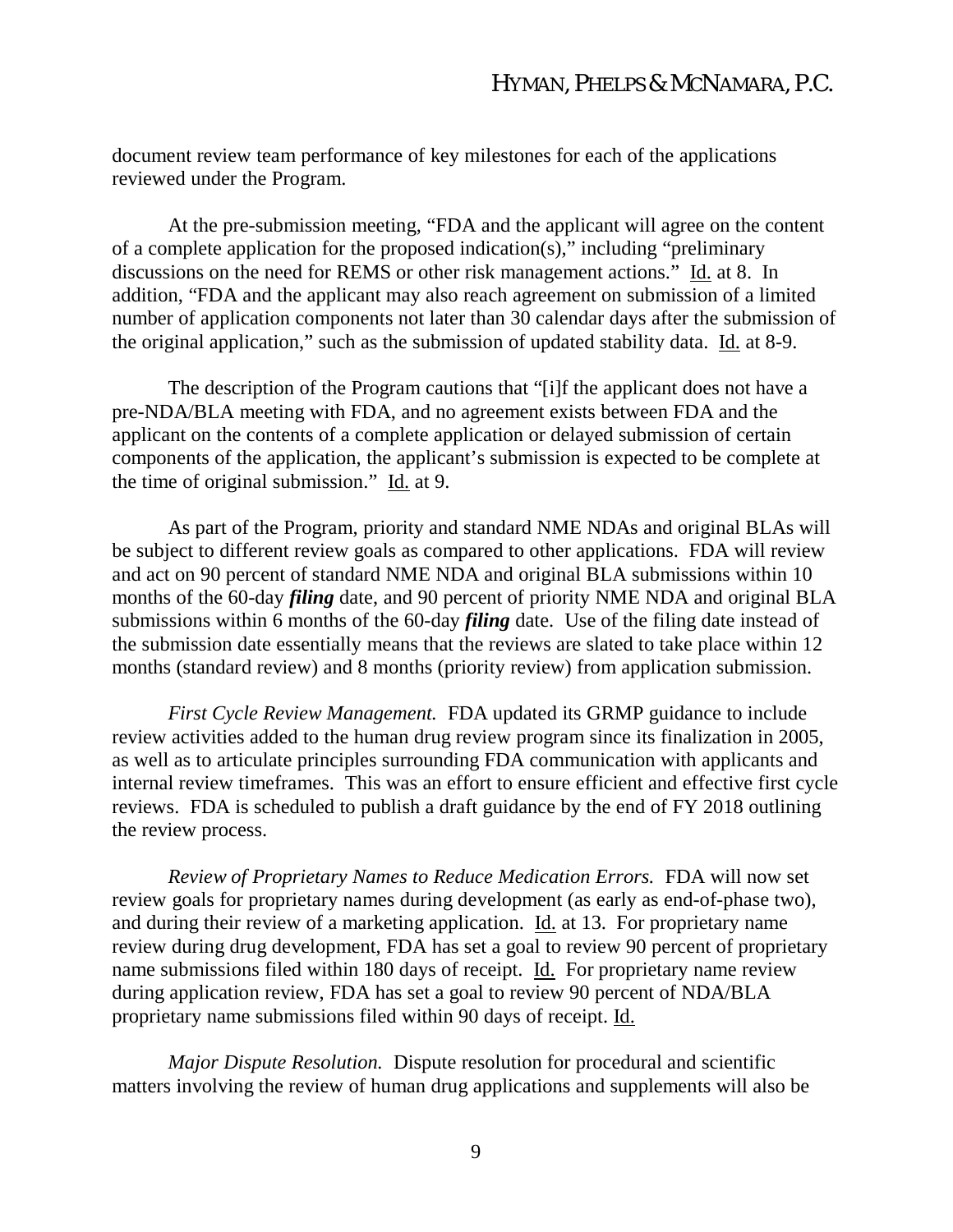document review team performance of key milestones for each of the applications reviewed under the Program.

At the pre-submission meeting, "FDA and the applicant will agree on the content of a complete application for the proposed indication(s)," including "preliminary discussions on the need for REMS or other risk management actions." Id. at 8. In addition, "FDA and the applicant may also reach agreement on submission of a limited number of application components not later than 30 calendar days after the submission of the original application," such as the submission of updated stability data. Id. at 8-9.

The description of the Program cautions that "[i]f the applicant does not have a pre-NDA/BLA meeting with FDA, and no agreement exists between FDA and the applicant on the contents of a complete application or delayed submission of certain components of the application, the applicant's submission is expected to be complete at the time of original submission." Id. at 9.

As part of the Program, priority and standard NME NDAs and original BLAs will be subject to different review goals as compared to other applications. FDA will review and act on 90 percent of standard NME NDA and original BLA submissions within 10 months of the 60-day *filing* date, and 90 percent of priority NME NDA and original BLA submissions within 6 months of the 60-day *filing* date. Use of the filing date instead of the submission date essentially means that the reviews are slated to take place within 12 months (standard review) and 8 months (priority review) from application submission.

*First Cycle Review Management.* FDA updated its GRMP guidance to include review activities added to the human drug review program since its finalization in 2005, as well as to articulate principles surrounding FDA communication with applicants and internal review timeframes. This was an effort to ensure efficient and effective first cycle reviews. FDA is scheduled to publish a draft guidance by the end of FY 2018 outlining the review process.

*Review of Proprietary Names to Reduce Medication Errors.* FDA will now set review goals for proprietary names during development (as early as end-of-phase two), and during their review of a marketing application. Id. at 13. For proprietary name review during drug development, FDA has set a goal to review 90 percent of proprietary name submissions filed within 180 days of receipt. Id. For proprietary name review during application review, FDA has set a goal to review 90 percent of NDA/BLA proprietary name submissions filed within 90 days of receipt. Id.

*Major Dispute Resolution.* Dispute resolution for procedural and scientific matters involving the review of human drug applications and supplements will also be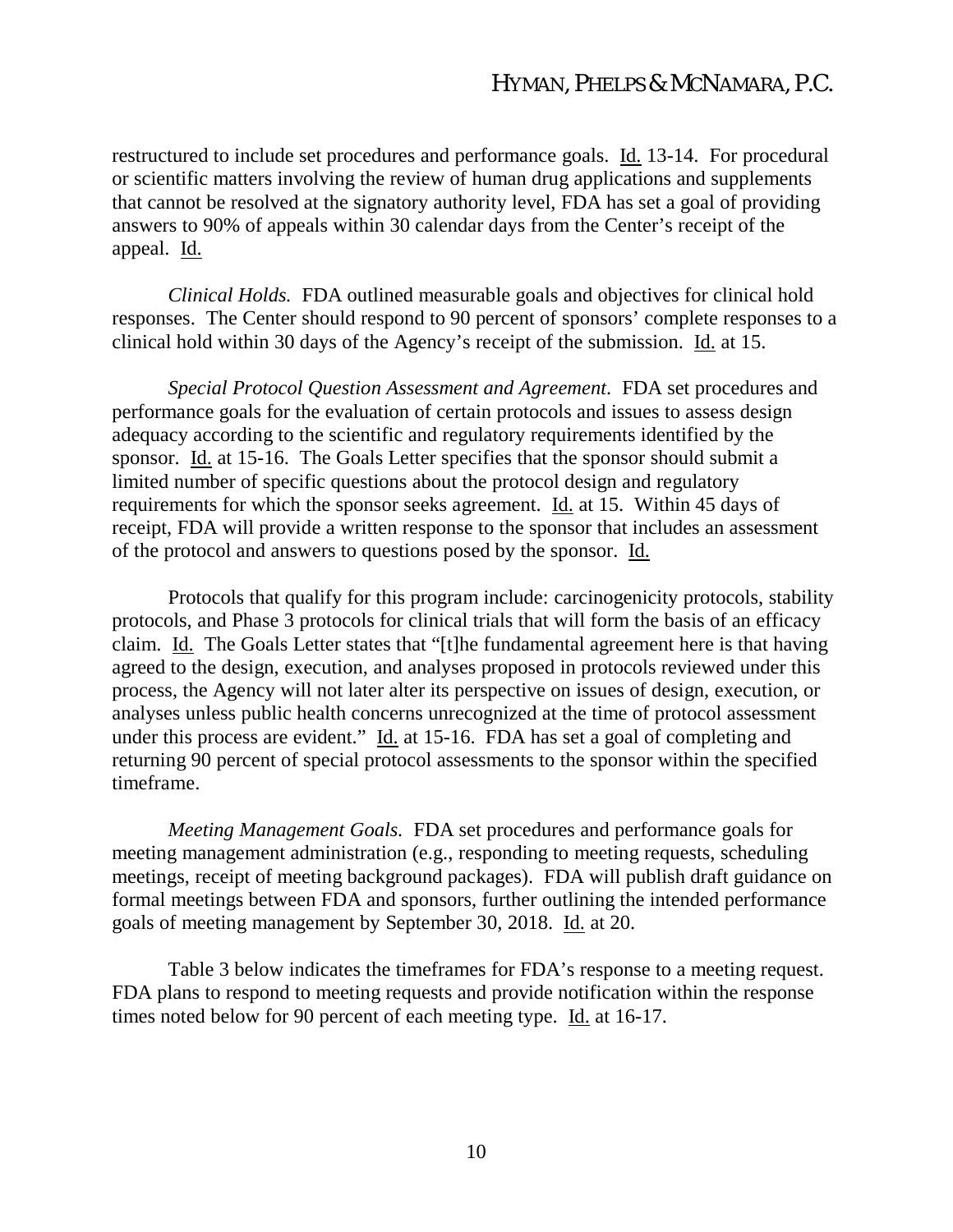restructured to include set procedures and performance goals. Id. 13-14. For procedural or scientific matters involving the review of human drug applications and supplements that cannot be resolved at the signatory authority level, FDA has set a goal of providing answers to 90% of appeals within 30 calendar days from the Center's receipt of the appeal. Id.

*Clinical Holds.* FDA outlined measurable goals and objectives for clinical hold responses. The Center should respond to 90 percent of sponsors' complete responses to a clinical hold within 30 days of the Agency's receipt of the submission. Id. at 15.

*Special Protocol Question Assessment and Agreement*. FDA set procedures and performance goals for the evaluation of certain protocols and issues to assess design adequacy according to the scientific and regulatory requirements identified by the sponsor. Id. at 15-16. The Goals Letter specifies that the sponsor should submit a limited number of specific questions about the protocol design and regulatory requirements for which the sponsor seeks agreement. Id. at 15. Within 45 days of receipt, FDA will provide a written response to the sponsor that includes an assessment of the protocol and answers to questions posed by the sponsor. Id.

Protocols that qualify for this program include: carcinogenicity protocols, stability protocols, and Phase 3 protocols for clinical trials that will form the basis of an efficacy claim. Id. The Goals Letter states that "[t]he fundamental agreement here is that having agreed to the design, execution, and analyses proposed in protocols reviewed under this process, the Agency will not later alter its perspective on issues of design, execution, or analyses unless public health concerns unrecognized at the time of protocol assessment under this process are evident." Id. at 15-16. FDA has set a goal of completing and returning 90 percent of special protocol assessments to the sponsor within the specified timeframe.

*Meeting Management Goals.* FDA set procedures and performance goals for meeting management administration (e.g., responding to meeting requests, scheduling meetings, receipt of meeting background packages). FDA will publish draft guidance on formal meetings between FDA and sponsors, further outlining the intended performance goals of meeting management by September 30, 2018. Id. at 20.

Table 3 below indicates the timeframes for FDA's response to a meeting request. FDA plans to respond to meeting requests and provide notification within the response times noted below for 90 percent of each meeting type. Id. at 16-17.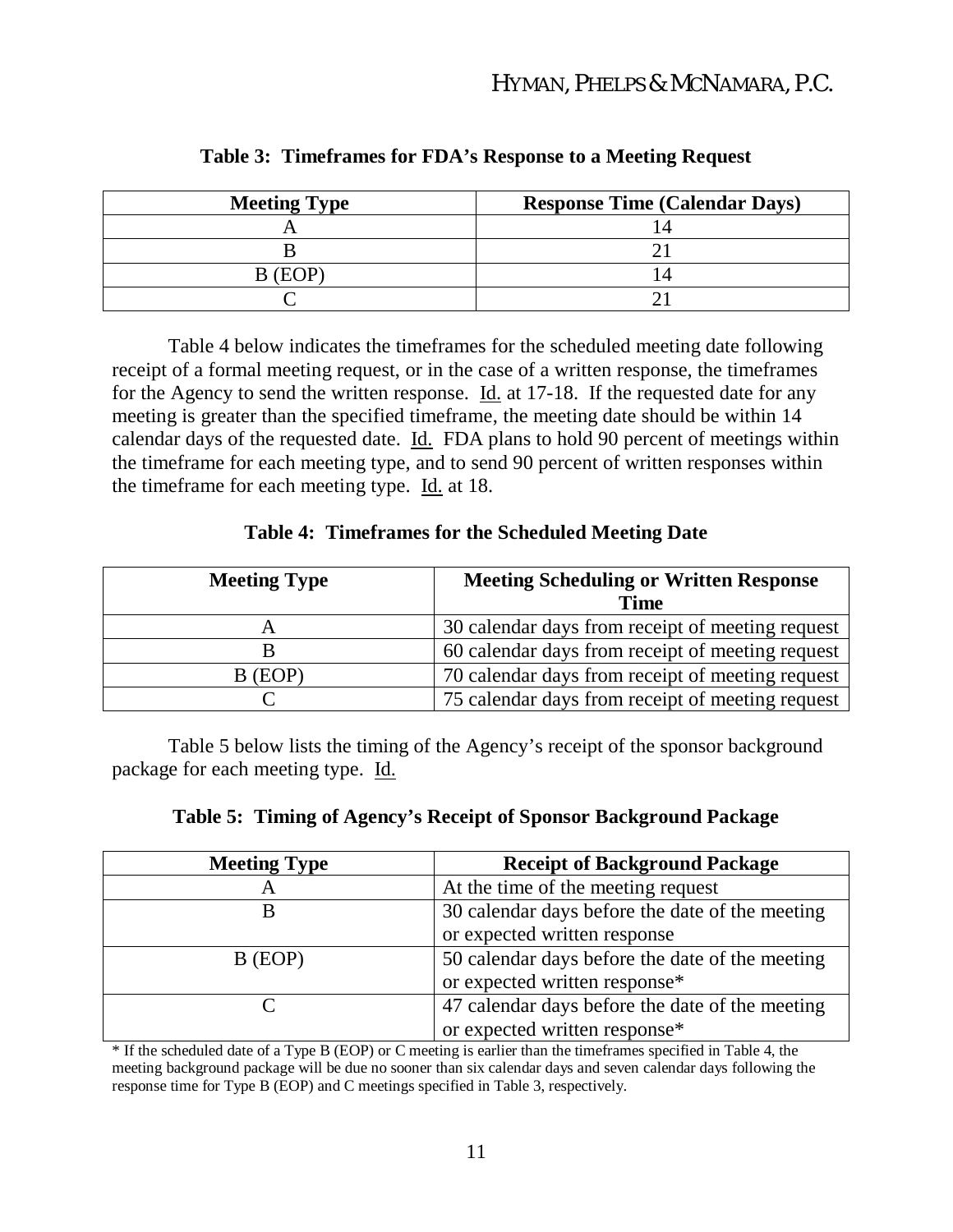| <b>Meeting Type</b> | <b>Response Time (Calendar Days)</b> |
|---------------------|--------------------------------------|
|                     |                                      |
|                     |                                      |
| B (EOP)             |                                      |
|                     |                                      |

**Table 3: Timeframes for FDA's Response to a Meeting Request**

Table 4 below indicates the timeframes for the scheduled meeting date following receipt of a formal meeting request, or in the case of a written response, the timeframes for the Agency to send the written response. Id. at 17-18. If the requested date for any meeting is greater than the specified timeframe, the meeting date should be within 14 calendar days of the requested date. Id. FDA plans to hold 90 percent of meetings within the timeframe for each meeting type, and to send 90 percent of written responses within the timeframe for each meeting type. Id. at 18.

#### **Table 4: Timeframes for the Scheduled Meeting Date**

| <b>Meeting Type</b> | <b>Meeting Scheduling or Written Response</b>    |  |
|---------------------|--------------------------------------------------|--|
|                     | <b>Time</b>                                      |  |
|                     | 30 calendar days from receipt of meeting request |  |
|                     | 60 calendar days from receipt of meeting request |  |
| B (EOP)             | 70 calendar days from receipt of meeting request |  |
|                     | 75 calendar days from receipt of meeting request |  |

Table 5 below lists the timing of the Agency's receipt of the sponsor background package for each meeting type. Id.

|  |  | Table 5: Timing of Agency's Receipt of Sponsor Background Package |  |
|--|--|-------------------------------------------------------------------|--|
|  |  |                                                                   |  |

| <b>Meeting Type</b> | <b>Receipt of Background Package</b>            |
|---------------------|-------------------------------------------------|
| A                   | At the time of the meeting request              |
| В                   | 30 calendar days before the date of the meeting |
|                     | or expected written response                    |
| B (EOP)             | 50 calendar days before the date of the meeting |
|                     | or expected written response*                   |
|                     | 47 calendar days before the date of the meeting |
|                     | or expected written response*                   |

\* If the scheduled date of a Type B (EOP) or C meeting is earlier than the timeframes specified in Table 4, the meeting background package will be due no sooner than six calendar days and seven calendar days following the response time for Type B (EOP) and C meetings specified in Table 3, respectively.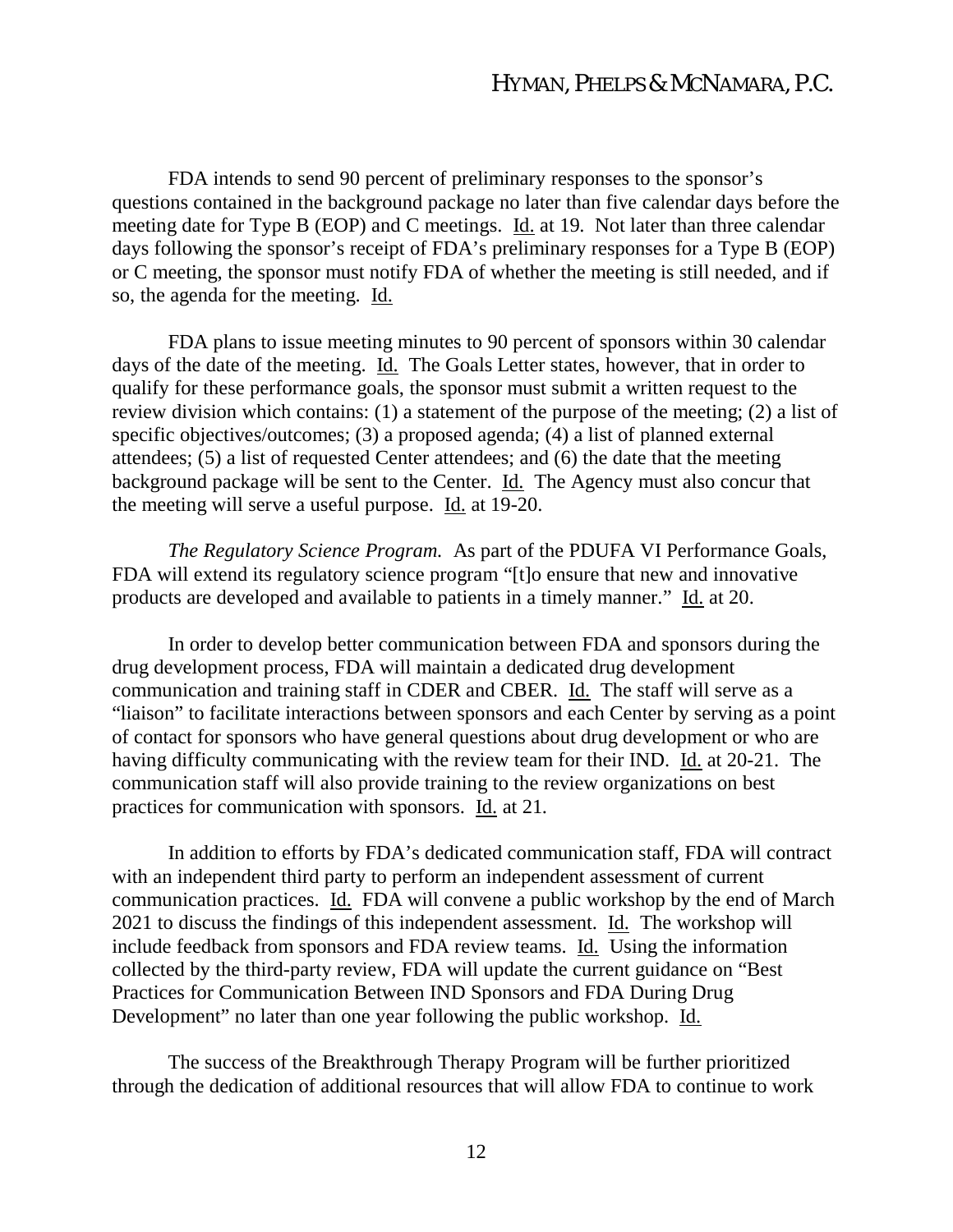FDA intends to send 90 percent of preliminary responses to the sponsor's questions contained in the background package no later than five calendar days before the meeting date for Type B (EOP) and C meetings. Id. at 19. Not later than three calendar days following the sponsor's receipt of FDA's preliminary responses for a Type B (EOP) or C meeting, the sponsor must notify FDA of whether the meeting is still needed, and if so, the agenda for the meeting. Id.

FDA plans to issue meeting minutes to 90 percent of sponsors within 30 calendar days of the date of the meeting. Id. The Goals Letter states, however, that in order to qualify for these performance goals, the sponsor must submit a written request to the review division which contains: (1) a statement of the purpose of the meeting; (2) a list of specific objectives/outcomes; (3) a proposed agenda; (4) a list of planned external attendees; (5) a list of requested Center attendees; and (6) the date that the meeting background package will be sent to the Center. Id. The Agency must also concur that the meeting will serve a useful purpose. Id. at 19-20.

*The Regulatory Science Program.* As part of the PDUFA VI Performance Goals, FDA will extend its regulatory science program "[t]o ensure that new and innovative products are developed and available to patients in a timely manner." Id. at 20.

In order to develop better communication between FDA and sponsors during the drug development process, FDA will maintain a dedicated drug development communication and training staff in CDER and CBER. Id. The staff will serve as a "liaison" to facilitate interactions between sponsors and each Center by serving as a point of contact for sponsors who have general questions about drug development or who are having difficulty communicating with the review team for their IND. Id. at 20-21. The communication staff will also provide training to the review organizations on best practices for communication with sponsors. Id. at 21.

In addition to efforts by FDA's dedicated communication staff, FDA will contract with an independent third party to perform an independent assessment of current communication practices. Id. FDA will convene a public workshop by the end of March 2021 to discuss the findings of this independent assessment. Id. The workshop will include feedback from sponsors and FDA review teams. Id. Using the information collected by the third-party review, FDA will update the current guidance on "Best Practices for Communication Between IND Sponsors and FDA During Drug Development" no later than one year following the public workshop. Id.

The success of the Breakthrough Therapy Program will be further prioritized through the dedication of additional resources that will allow FDA to continue to work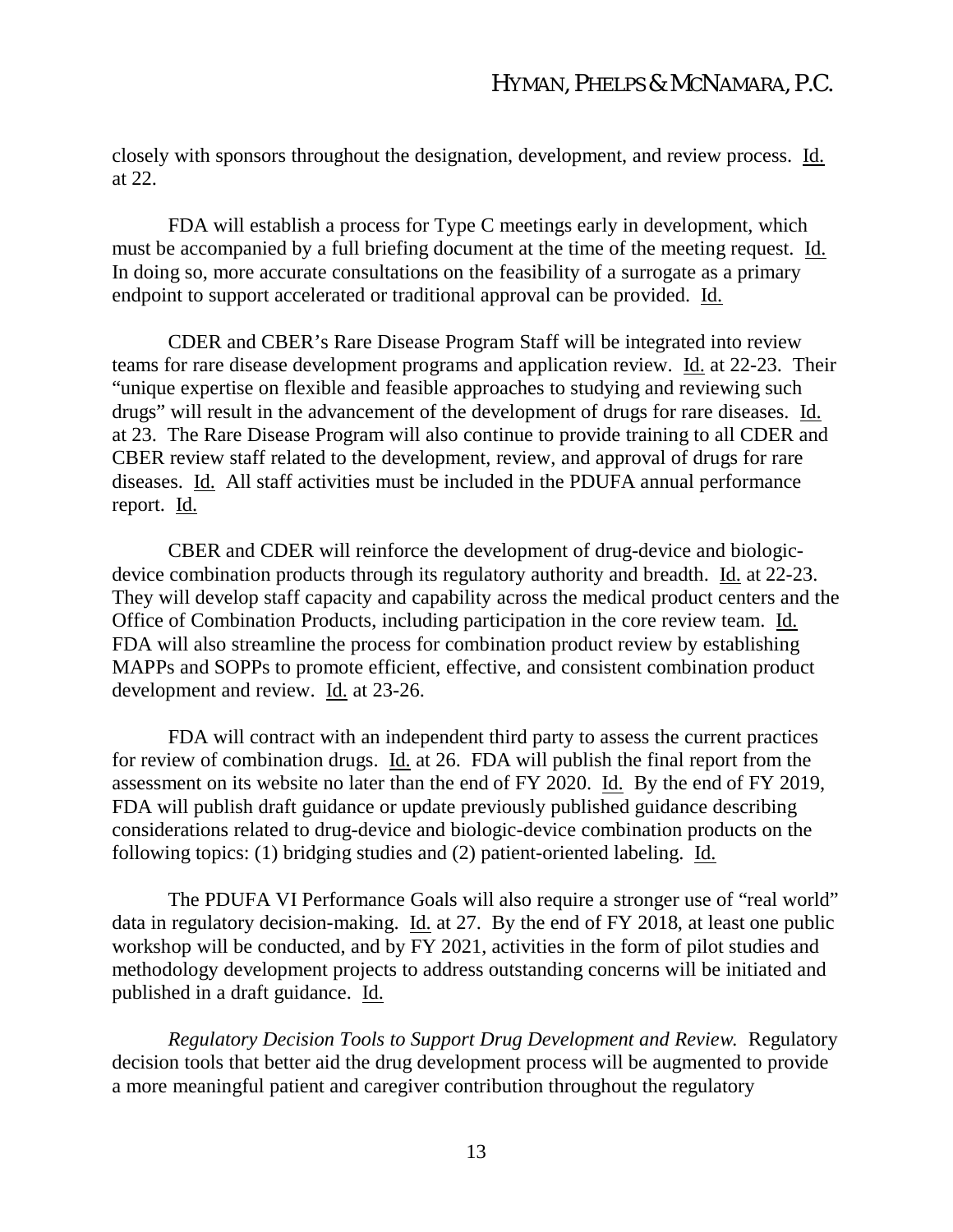closely with sponsors throughout the designation, development, and review process. Id. at 22.

FDA will establish a process for Type C meetings early in development, which must be accompanied by a full briefing document at the time of the meeting request. Id. In doing so, more accurate consultations on the feasibility of a surrogate as a primary endpoint to support accelerated or traditional approval can be provided. Id.

CDER and CBER's Rare Disease Program Staff will be integrated into review teams for rare disease development programs and application review. Id. at 22-23. Their "unique expertise on flexible and feasible approaches to studying and reviewing such drugs" will result in the advancement of the development of drugs for rare diseases. Id. at 23. The Rare Disease Program will also continue to provide training to all CDER and CBER review staff related to the development, review, and approval of drugs for rare diseases. Id. All staff activities must be included in the PDUFA annual performance report. Id.

CBER and CDER will reinforce the development of drug-device and biologicdevice combination products through its regulatory authority and breadth. Id. at 22-23. They will develop staff capacity and capability across the medical product centers and the Office of Combination Products, including participation in the core review team. Id. FDA will also streamline the process for combination product review by establishing MAPPs and SOPPs to promote efficient, effective, and consistent combination product development and review. Id. at 23-26.

FDA will contract with an independent third party to assess the current practices for review of combination drugs. Id. at 26. FDA will publish the final report from the assessment on its website no later than the end of FY 2020. Id. By the end of FY 2019, FDA will publish draft guidance or update previously published guidance describing considerations related to drug-device and biologic-device combination products on the following topics: (1) bridging studies and (2) patient-oriented labeling. Id.

The PDUFA VI Performance Goals will also require a stronger use of "real world" data in regulatory decision-making. Id. at 27. By the end of FY 2018, at least one public workshop will be conducted, and by FY 2021, activities in the form of pilot studies and methodology development projects to address outstanding concerns will be initiated and published in a draft guidance. Id.

*Regulatory Decision Tools to Support Drug Development and Review.* Regulatory decision tools that better aid the drug development process will be augmented to provide a more meaningful patient and caregiver contribution throughout the regulatory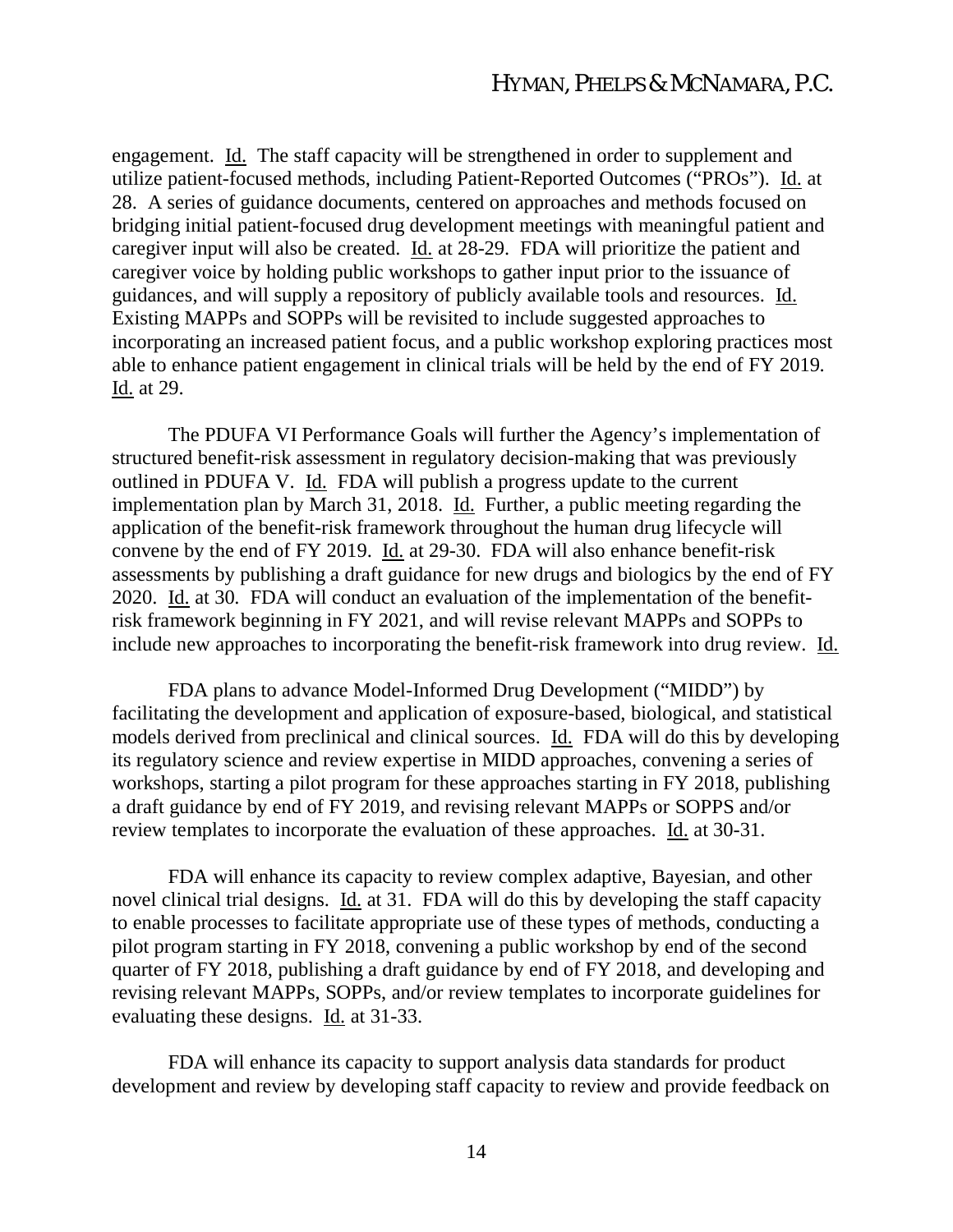engagement. Id. The staff capacity will be strengthened in order to supplement and utilize patient-focused methods, including Patient-Reported Outcomes ("PROs"). Id. at 28. A series of guidance documents, centered on approaches and methods focused on bridging initial patient-focused drug development meetings with meaningful patient and caregiver input will also be created. Id. at 28-29. FDA will prioritize the patient and caregiver voice by holding public workshops to gather input prior to the issuance of guidances, and will supply a repository of publicly available tools and resources. Id. Existing MAPPs and SOPPs will be revisited to include suggested approaches to incorporating an increased patient focus, and a public workshop exploring practices most able to enhance patient engagement in clinical trials will be held by the end of FY 2019. Id. at 29.

The PDUFA VI Performance Goals will further the Agency's implementation of structured benefit-risk assessment in regulatory decision-making that was previously outlined in PDUFA V. Id. FDA will publish a progress update to the current implementation plan by March 31, 2018. Id. Further, a public meeting regarding the application of the benefit-risk framework throughout the human drug lifecycle will convene by the end of FY 2019. Id. at 29-30. FDA will also enhance benefit-risk assessments by publishing a draft guidance for new drugs and biologics by the end of FY 2020. Id. at 30. FDA will conduct an evaluation of the implementation of the benefitrisk framework beginning in FY 2021, and will revise relevant MAPPs and SOPPs to include new approaches to incorporating the benefit-risk framework into drug review. Id.

FDA plans to advance Model-Informed Drug Development ("MIDD") by facilitating the development and application of exposure-based, biological, and statistical models derived from preclinical and clinical sources. Id. FDA will do this by developing its regulatory science and review expertise in MIDD approaches, convening a series of workshops, starting a pilot program for these approaches starting in FY 2018, publishing a draft guidance by end of FY 2019, and revising relevant MAPPs or SOPPS and/or review templates to incorporate the evaluation of these approaches. Id. at 30-31.

FDA will enhance its capacity to review complex adaptive, Bayesian, and other novel clinical trial designs. Id. at 31. FDA will do this by developing the staff capacity to enable processes to facilitate appropriate use of these types of methods, conducting a pilot program starting in FY 2018, convening a public workshop by end of the second quarter of FY 2018, publishing a draft guidance by end of FY 2018, and developing and revising relevant MAPPs, SOPPs, and/or review templates to incorporate guidelines for evaluating these designs. Id. at 31-33.

FDA will enhance its capacity to support analysis data standards for product development and review by developing staff capacity to review and provide feedback on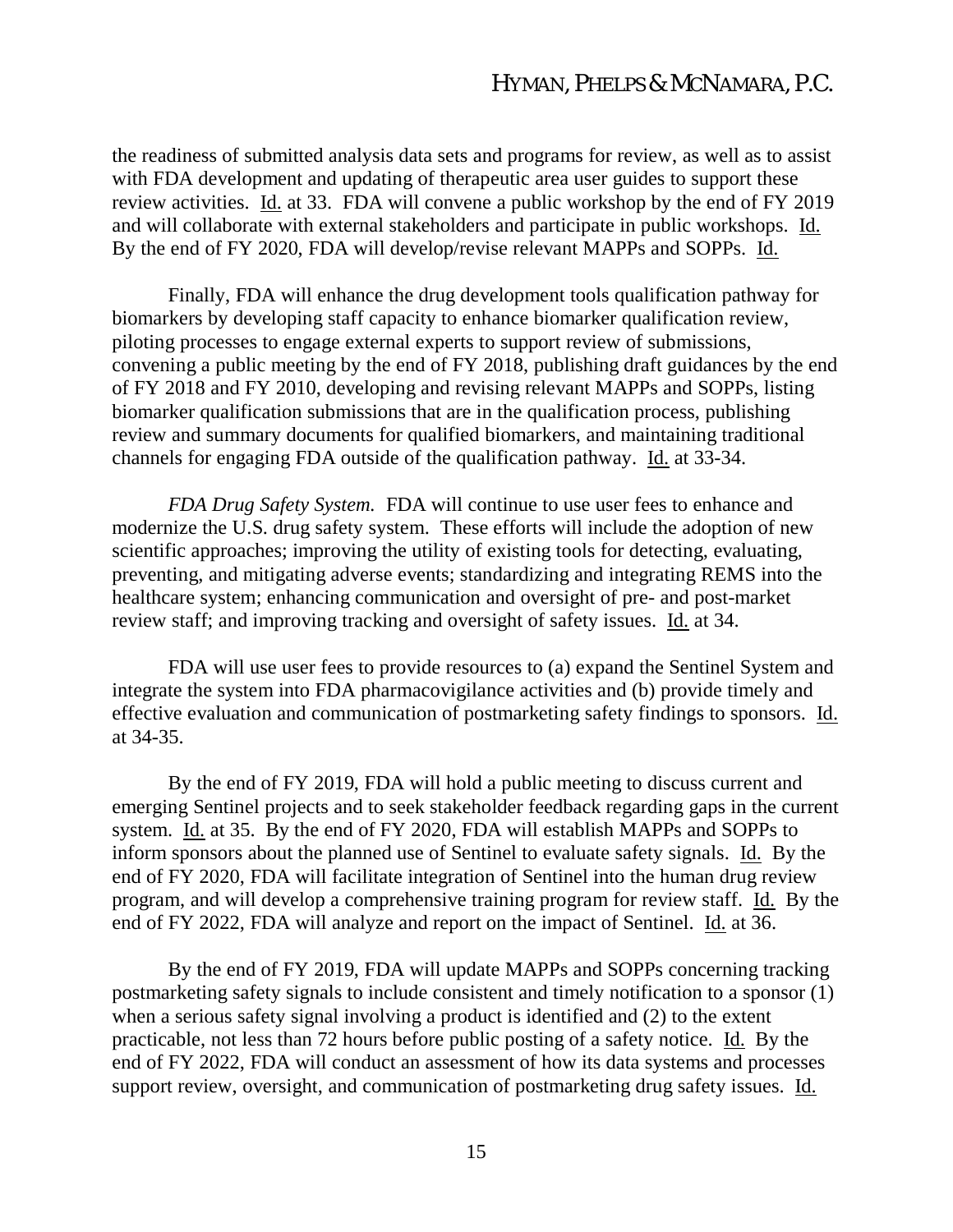the readiness of submitted analysis data sets and programs for review, as well as to assist with FDA development and updating of therapeutic area user guides to support these review activities. Id. at 33. FDA will convene a public workshop by the end of FY 2019 and will collaborate with external stakeholders and participate in public workshops. Id. By the end of FY 2020, FDA will develop/revise relevant MAPPs and SOPPs. Id.

Finally, FDA will enhance the drug development tools qualification pathway for biomarkers by developing staff capacity to enhance biomarker qualification review, piloting processes to engage external experts to support review of submissions, convening a public meeting by the end of FY 2018, publishing draft guidances by the end of FY 2018 and FY 2010, developing and revising relevant MAPPs and SOPPs, listing biomarker qualification submissions that are in the qualification process, publishing review and summary documents for qualified biomarkers, and maintaining traditional channels for engaging FDA outside of the qualification pathway. Id. at 33-34.

*FDA Drug Safety System.* FDA will continue to use user fees to enhance and modernize the U.S. drug safety system. These efforts will include the adoption of new scientific approaches; improving the utility of existing tools for detecting, evaluating, preventing, and mitigating adverse events; standardizing and integrating REMS into the healthcare system; enhancing communication and oversight of pre- and post-market review staff; and improving tracking and oversight of safety issues. Id. at 34.

FDA will use user fees to provide resources to (a) expand the Sentinel System and integrate the system into FDA pharmacovigilance activities and (b) provide timely and effective evaluation and communication of postmarketing safety findings to sponsors. Id. at 34-35.

By the end of FY 2019, FDA will hold a public meeting to discuss current and emerging Sentinel projects and to seek stakeholder feedback regarding gaps in the current system. Id. at 35. By the end of FY 2020, FDA will establish MAPPs and SOPPs to inform sponsors about the planned use of Sentinel to evaluate safety signals. Id. By the end of FY 2020, FDA will facilitate integration of Sentinel into the human drug review program, and will develop a comprehensive training program for review staff. Id. By the end of FY 2022, FDA will analyze and report on the impact of Sentinel. Id. at 36.

By the end of FY 2019, FDA will update MAPPs and SOPPs concerning tracking postmarketing safety signals to include consistent and timely notification to a sponsor (1) when a serious safety signal involving a product is identified and (2) to the extent practicable, not less than 72 hours before public posting of a safety notice. Id. By the end of FY 2022, FDA will conduct an assessment of how its data systems and processes support review, oversight, and communication of postmarketing drug safety issues. Id.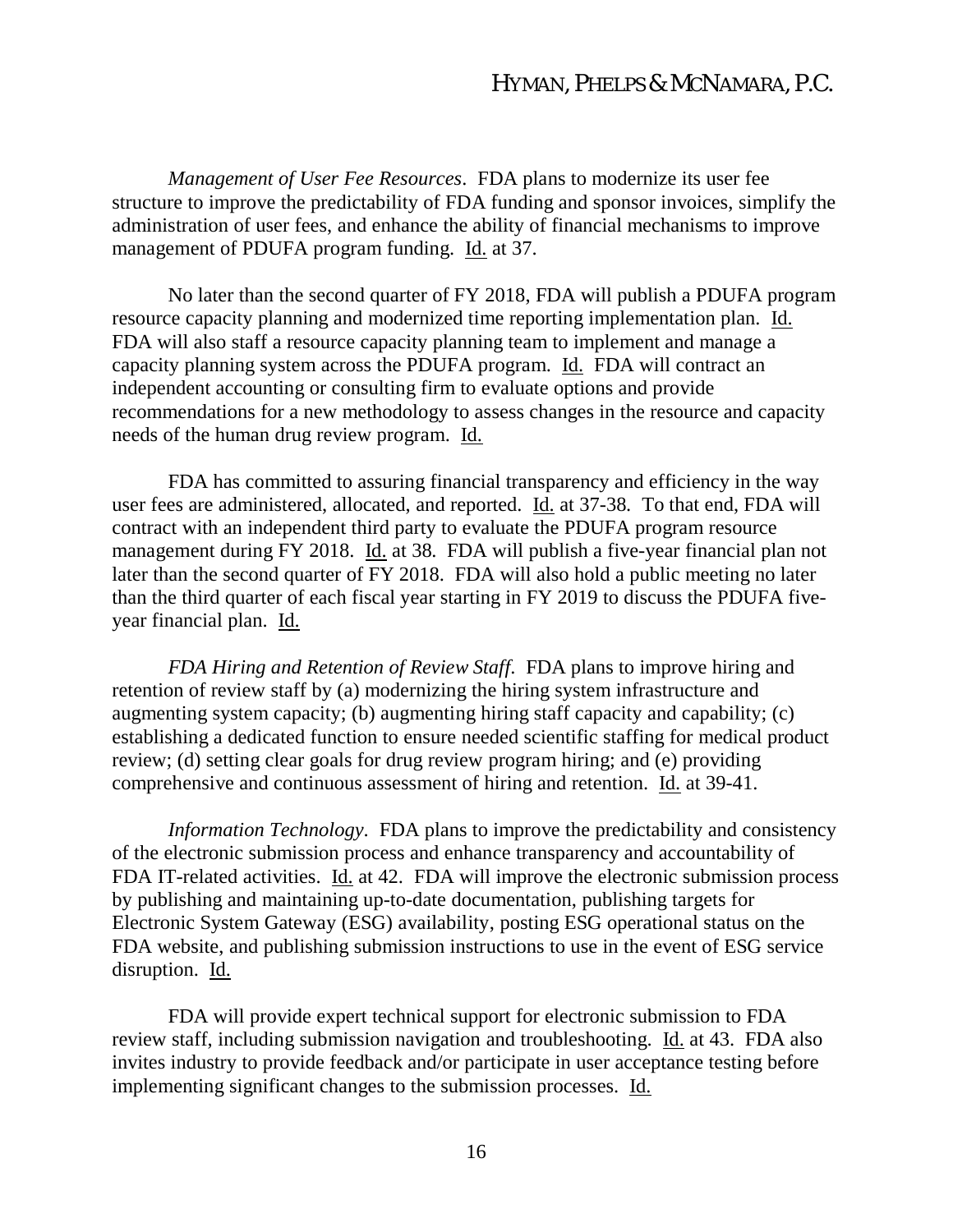*Management of User Fee Resources*. FDA plans to modernize its user fee structure to improve the predictability of FDA funding and sponsor invoices, simplify the administration of user fees, and enhance the ability of financial mechanisms to improve management of PDUFA program funding. Id. at 37.

No later than the second quarter of FY 2018, FDA will publish a PDUFA program resource capacity planning and modernized time reporting implementation plan. Id. FDA will also staff a resource capacity planning team to implement and manage a capacity planning system across the PDUFA program. Id. FDA will contract an independent accounting or consulting firm to evaluate options and provide recommendations for a new methodology to assess changes in the resource and capacity needs of the human drug review program. Id.

FDA has committed to assuring financial transparency and efficiency in the way user fees are administered, allocated, and reported. Id. at 37-38. To that end, FDA will contract with an independent third party to evaluate the PDUFA program resource management during FY 2018. Id. at 38. FDA will publish a five-year financial plan not later than the second quarter of FY 2018. FDA will also hold a public meeting no later than the third quarter of each fiscal year starting in FY 2019 to discuss the PDUFA fiveyear financial plan. Id.

*FDA Hiring and Retention of Review Staff*. FDA plans to improve hiring and retention of review staff by (a) modernizing the hiring system infrastructure and augmenting system capacity; (b) augmenting hiring staff capacity and capability; (c) establishing a dedicated function to ensure needed scientific staffing for medical product review; (d) setting clear goals for drug review program hiring; and (e) providing comprehensive and continuous assessment of hiring and retention. Id. at 39-41.

*Information Technology*. FDA plans to improve the predictability and consistency of the electronic submission process and enhance transparency and accountability of FDA IT-related activities. Id. at 42. FDA will improve the electronic submission process by publishing and maintaining up-to-date documentation, publishing targets for Electronic System Gateway (ESG) availability, posting ESG operational status on the FDA website, and publishing submission instructions to use in the event of ESG service disruption. Id.

FDA will provide expert technical support for electronic submission to FDA review staff, including submission navigation and troubleshooting. Id. at 43. FDA also invites industry to provide feedback and/or participate in user acceptance testing before implementing significant changes to the submission processes. Id.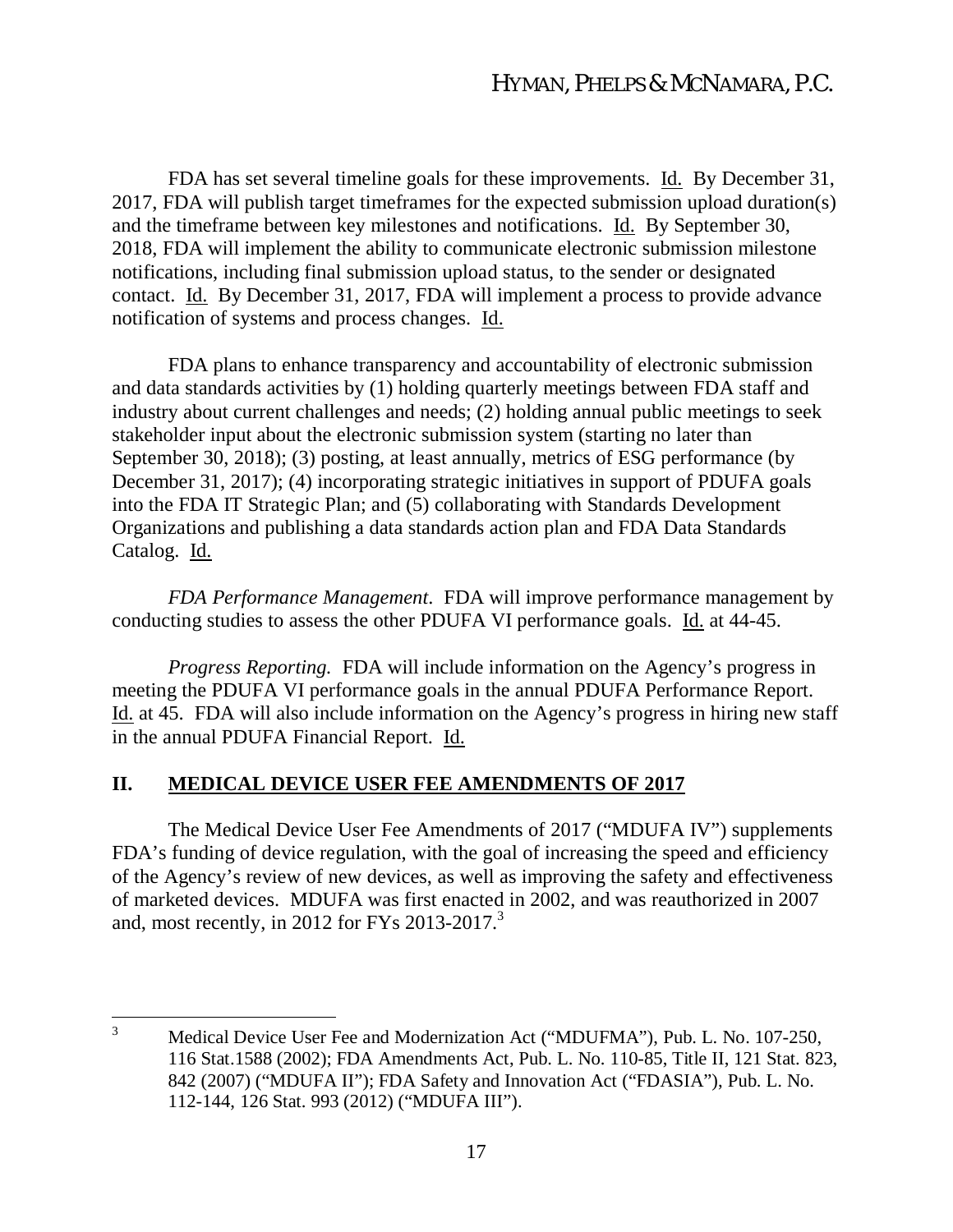FDA has set several timeline goals for these improvements. Id. By December 31, 2017, FDA will publish target timeframes for the expected submission upload duration(s) and the timeframe between key milestones and notifications. Id. By September 30, 2018, FDA will implement the ability to communicate electronic submission milestone notifications, including final submission upload status, to the sender or designated contact. Id. By December 31, 2017, FDA will implement a process to provide advance notification of systems and process changes. Id.

FDA plans to enhance transparency and accountability of electronic submission and data standards activities by (1) holding quarterly meetings between FDA staff and industry about current challenges and needs; (2) holding annual public meetings to seek stakeholder input about the electronic submission system (starting no later than September 30, 2018); (3) posting, at least annually, metrics of ESG performance (by December 31, 2017); (4) incorporating strategic initiatives in support of PDUFA goals into the FDA IT Strategic Plan; and (5) collaborating with Standards Development Organizations and publishing a data standards action plan and FDA Data Standards Catalog. Id.

*FDA Performance Management*. FDA will improve performance management by conducting studies to assess the other PDUFA VI performance goals. Id. at 44-45.

*Progress Reporting.* FDA will include information on the Agency's progress in meeting the PDUFA VI performance goals in the annual PDUFA Performance Report. Id. at 45. FDA will also include information on the Agency's progress in hiring new staff in the annual PDUFA Financial Report. Id.

### **II. MEDICAL DEVICE USER FEE AMENDMENTS OF 2017**

The Medical Device User Fee Amendments of 2017 ("MDUFA IV") supplements FDA's funding of device regulation, with the goal of increasing the speed and efficiency of the Agency's review of new devices, as well as improving the safety and effectiveness of marketed devices. MDUFA was first enacted in 2002, and was reauthorized in 2007 and, most recently, in 2012 for FYs 2013-2017.<sup>3</sup>

<sup>&</sup>lt;sup>3</sup> Medical Device User Fee and Modernization Act ("MDUFMA"), Pub. L. No. 107-250, 116 Stat.1588 (2002); FDA Amendments Act, Pub. L. No. 110-85, Title II, 121 Stat. 823, 842 (2007) ("MDUFA II"); FDA Safety and Innovation Act ("FDASIA"), Pub. L. No. 112-144, 126 Stat. 993 (2012) ("MDUFA III").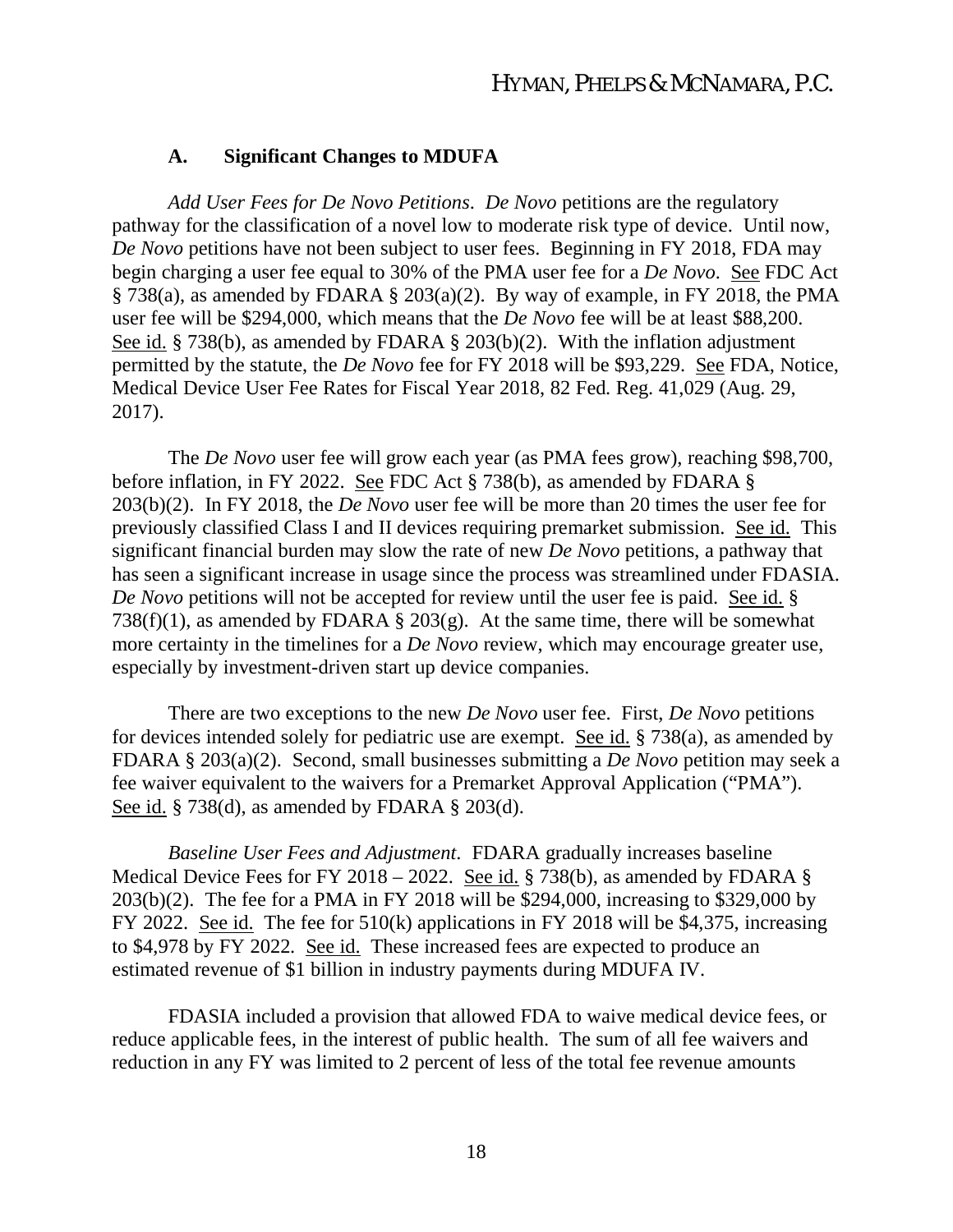#### **A. Significant Changes to MDUFA**

*Add User Fees for De Novo Petitions*. *De Novo* petitions are the regulatory pathway for the classification of a novel low to moderate risk type of device. Until now, *De Novo* petitions have not been subject to user fees. Beginning in FY 2018, FDA may begin charging a user fee equal to 30% of the PMA user fee for a *De Novo*. See FDC Act § 738(a), as amended by FDARA § 203(a)(2). By way of example, in FY 2018, the PMA user fee will be \$294,000, which means that the *De Novo* fee will be at least \$88,200. See id. § 738(b), as amended by FDARA § 203(b)(2). With the inflation adjustment permitted by the statute, the *De Novo* fee for FY 2018 will be \$93,229. See FDA, Notice, Medical Device User Fee Rates for Fiscal Year 2018, 82 Fed. Reg. 41,029 (Aug. 29, 2017).

The *De Novo* user fee will grow each year (as PMA fees grow), reaching \$98,700, before inflation, in FY 2022. See FDC Act § 738(b), as amended by FDARA § 203(b)(2). In FY 2018, the *De Novo* user fee will be more than 20 times the user fee for previously classified Class I and II devices requiring premarket submission. See id. This significant financial burden may slow the rate of new *De Novo* petitions, a pathway that has seen a significant increase in usage since the process was streamlined under FDASIA. *De Novo* petitions will not be accepted for review until the user fee is paid. See id. § 738(f)(1), as amended by FDARA § 203(g). At the same time, there will be somewhat more certainty in the timelines for a *De Novo* review, which may encourage greater use, especially by investment-driven start up device companies.

There are two exceptions to the new *De Novo* user fee. First, *De Novo* petitions for devices intended solely for pediatric use are exempt. See id. § 738(a), as amended by FDARA § 203(a)(2). Second, small businesses submitting a *De Novo* petition may seek a fee waiver equivalent to the waivers for a Premarket Approval Application ("PMA"). See id. § 738(d), as amended by FDARA § 203(d).

*Baseline User Fees and Adjustment*. FDARA gradually increases baseline Medical Device Fees for FY 2018 – 2022. See id. § 738(b), as amended by FDARA § 203(b)(2). The fee for a PMA in FY 2018 will be \$294,000, increasing to \$329,000 by FY 2022. See id. The fee for 510(k) applications in FY 2018 will be \$4,375, increasing to \$4,978 by FY 2022. See id. These increased fees are expected to produce an estimated revenue of \$1 billion in industry payments during MDUFA IV.

FDASIA included a provision that allowed FDA to waive medical device fees, or reduce applicable fees, in the interest of public health. The sum of all fee waivers and reduction in any FY was limited to 2 percent of less of the total fee revenue amounts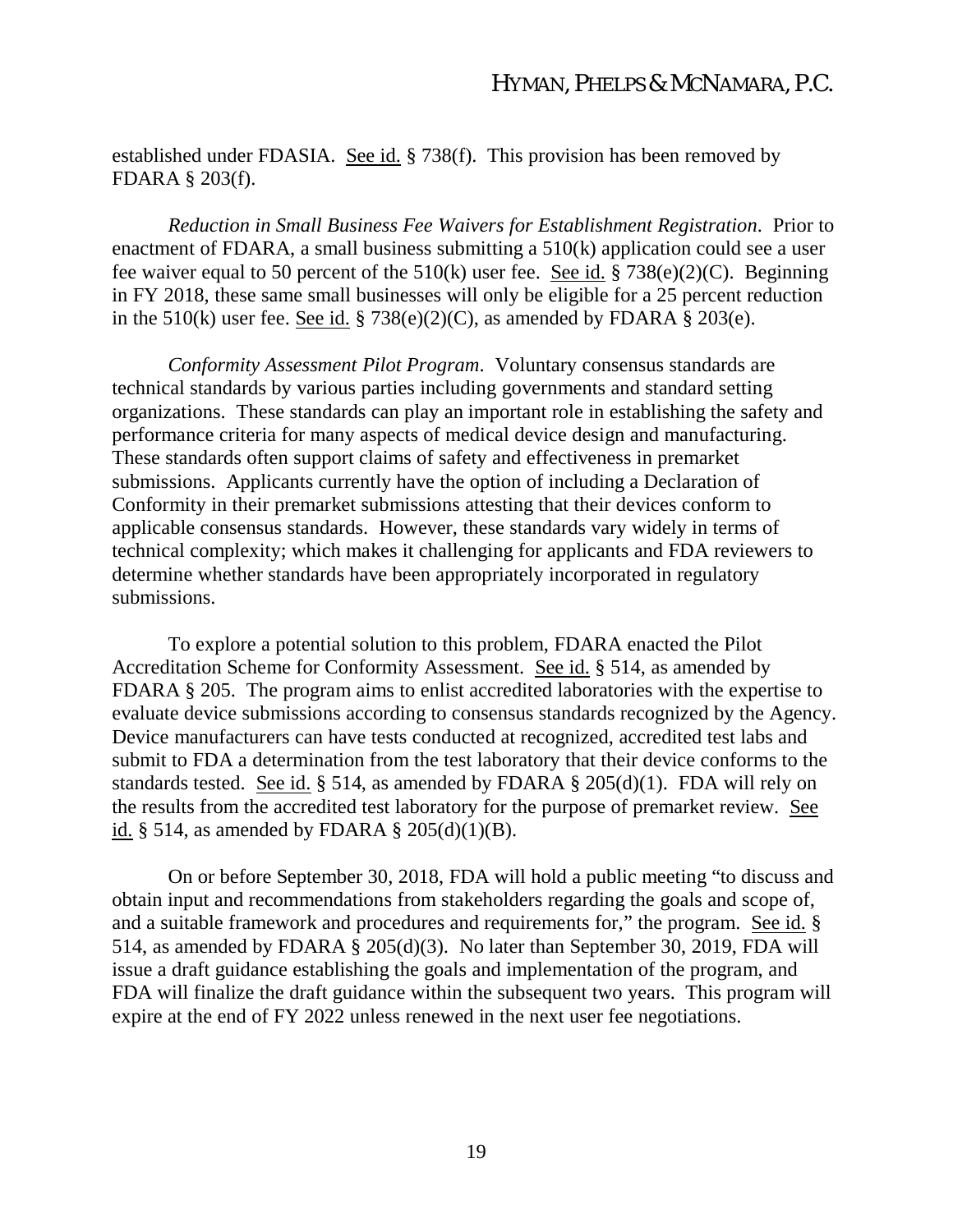established under FDASIA. See id. § 738(f). This provision has been removed by FDARA § 203(f).

*Reduction in Small Business Fee Waivers for Establishment Registration*. Prior to enactment of FDARA, a small business submitting a 510(k) application could see a user fee waiver equal to 50 percent of the 510(k) user fee. See id. § 738(e)(2)(C). Beginning in FY 2018, these same small businesses will only be eligible for a 25 percent reduction in the 510(k) user fee. See id. § 738(e)(2)(C), as amended by FDARA § 203(e).

*Conformity Assessment Pilot Program*. Voluntary consensus standards are technical standards by various parties including governments and standard setting organizations. These standards can play an important role in establishing the safety and performance criteria for many aspects of medical device design and manufacturing. These standards often support claims of safety and effectiveness in premarket submissions. Applicants currently have the option of including a Declaration of Conformity in their premarket submissions attesting that their devices conform to applicable consensus standards. However, these standards vary widely in terms of technical complexity; which makes it challenging for applicants and FDA reviewers to determine whether standards have been appropriately incorporated in regulatory submissions.

To explore a potential solution to this problem, FDARA enacted the Pilot Accreditation Scheme for Conformity Assessment. See id. § 514, as amended by FDARA § 205. The program aims to enlist accredited laboratories with the expertise to evaluate device submissions according to consensus standards recognized by the Agency. Device manufacturers can have tests conducted at recognized, accredited test labs and submit to FDA a determination from the test laboratory that their device conforms to the standards tested. See id. § 514, as amended by FDARA § 205(d)(1). FDA will rely on the results from the accredited test laboratory for the purpose of premarket review. See id.  $\S$  514, as amended by FDARA  $\S$  205(d)(1)(B).

On or before September 30, 2018, FDA will hold a public meeting "to discuss and obtain input and recommendations from stakeholders regarding the goals and scope of, and a suitable framework and procedures and requirements for," the program. See id. § 514, as amended by FDARA  $\bar{\S}$  205(d)(3). No later than September 30, 2019, FDA will issue a draft guidance establishing the goals and implementation of the program, and FDA will finalize the draft guidance within the subsequent two years. This program will expire at the end of FY 2022 unless renewed in the next user fee negotiations.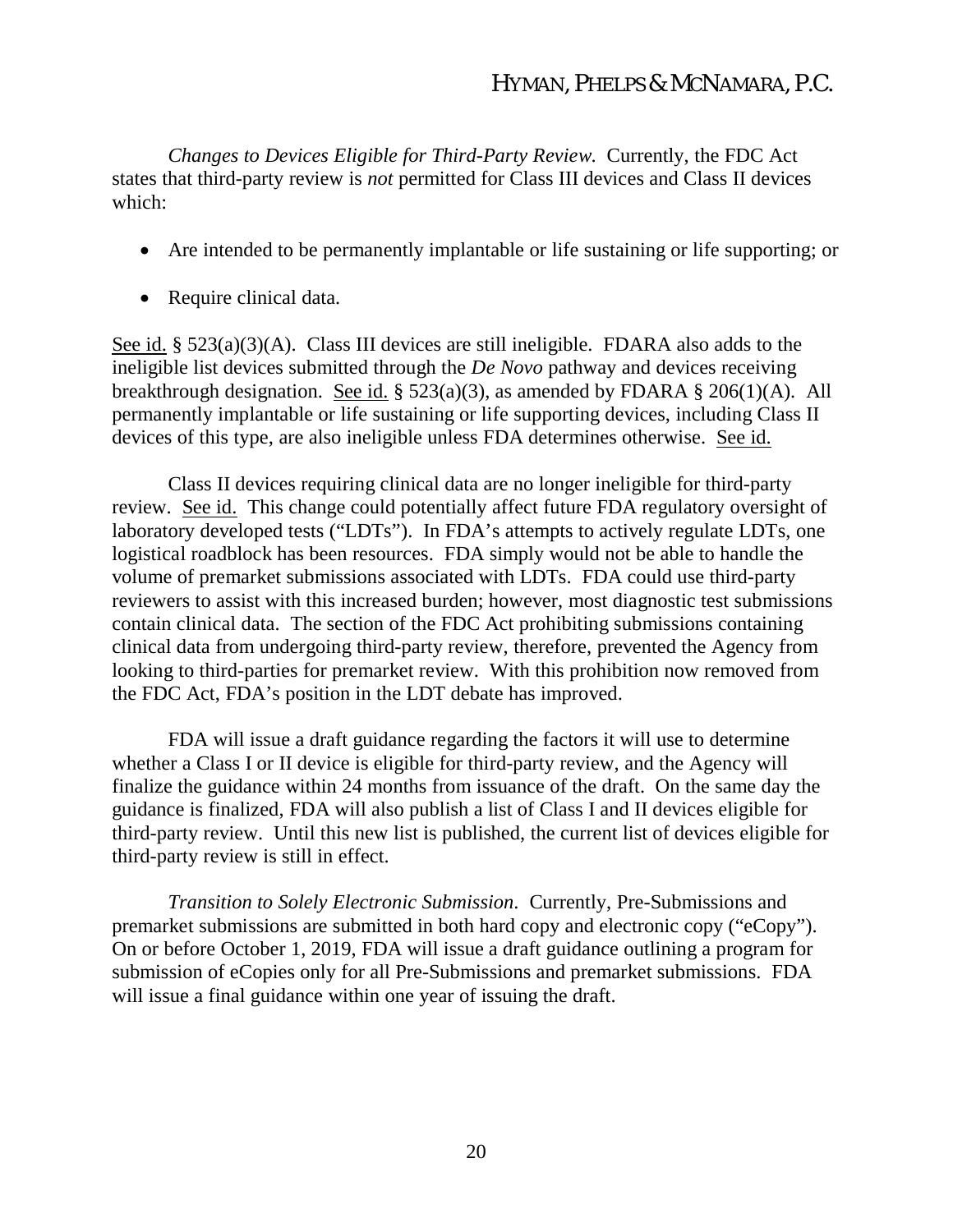*Changes to Devices Eligible for Third-Party Review*. Currently, the FDC Act states that third-party review is *not* permitted for Class III devices and Class II devices which:

- Are intended to be permanently implantable or life sustaining or life supporting; or
- Require clinical data.

See id. § 523(a)(3)(A). Class III devices are still ineligible. FDARA also adds to the ineligible list devices submitted through the *De Novo* pathway and devices receiving breakthrough designation. See id. § 523(a)(3), as amended by FDARA § 206(1)(A). All permanently implantable or life sustaining or life supporting devices, including Class II devices of this type, are also ineligible unless FDA determines otherwise. See id.

Class II devices requiring clinical data are no longer ineligible for third-party review. See id. This change could potentially affect future FDA regulatory oversight of laboratory developed tests ("LDTs"). In FDA's attempts to actively regulate LDTs, one logistical roadblock has been resources. FDA simply would not be able to handle the volume of premarket submissions associated with LDTs. FDA could use third-party reviewers to assist with this increased burden; however, most diagnostic test submissions contain clinical data. The section of the FDC Act prohibiting submissions containing clinical data from undergoing third-party review, therefore, prevented the Agency from looking to third-parties for premarket review. With this prohibition now removed from the FDC Act, FDA's position in the LDT debate has improved.

FDA will issue a draft guidance regarding the factors it will use to determine whether a Class I or II device is eligible for third-party review, and the Agency will finalize the guidance within 24 months from issuance of the draft. On the same day the guidance is finalized, FDA will also publish a list of Class I and II devices eligible for third-party review. Until this new list is published, the current list of devices eligible for third-party review is still in effect.

*Transition to Solely Electronic Submission*. Currently, Pre-Submissions and premarket submissions are submitted in both hard copy and electronic copy ("eCopy"). On or before October 1, 2019, FDA will issue a draft guidance outlining a program for submission of eCopies only for all Pre-Submissions and premarket submissions. FDA will issue a final guidance within one year of issuing the draft.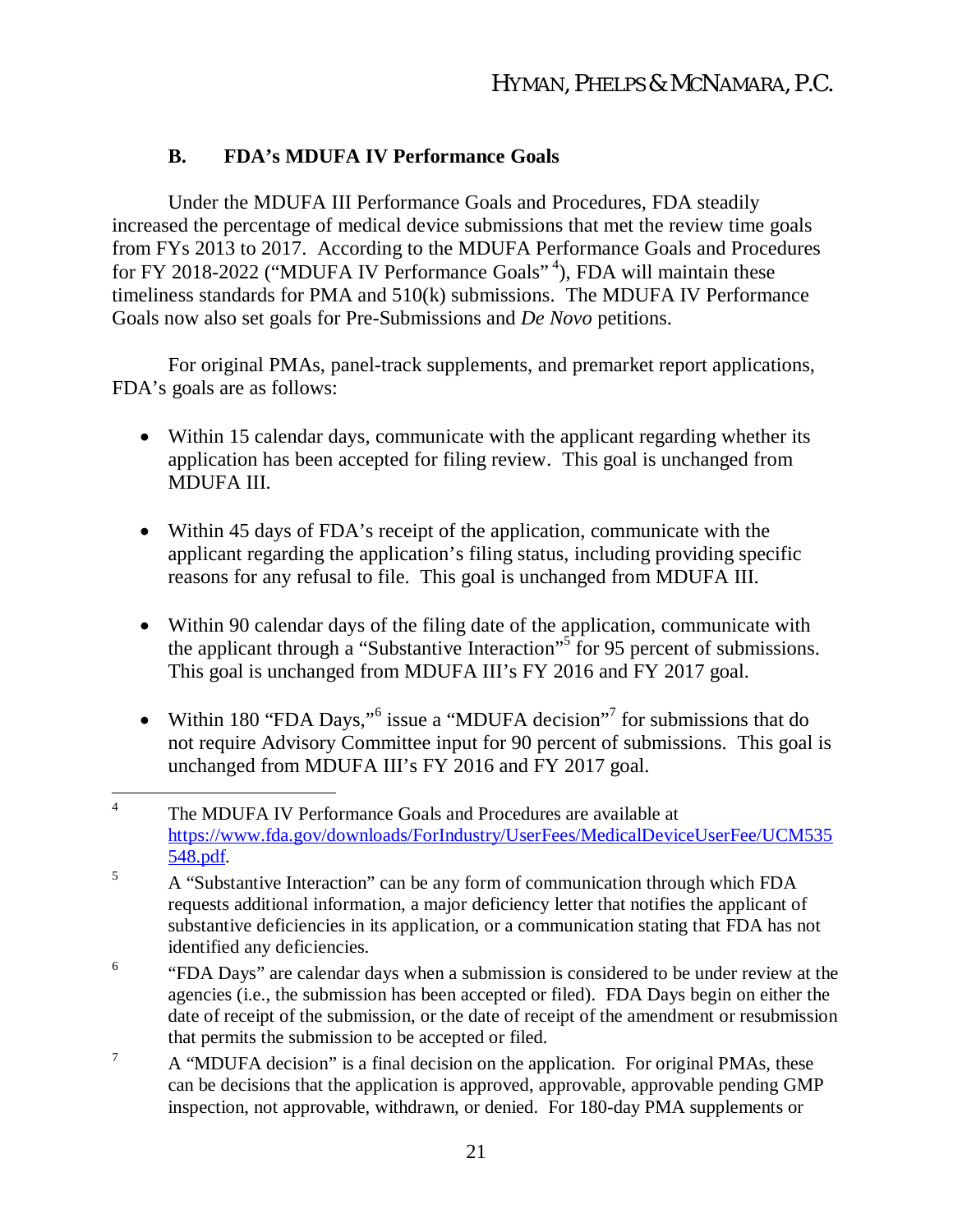# **B. FDA's MDUFA IV Performance Goals**

Under the MDUFA III Performance Goals and Procedures, FDA steadily increased the percentage of medical device submissions that met the review time goals from FYs 2013 to 2017. According to the MDUFA Performance Goals and Procedures for FY 2018-2022 ("MDUFA IV Performance Goals"<sup>4</sup>), FDA will maintain these timeliness standards for PMA and 510(k) submissions. The MDUFA IV Performance Goals now also set goals for Pre-Submissions and *De Novo* petitions.

For original PMAs, panel-track supplements, and premarket report applications, FDA's goals are as follows:

- Within 15 calendar days, communicate with the applicant regarding whether its application has been accepted for filing review. This goal is unchanged from MDUFA III.
- Within 45 days of FDA's receipt of the application, communicate with the applicant regarding the application's filing status, including providing specific reasons for any refusal to file. This goal is unchanged from MDUFA III.
- Within 90 calendar days of the filing date of the application, communicate with the applicant through a "Substantive Interaction"<sup>5</sup> for 95 percent of submissions. This goal is unchanged from MDUFA III's FY 2016 and FY 2017 goal.
- Within 180 "FDA Days," issue a "MDUFA decision"<sup>7</sup> for submissions that do not require Advisory Committee input for 90 percent of submissions. This goal is unchanged from MDUFA III's FY 2016 and FY 2017 goal.

<sup>7</sup> A "MDUFA decision" is a final decision on the application. For original PMAs, these can be decisions that the application is approved, approvable, approvable pending GMP inspection, not approvable, withdrawn, or denied. For 180-day PMA supplements or

<sup>4</sup> The MDUFA IV Performance Goals and Procedures are available at https://www.fda.gov/downloads/ForIndustry/UserFees/MedicalDeviceUserFee/UCM535 548.pdf.

<sup>&</sup>lt;sup>5</sup> A "Substantive Interaction" can be any form of communication through which FDA requests additional information, a major deficiency letter that notifies the applicant of substantive deficiencies in its application, or a communication stating that FDA has not identified any deficiencies.

<sup>6</sup> "FDA Days" are calendar days when a submission is considered to be under review at the agencies (i.e., the submission has been accepted or filed). FDA Days begin on either the date of receipt of the submission, or the date of receipt of the amendment or resubmission that permits the submission to be accepted or filed.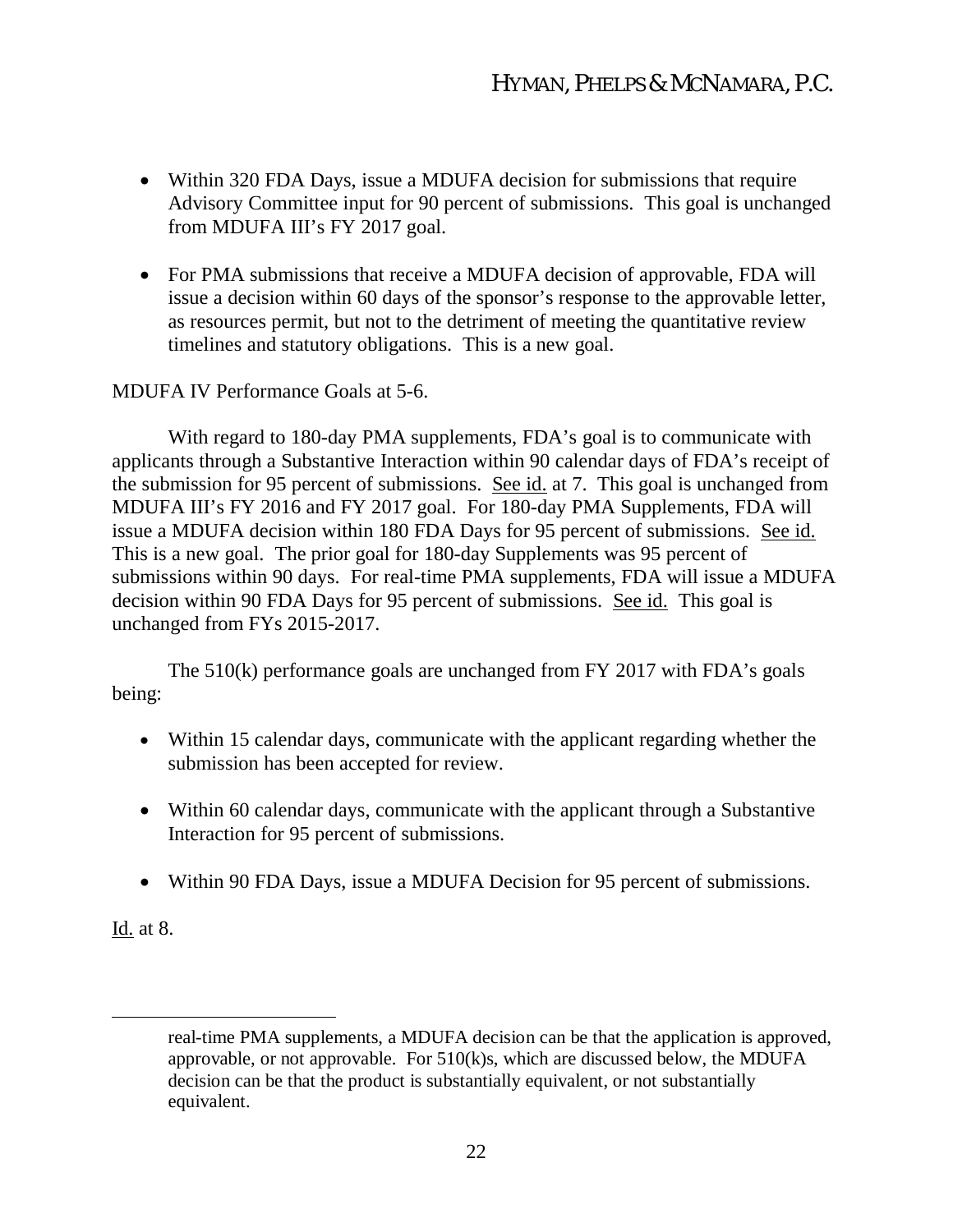- Within 320 FDA Days, issue a MDUFA decision for submissions that require Advisory Committee input for 90 percent of submissions. This goal is unchanged from MDUFA III's FY 2017 goal.
- For PMA submissions that receive a MDUFA decision of approvable, FDA will issue a decision within 60 days of the sponsor's response to the approvable letter, as resources permit, but not to the detriment of meeting the quantitative review timelines and statutory obligations. This is a new goal.

#### MDUFA IV Performance Goals at 5-6.

With regard to 180-day PMA supplements, FDA's goal is to communicate with applicants through a Substantive Interaction within 90 calendar days of FDA's receipt of the submission for 95 percent of submissions. See id. at 7. This goal is unchanged from MDUFA III's FY 2016 and FY 2017 goal. For 180-day PMA Supplements, FDA will issue a MDUFA decision within 180 FDA Days for 95 percent of submissions. See id. This is a new goal. The prior goal for 180-day Supplements was 95 percent of submissions within 90 days. For real-time PMA supplements, FDA will issue a MDUFA decision within 90 FDA Days for 95 percent of submissions. See id. This goal is unchanged from FYs 2015-2017.

The 510(k) performance goals are unchanged from FY 2017 with FDA's goals being:

- Within 15 calendar days, communicate with the applicant regarding whether the submission has been accepted for review.
- Within 60 calendar days, communicate with the applicant through a Substantive Interaction for 95 percent of submissions.
- Within 90 FDA Days, issue a MDUFA Decision for 95 percent of submissions.

Id. at 8.

real-time PMA supplements, a MDUFA decision can be that the application is approved, approvable, or not approvable. For 510(k)s, which are discussed below, the MDUFA decision can be that the product is substantially equivalent, or not substantially equivalent.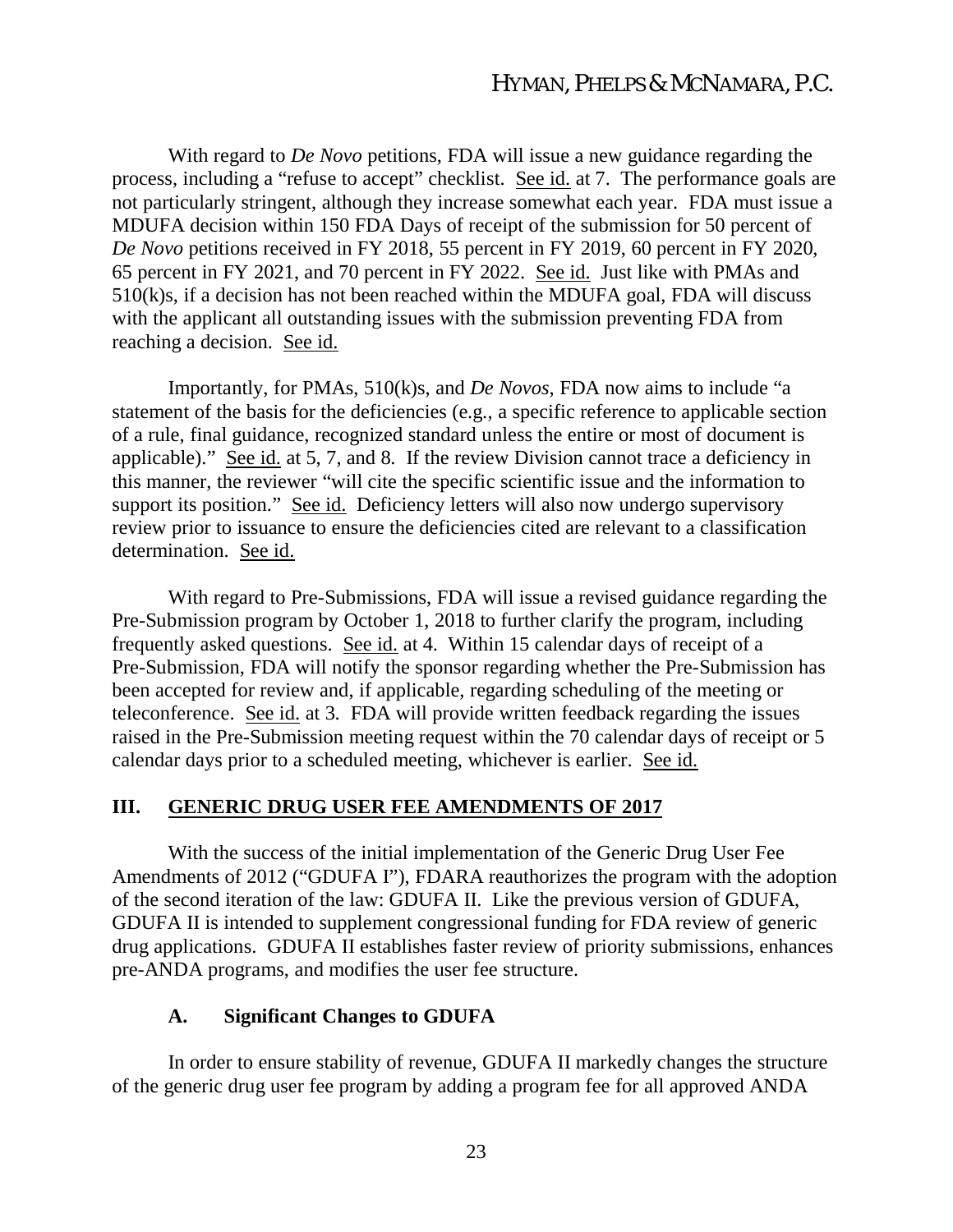With regard to *De Novo* petitions, FDA will issue a new guidance regarding the process, including a "refuse to accept" checklist. See id. at 7. The performance goals are not particularly stringent, although they increase somewhat each year. FDA must issue a MDUFA decision within 150 FDA Days of receipt of the submission for 50 percent of *De Novo* petitions received in FY 2018, 55 percent in FY 2019, 60 percent in FY 2020, 65 percent in FY 2021, and 70 percent in FY 2022. See id. Just like with PMAs and 510(k)s, if a decision has not been reached within the MDUFA goal, FDA will discuss with the applicant all outstanding issues with the submission preventing FDA from reaching a decision. See id.

Importantly, for PMAs, 510(k)s, and *De Novos*, FDA now aims to include "a statement of the basis for the deficiencies (e.g., a specific reference to applicable section of a rule, final guidance, recognized standard unless the entire or most of document is applicable)." See id. at 5, 7, and 8. If the review Division cannot trace a deficiency in this manner, the reviewer "will cite the specific scientific issue and the information to support its position." See id. Deficiency letters will also now undergo supervisory review prior to issuance to ensure the deficiencies cited are relevant to a classification determination. See id.

With regard to Pre-Submissions, FDA will issue a revised guidance regarding the Pre-Submission program by October 1, 2018 to further clarify the program, including frequently asked questions. See id. at 4. Within 15 calendar days of receipt of a Pre-Submission, FDA will notify the sponsor regarding whether the Pre-Submission has been accepted for review and, if applicable, regarding scheduling of the meeting or teleconference. See id. at 3. FDA will provide written feedback regarding the issues raised in the Pre-Submission meeting request within the 70 calendar days of receipt or 5 calendar days prior to a scheduled meeting, whichever is earlier. See id.

#### **III. GENERIC DRUG USER FEE AMENDMENTS OF 2017**

With the success of the initial implementation of the Generic Drug User Fee Amendments of 2012 ("GDUFA I"), FDARA reauthorizes the program with the adoption of the second iteration of the law: GDUFA II. Like the previous version of GDUFA, GDUFA II is intended to supplement congressional funding for FDA review of generic drug applications. GDUFA II establishes faster review of priority submissions, enhances pre-ANDA programs, and modifies the user fee structure.

#### **A. Significant Changes to GDUFA**

In order to ensure stability of revenue, GDUFA II markedly changes the structure of the generic drug user fee program by adding a program fee for all approved ANDA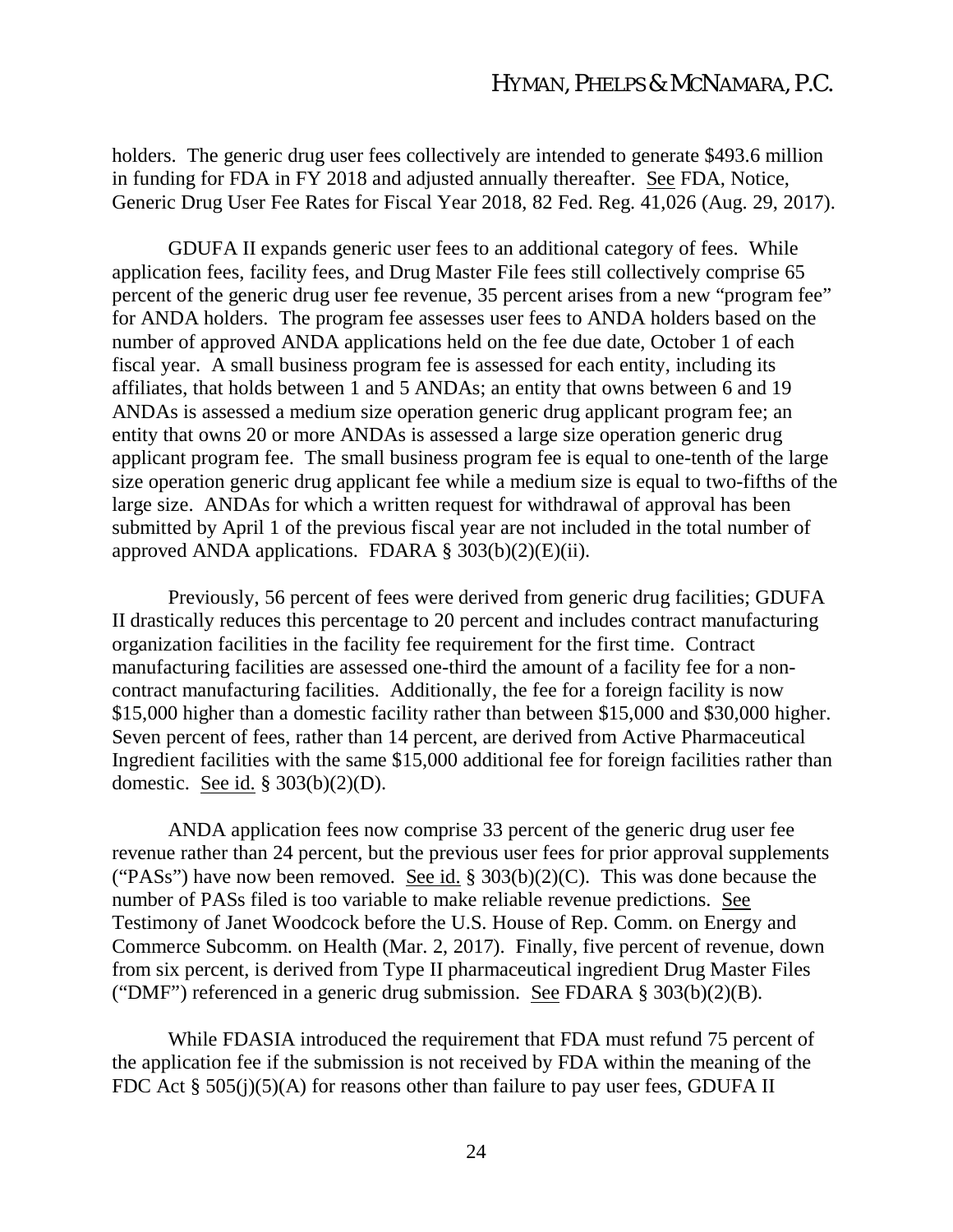holders. The generic drug user fees collectively are intended to generate \$493.6 million in funding for FDA in FY 2018 and adjusted annually thereafter. See FDA, Notice, Generic Drug User Fee Rates for Fiscal Year 2018, 82 Fed. Reg. 41,026 (Aug. 29, 2017).

GDUFA II expands generic user fees to an additional category of fees. While application fees, facility fees, and Drug Master File fees still collectively comprise 65 percent of the generic drug user fee revenue, 35 percent arises from a new "program fee" for ANDA holders. The program fee assesses user fees to ANDA holders based on the number of approved ANDA applications held on the fee due date, October 1 of each fiscal year. A small business program fee is assessed for each entity, including its affiliates, that holds between 1 and 5 ANDAs; an entity that owns between 6 and 19 ANDAs is assessed a medium size operation generic drug applicant program fee; an entity that owns 20 or more ANDAs is assessed a large size operation generic drug applicant program fee. The small business program fee is equal to one-tenth of the large size operation generic drug applicant fee while a medium size is equal to two-fifths of the large size. ANDAs for which a written request for withdrawal of approval has been submitted by April 1 of the previous fiscal year are not included in the total number of approved ANDA applications. FDARA  $\S 303(b)(2)(E)(ii)$ .

Previously, 56 percent of fees were derived from generic drug facilities; GDUFA II drastically reduces this percentage to 20 percent and includes contract manufacturing organization facilities in the facility fee requirement for the first time. Contract manufacturing facilities are assessed one-third the amount of a facility fee for a noncontract manufacturing facilities. Additionally, the fee for a foreign facility is now \$15,000 higher than a domestic facility rather than between \$15,000 and \$30,000 higher. Seven percent of fees, rather than 14 percent, are derived from Active Pharmaceutical Ingredient facilities with the same \$15,000 additional fee for foreign facilities rather than domestic. See id. § 303(b)(2)(D).

ANDA application fees now comprise 33 percent of the generic drug user fee revenue rather than 24 percent, but the previous user fees for prior approval supplements ("PASs") have now been removed. See id. §  $303(b)(2)(C)$ . This was done because the number of PASs filed is too variable to make reliable revenue predictions. See Testimony of Janet Woodcock before the U.S. House of Rep. Comm. on Energy and Commerce Subcomm. on Health (Mar. 2, 2017). Finally, five percent of revenue, down from six percent, is derived from Type II pharmaceutical ingredient Drug Master Files ("DMF") referenced in a generic drug submission. See FDARA  $\S 303(b)(2)(B)$ .

While FDASIA introduced the requirement that FDA must refund 75 percent of the application fee if the submission is not received by FDA within the meaning of the FDC Act §  $505(j)(5)(A)$  for reasons other than failure to pay user fees, GDUFA II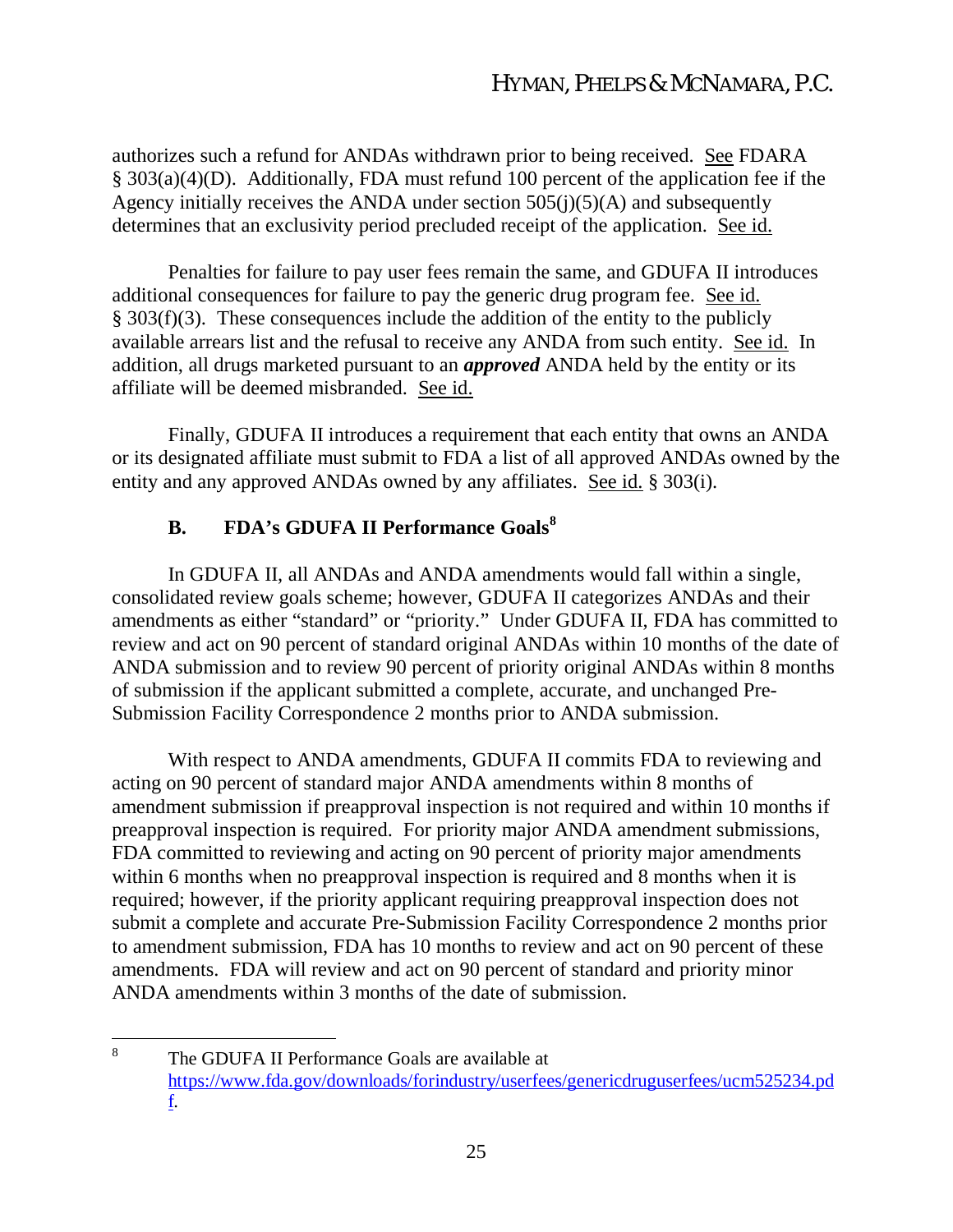authorizes such a refund for ANDAs withdrawn prior to being received. See FDARA § 303(a)(4)(D). Additionally, FDA must refund 100 percent of the application fee if the Agency initially receives the ANDA under section  $505(j)(5)(A)$  and subsequently determines that an exclusivity period precluded receipt of the application. See id.

Penalties for failure to pay user fees remain the same, and GDUFA II introduces additional consequences for failure to pay the generic drug program fee. See id. § 303(f)(3). These consequences include the addition of the entity to the publicly available arrears list and the refusal to receive any ANDA from such entity. See id. In addition, all drugs marketed pursuant to an *approved* ANDA held by the entity or its affiliate will be deemed misbranded. See id.

Finally, GDUFA II introduces a requirement that each entity that owns an ANDA or its designated affiliate must submit to FDA a list of all approved ANDAs owned by the entity and any approved ANDAs owned by any affiliates. See id. § 303(i).

# **B. FDA's GDUFA II Performance Goals<sup>8</sup>**

In GDUFA II, all ANDAs and ANDA amendments would fall within a single, consolidated review goals scheme; however, GDUFA II categorizes ANDAs and their amendments as either "standard" or "priority." Under GDUFA II, FDA has committed to review and act on 90 percent of standard original ANDAs within 10 months of the date of ANDA submission and to review 90 percent of priority original ANDAs within 8 months of submission if the applicant submitted a complete, accurate, and unchanged Pre-Submission Facility Correspondence 2 months prior to ANDA submission.

With respect to ANDA amendments, GDUFA II commits FDA to reviewing and acting on 90 percent of standard major ANDA amendments within 8 months of amendment submission if preapproval inspection is not required and within 10 months if preapproval inspection is required. For priority major ANDA amendment submissions, FDA committed to reviewing and acting on 90 percent of priority major amendments within 6 months when no preapproval inspection is required and 8 months when it is required; however, if the priority applicant requiring preapproval inspection does not submit a complete and accurate Pre-Submission Facility Correspondence 2 months prior to amendment submission, FDA has 10 months to review and act on 90 percent of these amendments. FDA will review and act on 90 percent of standard and priority minor ANDA amendments within 3 months of the date of submission.

<sup>8</sup> The GDUFA II Performance Goals are available at https://www.fda.gov/downloads/forindustry/userfees/genericdruguserfees/ucm525234.pd f.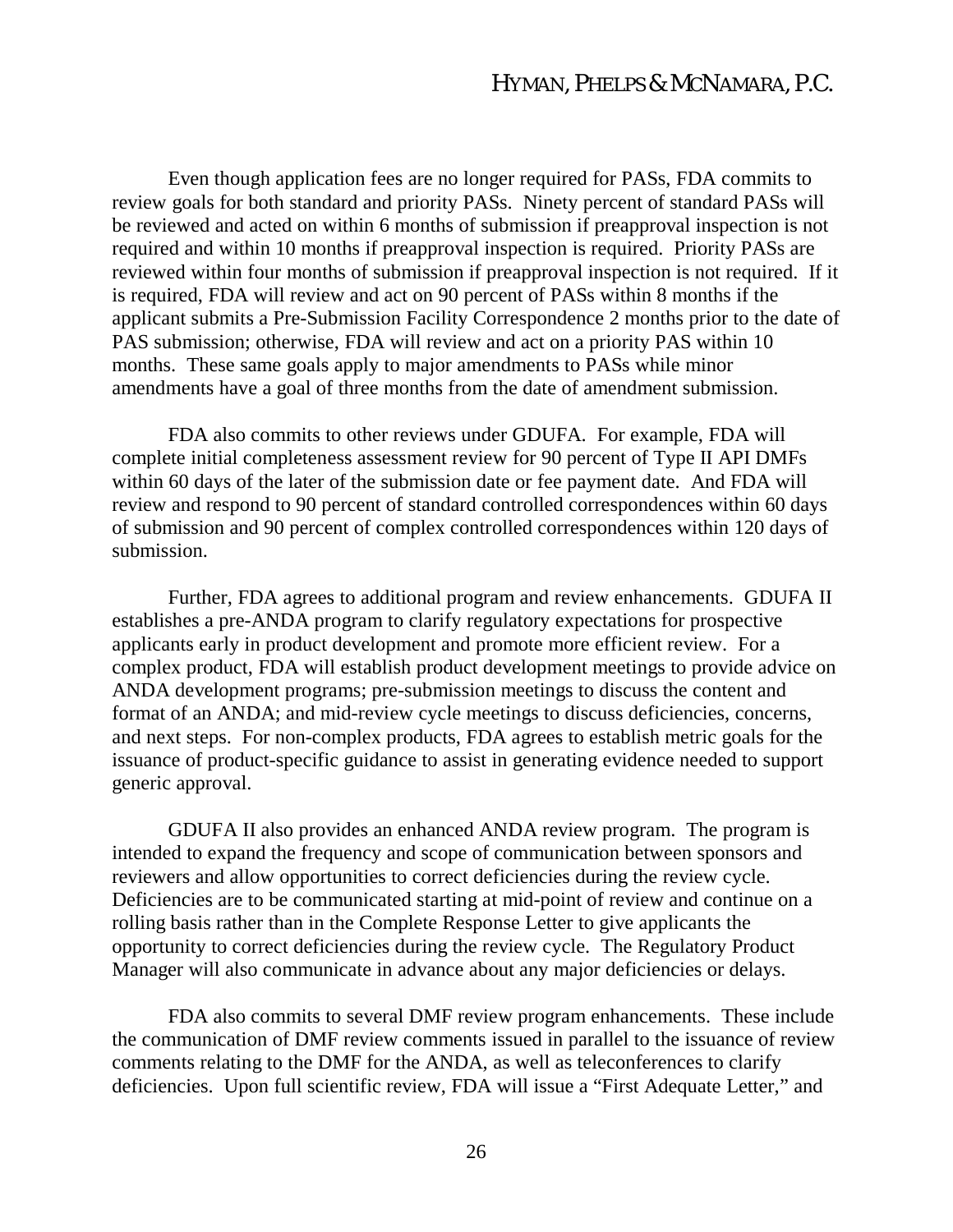Even though application fees are no longer required for PASs, FDA commits to review goals for both standard and priority PASs. Ninety percent of standard PASs will be reviewed and acted on within 6 months of submission if preapproval inspection is not required and within 10 months if preapproval inspection is required. Priority PASs are reviewed within four months of submission if preapproval inspection is not required. If it is required, FDA will review and act on 90 percent of PASs within 8 months if the applicant submits a Pre-Submission Facility Correspondence 2 months prior to the date of PAS submission; otherwise, FDA will review and act on a priority PAS within 10 months. These same goals apply to major amendments to PASs while minor amendments have a goal of three months from the date of amendment submission.

FDA also commits to other reviews under GDUFA. For example, FDA will complete initial completeness assessment review for 90 percent of Type II API DMFs within 60 days of the later of the submission date or fee payment date. And FDA will review and respond to 90 percent of standard controlled correspondences within 60 days of submission and 90 percent of complex controlled correspondences within 120 days of submission.

Further, FDA agrees to additional program and review enhancements. GDUFA II establishes a pre-ANDA program to clarify regulatory expectations for prospective applicants early in product development and promote more efficient review. For a complex product, FDA will establish product development meetings to provide advice on ANDA development programs; pre-submission meetings to discuss the content and format of an ANDA; and mid-review cycle meetings to discuss deficiencies, concerns, and next steps. For non-complex products, FDA agrees to establish metric goals for the issuance of product-specific guidance to assist in generating evidence needed to support generic approval.

GDUFA II also provides an enhanced ANDA review program. The program is intended to expand the frequency and scope of communication between sponsors and reviewers and allow opportunities to correct deficiencies during the review cycle. Deficiencies are to be communicated starting at mid-point of review and continue on a rolling basis rather than in the Complete Response Letter to give applicants the opportunity to correct deficiencies during the review cycle. The Regulatory Product Manager will also communicate in advance about any major deficiencies or delays.

FDA also commits to several DMF review program enhancements. These include the communication of DMF review comments issued in parallel to the issuance of review comments relating to the DMF for the ANDA, as well as teleconferences to clarify deficiencies. Upon full scientific review, FDA will issue a "First Adequate Letter," and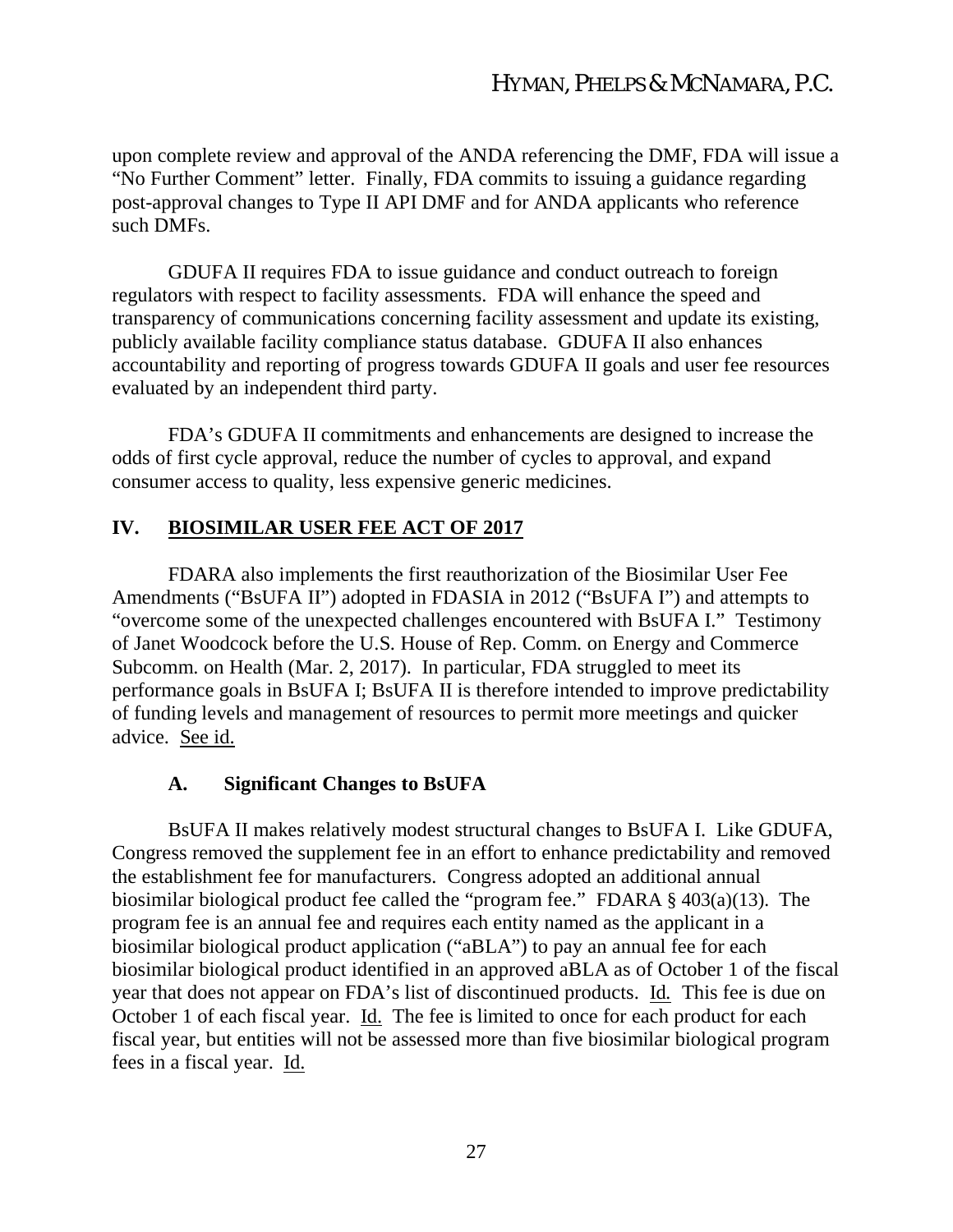upon complete review and approval of the ANDA referencing the DMF, FDA will issue a "No Further Comment" letter. Finally, FDA commits to issuing a guidance regarding post-approval changes to Type II API DMF and for ANDA applicants who reference such DMFs.

GDUFA II requires FDA to issue guidance and conduct outreach to foreign regulators with respect to facility assessments. FDA will enhance the speed and transparency of communications concerning facility assessment and update its existing, publicly available facility compliance status database. GDUFA II also enhances accountability and reporting of progress towards GDUFA II goals and user fee resources evaluated by an independent third party.

FDA's GDUFA II commitments and enhancements are designed to increase the odds of first cycle approval, reduce the number of cycles to approval, and expand consumer access to quality, less expensive generic medicines.

### **IV. BIOSIMILAR USER FEE ACT OF 2017**

FDARA also implements the first reauthorization of the Biosimilar User Fee Amendments ("BsUFA II") adopted in FDASIA in 2012 ("BsUFA I") and attempts to "overcome some of the unexpected challenges encountered with BsUFA I." Testimony of Janet Woodcock before the U.S. House of Rep. Comm. on Energy and Commerce Subcomm. on Health (Mar. 2, 2017). In particular, FDA struggled to meet its performance goals in BsUFA I; BsUFA II is therefore intended to improve predictability of funding levels and management of resources to permit more meetings and quicker advice. See id.

### **A. Significant Changes to BsUFA**

BsUFA II makes relatively modest structural changes to BsUFA I. Like GDUFA, Congress removed the supplement fee in an effort to enhance predictability and removed the establishment fee for manufacturers. Congress adopted an additional annual biosimilar biological product fee called the "program fee." FDARA § 403(a)(13). The program fee is an annual fee and requires each entity named as the applicant in a biosimilar biological product application ("aBLA") to pay an annual fee for each biosimilar biological product identified in an approved aBLA as of October 1 of the fiscal year that does not appear on FDA's list of discontinued products. Id*.* This fee is due on October 1 of each fiscal year. Id. The fee is limited to once for each product for each fiscal year, but entities will not be assessed more than five biosimilar biological program fees in a fiscal year. Id.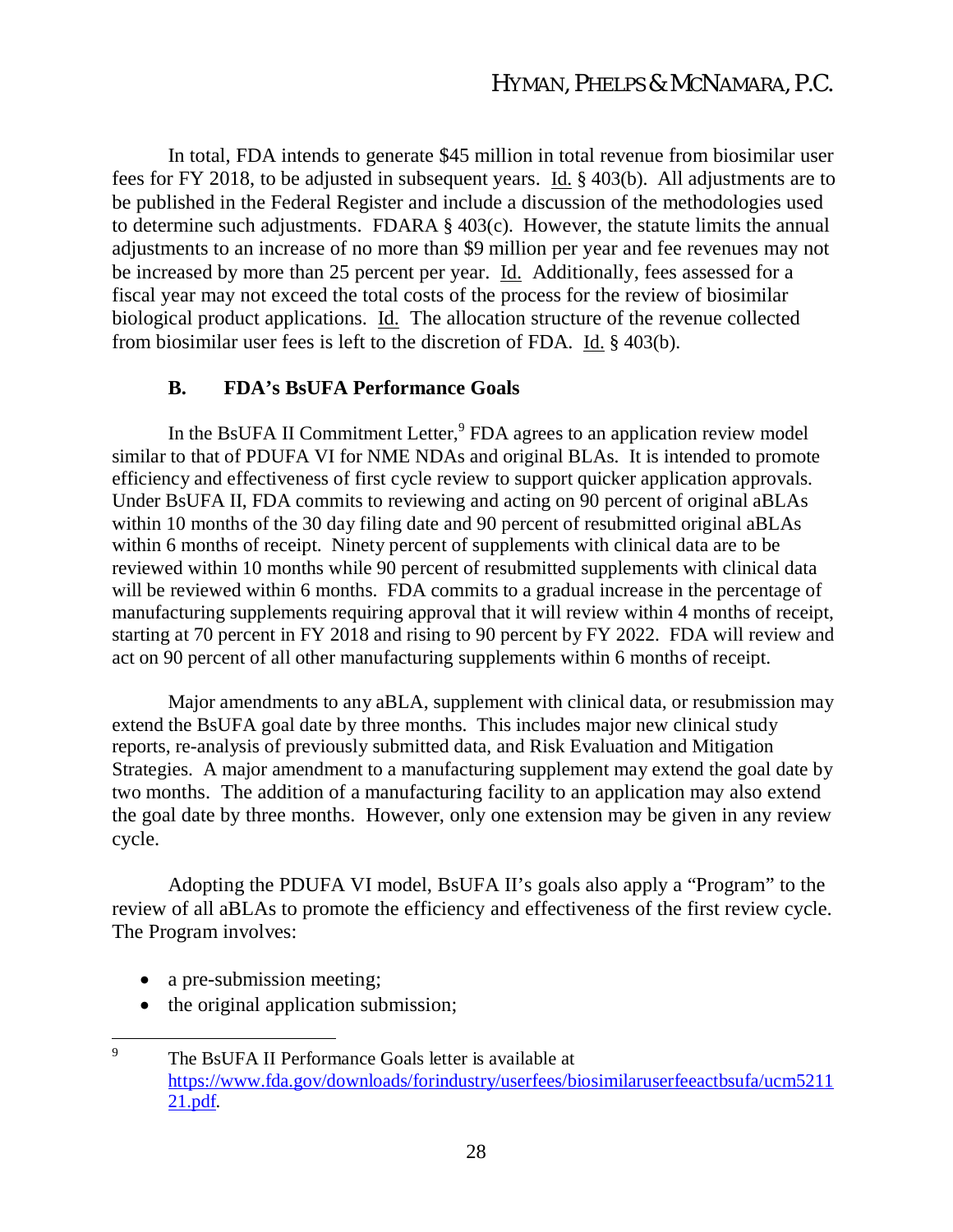In total, FDA intends to generate \$45 million in total revenue from biosimilar user fees for FY 2018, to be adjusted in subsequent years. Id. § 403(b). All adjustments are to be published in the Federal Register and include a discussion of the methodologies used to determine such adjustments. FDARA § 403(c). However, the statute limits the annual adjustments to an increase of no more than \$9 million per year and fee revenues may not be increased by more than 25 percent per year. Id. Additionally, fees assessed for a fiscal year may not exceed the total costs of the process for the review of biosimilar biological product applications. Id. The allocation structure of the revenue collected from biosimilar user fees is left to the discretion of FDA. Id. § 403(b).

#### **B. FDA's BsUFA Performance Goals**

In the BsUFA II Commitment Letter, $9$  FDA agrees to an application review model similar to that of PDUFA VI for NME NDAs and original BLAs. It is intended to promote efficiency and effectiveness of first cycle review to support quicker application approvals. Under BsUFA II, FDA commits to reviewing and acting on 90 percent of original aBLAs within 10 months of the 30 day filing date and 90 percent of resubmitted original aBLAs within 6 months of receipt. Ninety percent of supplements with clinical data are to be reviewed within 10 months while 90 percent of resubmitted supplements with clinical data will be reviewed within 6 months. FDA commits to a gradual increase in the percentage of manufacturing supplements requiring approval that it will review within 4 months of receipt, starting at 70 percent in FY 2018 and rising to 90 percent by FY 2022. FDA will review and act on 90 percent of all other manufacturing supplements within 6 months of receipt.

Major amendments to any aBLA, supplement with clinical data, or resubmission may extend the BsUFA goal date by three months. This includes major new clinical study reports, re-analysis of previously submitted data, and Risk Evaluation and Mitigation Strategies. A major amendment to a manufacturing supplement may extend the goal date by two months. The addition of a manufacturing facility to an application may also extend the goal date by three months. However, only one extension may be given in any review cycle.

Adopting the PDUFA VI model, BsUFA II's goals also apply a "Program" to the review of all aBLAs to promote the efficiency and effectiveness of the first review cycle. The Program involves:

- a pre-submission meeting;
- the original application submission;
- 9 The BsUFA II Performance Goals letter is available at https://www.fda.gov/downloads/forindustry/userfees/biosimilaruserfeeactbsufa/ucm5211 21.pdf.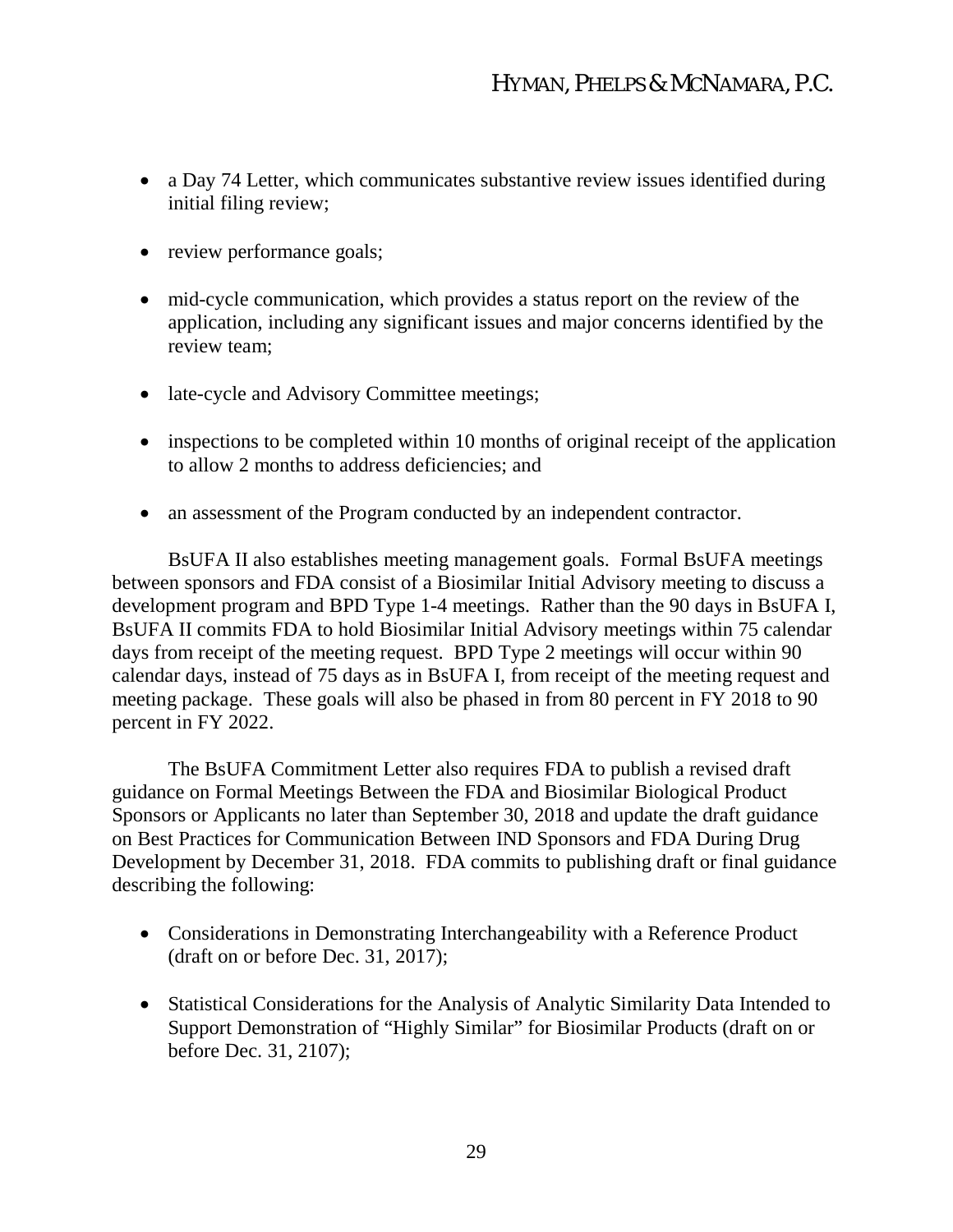- a Day 74 Letter, which communicates substantive review issues identified during initial filing review;
- review performance goals;
- mid-cycle communication, which provides a status report on the review of the application, including any significant issues and major concerns identified by the review team;
- late-cycle and Advisory Committee meetings;
- inspections to be completed within 10 months of original receipt of the application to allow 2 months to address deficiencies; and
- an assessment of the Program conducted by an independent contractor.

BsUFA II also establishes meeting management goals. Formal BsUFA meetings between sponsors and FDA consist of a Biosimilar Initial Advisory meeting to discuss a development program and BPD Type 1-4 meetings. Rather than the 90 days in BsUFA I, BsUFA II commits FDA to hold Biosimilar Initial Advisory meetings within 75 calendar days from receipt of the meeting request. BPD Type 2 meetings will occur within 90 calendar days, instead of 75 days as in BsUFA I, from receipt of the meeting request and meeting package. These goals will also be phased in from 80 percent in FY 2018 to 90 percent in FY 2022.

The BsUFA Commitment Letter also requires FDA to publish a revised draft guidance on Formal Meetings Between the FDA and Biosimilar Biological Product Sponsors or Applicants no later than September 30, 2018 and update the draft guidance on Best Practices for Communication Between IND Sponsors and FDA During Drug Development by December 31, 2018. FDA commits to publishing draft or final guidance describing the following:

- Considerations in Demonstrating Interchangeability with a Reference Product (draft on or before Dec. 31, 2017);
- Statistical Considerations for the Analysis of Analytic Similarity Data Intended to Support Demonstration of "Highly Similar" for Biosimilar Products (draft on or before Dec. 31, 2107);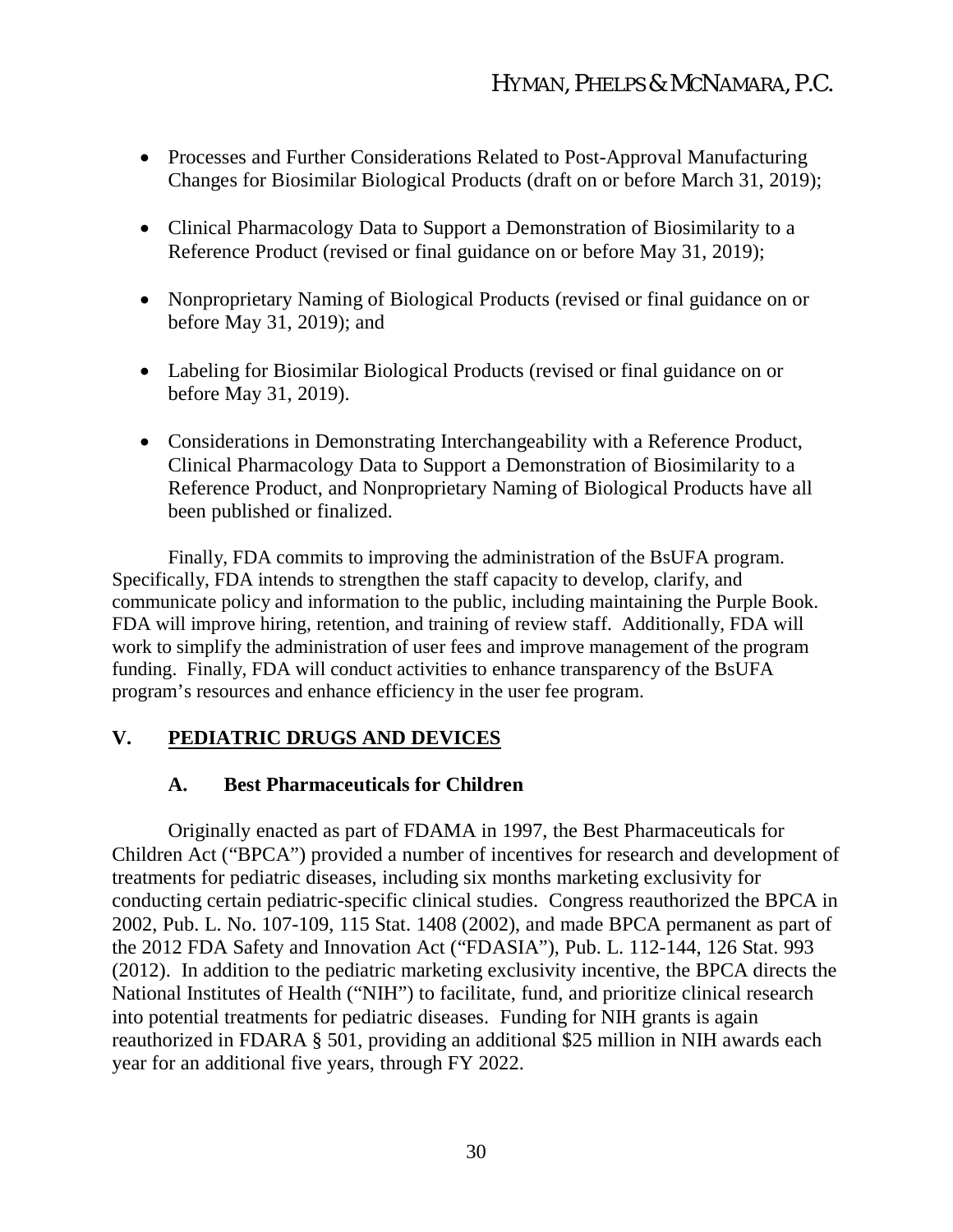- Processes and Further Considerations Related to Post-Approval Manufacturing Changes for Biosimilar Biological Products (draft on or before March 31, 2019);
- Clinical Pharmacology Data to Support a Demonstration of Biosimilarity to a Reference Product (revised or final guidance on or before May 31, 2019);
- Nonproprietary Naming of Biological Products (revised or final guidance on or before May 31, 2019); and
- Labeling for Biosimilar Biological Products (revised or final guidance on or before May 31, 2019).
- Considerations in Demonstrating Interchangeability with a Reference Product, Clinical Pharmacology Data to Support a Demonstration of Biosimilarity to a Reference Product, and Nonproprietary Naming of Biological Products have all been published or finalized.

Finally, FDA commits to improving the administration of the BsUFA program. Specifically, FDA intends to strengthen the staff capacity to develop, clarify, and communicate policy and information to the public, including maintaining the Purple Book. FDA will improve hiring, retention, and training of review staff. Additionally, FDA will work to simplify the administration of user fees and improve management of the program funding. Finally, FDA will conduct activities to enhance transparency of the BsUFA program's resources and enhance efficiency in the user fee program.

# **V. PEDIATRIC DRUGS AND DEVICES**

### **A. Best Pharmaceuticals for Children**

Originally enacted as part of FDAMA in 1997, the Best Pharmaceuticals for Children Act ("BPCA") provided a number of incentives for research and development of treatments for pediatric diseases, including six months marketing exclusivity for conducting certain pediatric-specific clinical studies. Congress reauthorized the BPCA in 2002, Pub. L. No. 107-109, 115 Stat. 1408 (2002), and made BPCA permanent as part of the 2012 FDA Safety and Innovation Act ("FDASIA"), Pub. L. 112-144, 126 Stat. 993 (2012). In addition to the pediatric marketing exclusivity incentive, the BPCA directs the National Institutes of Health ("NIH") to facilitate, fund, and prioritize clinical research into potential treatments for pediatric diseases. Funding for NIH grants is again reauthorized in FDARA § 501, providing an additional \$25 million in NIH awards each year for an additional five years, through FY 2022.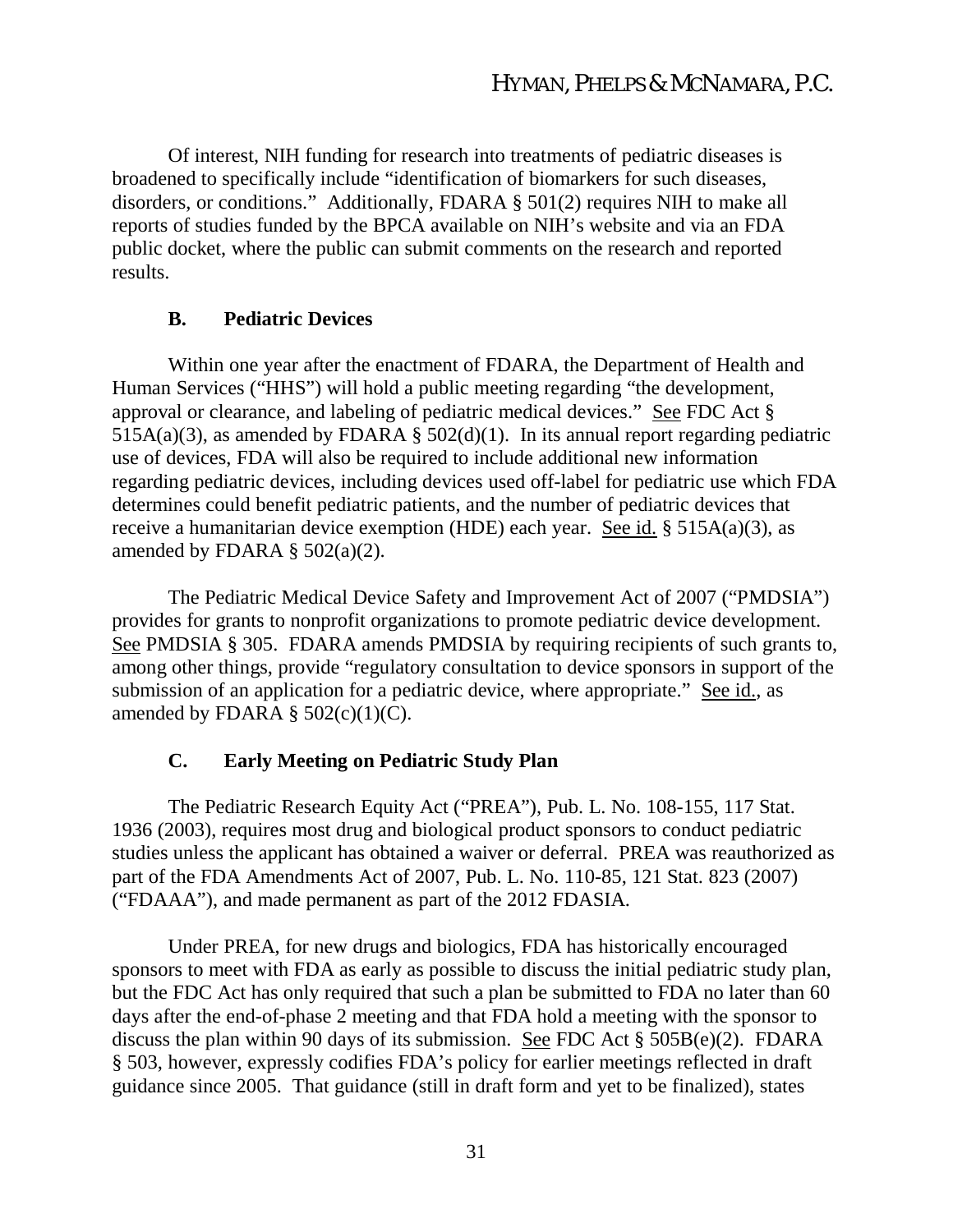Of interest, NIH funding for research into treatments of pediatric diseases is broadened to specifically include "identification of biomarkers for such diseases, disorders, or conditions." Additionally, FDARA § 501(2) requires NIH to make all reports of studies funded by the BPCA available on NIH's website and via an FDA public docket, where the public can submit comments on the research and reported results.

# **B. Pediatric Devices**

Within one year after the enactment of FDARA, the Department of Health and Human Services ("HHS") will hold a public meeting regarding "the development, approval or clearance, and labeling of pediatric medical devices." See FDC Act § 515A(a)(3), as amended by FDARA  $\S$  502(d)(1). In its annual report regarding pediatric use of devices, FDA will also be required to include additional new information regarding pediatric devices, including devices used off-label for pediatric use which FDA determines could benefit pediatric patients, and the number of pediatric devices that receive a humanitarian device exemption (HDE) each year. See id. § 515A(a)(3), as amended by FDARA  $\S$  502(a)(2).

The Pediatric Medical Device Safety and Improvement Act of 2007 ("PMDSIA") provides for grants to nonprofit organizations to promote pediatric device development. See PMDSIA § 305. FDARA amends PMDSIA by requiring recipients of such grants to, among other things, provide "regulatory consultation to device sponsors in support of the submission of an application for a pediatric device, where appropriate." See id., as amended by FDARA §  $502(c)(1)(C)$ .

# **C. Early Meeting on Pediatric Study Plan**

The Pediatric Research Equity Act ("PREA"), Pub. L. No. 108-155, 117 Stat. 1936 (2003), requires most drug and biological product sponsors to conduct pediatric studies unless the applicant has obtained a waiver or deferral. PREA was reauthorized as part of the FDA Amendments Act of 2007, Pub. L. No. 110-85, 121 Stat. 823 (2007) ("FDAAA"), and made permanent as part of the 2012 FDASIA.

Under PREA, for new drugs and biologics, FDA has historically encouraged sponsors to meet with FDA as early as possible to discuss the initial pediatric study plan, but the FDC Act has only required that such a plan be submitted to FDA no later than 60 days after the end-of-phase 2 meeting and that FDA hold a meeting with the sponsor to discuss the plan within 90 days of its submission. See FDC Act § 505B(e)(2). FDARA § 503, however, expressly codifies FDA's policy for earlier meetings reflected in draft guidance since 2005. That guidance (still in draft form and yet to be finalized), states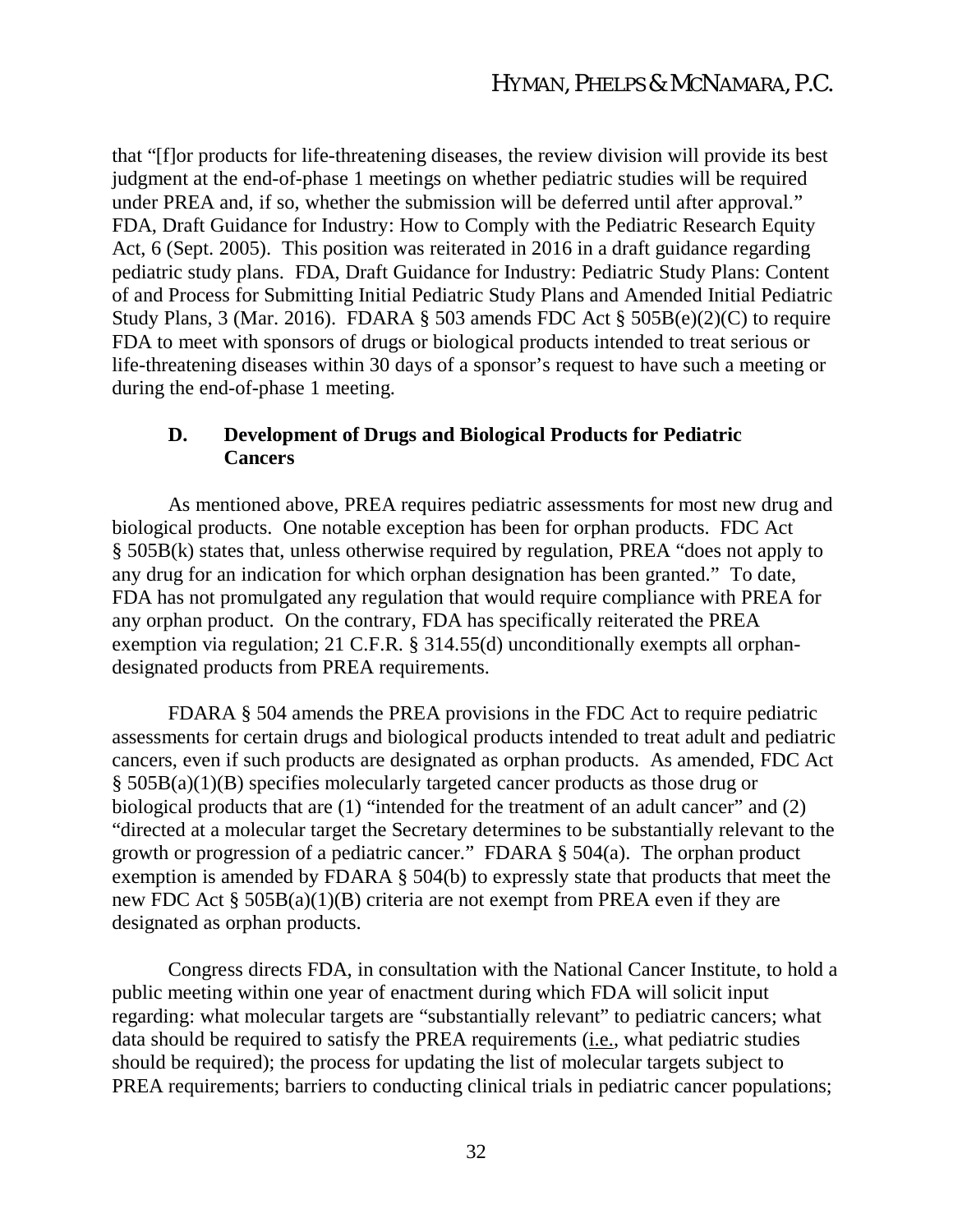that "[f]or products for life-threatening diseases, the review division will provide its best judgment at the end-of-phase 1 meetings on whether pediatric studies will be required under PREA and, if so, whether the submission will be deferred until after approval." FDA, Draft Guidance for Industry: How to Comply with the Pediatric Research Equity Act, 6 (Sept. 2005). This position was reiterated in 2016 in a draft guidance regarding pediatric study plans. FDA, Draft Guidance for Industry: Pediatric Study Plans: Content of and Process for Submitting Initial Pediatric Study Plans and Amended Initial Pediatric Study Plans, 3 (Mar. 2016). FDARA  $\S$  503 amends FDC Act  $\S$  505B(e)(2)(C) to require FDA to meet with sponsors of drugs or biological products intended to treat serious or life-threatening diseases within 30 days of a sponsor's request to have such a meeting or during the end-of-phase 1 meeting.

#### **D. Development of Drugs and Biological Products for Pediatric Cancers**

As mentioned above, PREA requires pediatric assessments for most new drug and biological products. One notable exception has been for orphan products. FDC Act § 505B(k) states that, unless otherwise required by regulation, PREA "does not apply to any drug for an indication for which orphan designation has been granted." To date, FDA has not promulgated any regulation that would require compliance with PREA for any orphan product. On the contrary, FDA has specifically reiterated the PREA exemption via regulation; 21 C.F.R. § 314.55(d) unconditionally exempts all orphandesignated products from PREA requirements.

FDARA § 504 amends the PREA provisions in the FDC Act to require pediatric assessments for certain drugs and biological products intended to treat adult and pediatric cancers, even if such products are designated as orphan products. As amended, FDC Act § 505B(a)(1)(B) specifies molecularly targeted cancer products as those drug or biological products that are (1) "intended for the treatment of an adult cancer" and (2) "directed at a molecular target the Secretary determines to be substantially relevant to the growth or progression of a pediatric cancer." FDARA § 504(a). The orphan product exemption is amended by FDARA § 504(b) to expressly state that products that meet the new FDC Act § 505B(a)(1)(B) criteria are not exempt from PREA even if they are designated as orphan products.

Congress directs FDA, in consultation with the National Cancer Institute, to hold a public meeting within one year of enactment during which FDA will solicit input regarding: what molecular targets are "substantially relevant" to pediatric cancers; what data should be required to satisfy the PREA requirements (i.e., what pediatric studies should be required); the process for updating the list of molecular targets subject to PREA requirements; barriers to conducting clinical trials in pediatric cancer populations;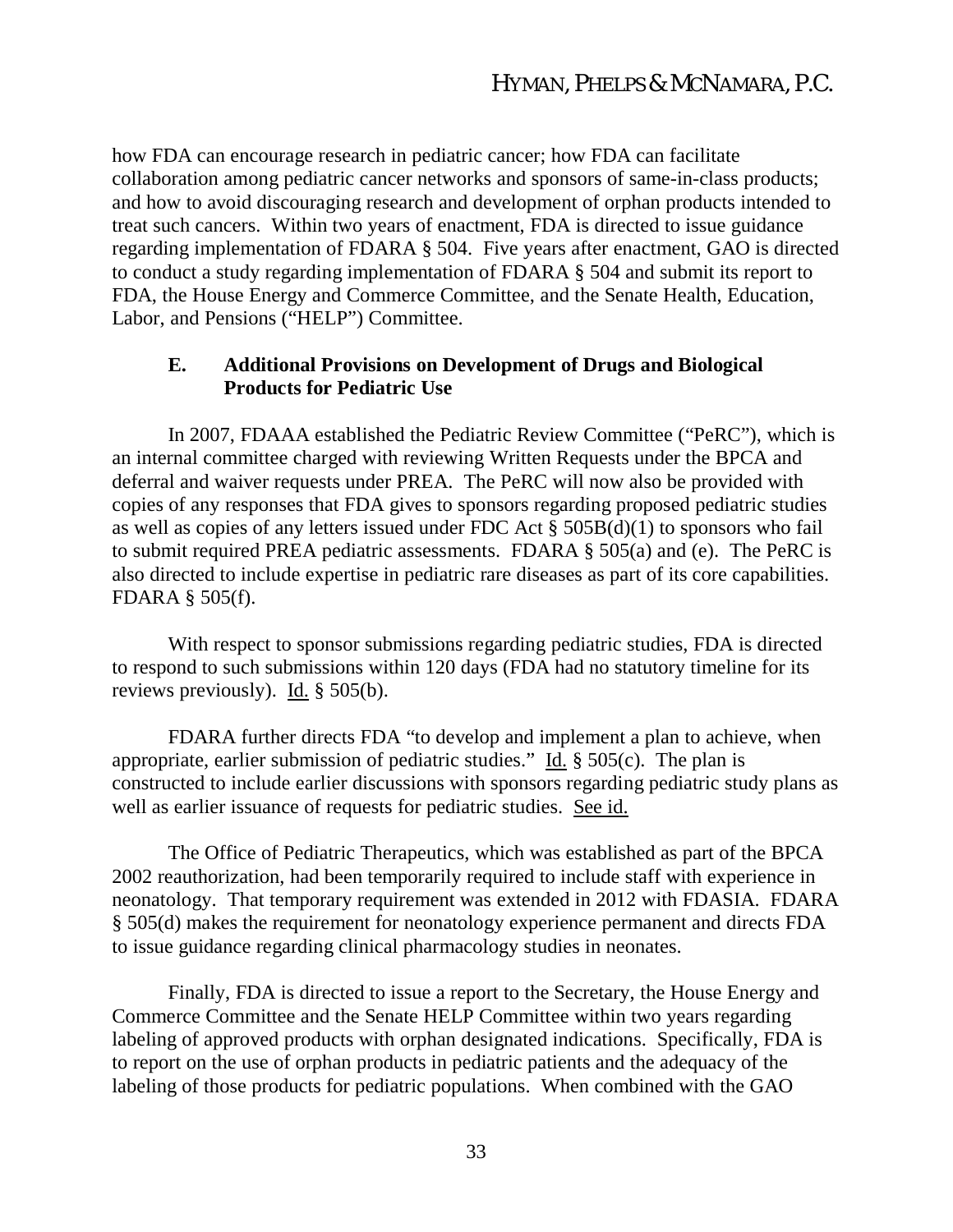how FDA can encourage research in pediatric cancer; how FDA can facilitate collaboration among pediatric cancer networks and sponsors of same-in-class products; and how to avoid discouraging research and development of orphan products intended to treat such cancers. Within two years of enactment, FDA is directed to issue guidance regarding implementation of FDARA § 504. Five years after enactment, GAO is directed to conduct a study regarding implementation of FDARA § 504 and submit its report to FDA, the House Energy and Commerce Committee, and the Senate Health, Education, Labor, and Pensions ("HELP") Committee.

#### **E. Additional Provisions on Development of Drugs and Biological Products for Pediatric Use**

In 2007, FDAAA established the Pediatric Review Committee ("PeRC"), which is an internal committee charged with reviewing Written Requests under the BPCA and deferral and waiver requests under PREA. The PeRC will now also be provided with copies of any responses that FDA gives to sponsors regarding proposed pediatric studies as well as copies of any letters issued under FDC Act  $\S$  505B(d)(1) to sponsors who fail to submit required PREA pediatric assessments. FDARA § 505(a) and (e). The PeRC is also directed to include expertise in pediatric rare diseases as part of its core capabilities. FDARA § 505(f).

With respect to sponsor submissions regarding pediatric studies, FDA is directed to respond to such submissions within 120 days (FDA had no statutory timeline for its reviews previously). Id. § 505(b).

FDARA further directs FDA "to develop and implement a plan to achieve, when appropriate, earlier submission of pediatric studies." Id. § 505(c). The plan is constructed to include earlier discussions with sponsors regarding pediatric study plans as well as earlier issuance of requests for pediatric studies. See id.

The Office of Pediatric Therapeutics, which was established as part of the BPCA 2002 reauthorization, had been temporarily required to include staff with experience in neonatology. That temporary requirement was extended in 2012 with FDASIA. FDARA § 505(d) makes the requirement for neonatology experience permanent and directs FDA to issue guidance regarding clinical pharmacology studies in neonates.

Finally, FDA is directed to issue a report to the Secretary, the House Energy and Commerce Committee and the Senate HELP Committee within two years regarding labeling of approved products with orphan designated indications. Specifically, FDA is to report on the use of orphan products in pediatric patients and the adequacy of the labeling of those products for pediatric populations. When combined with the GAO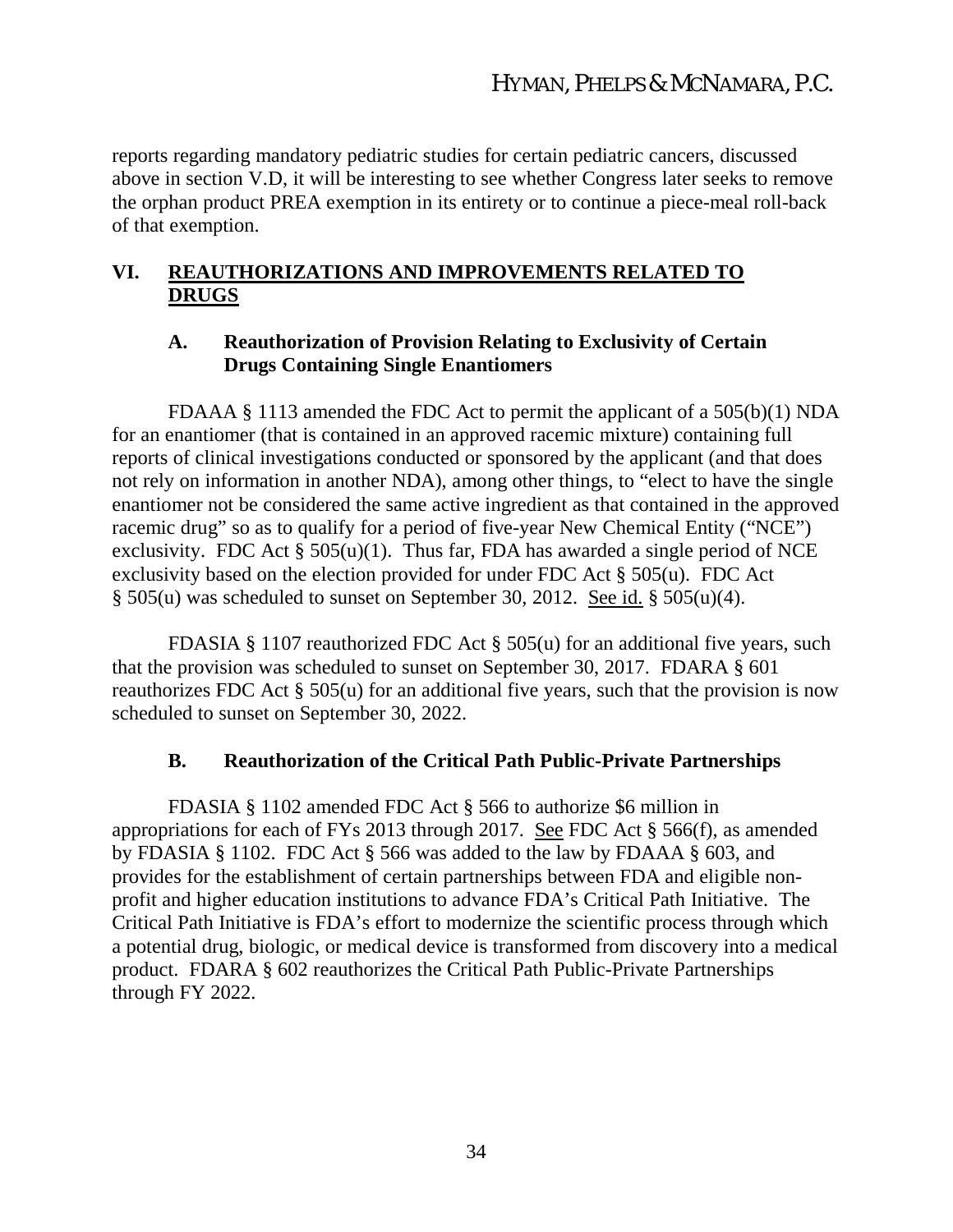reports regarding mandatory pediatric studies for certain pediatric cancers, discussed above in section V.D, it will be interesting to see whether Congress later seeks to remove the orphan product PREA exemption in its entirety or to continue a piece-meal roll-back of that exemption.

# **VI. REAUTHORIZATIONS AND IMPROVEMENTS RELATED TO DRUGS**

#### **A. Reauthorization of Provision Relating to Exclusivity of Certain Drugs Containing Single Enantiomers**

FDAAA § 1113 amended the FDC Act to permit the applicant of a 505(b)(1) NDA for an enantiomer (that is contained in an approved racemic mixture) containing full reports of clinical investigations conducted or sponsored by the applicant (and that does not rely on information in another NDA), among other things, to "elect to have the single enantiomer not be considered the same active ingredient as that contained in the approved racemic drug" so as to qualify for a period of five-year New Chemical Entity ("NCE") exclusivity. FDC Act  $\S 505(u)(1)$ . Thus far, FDA has awarded a single period of NCE exclusivity based on the election provided for under FDC Act § 505(u). FDC Act  $\S$  505(u) was scheduled to sunset on September 30, 2012. See id.  $\S$  505(u)(4).

FDASIA § 1107 reauthorized FDC Act § 505(u) for an additional five years, such that the provision was scheduled to sunset on September 30, 2017. FDARA § 601 reauthorizes FDC Act § 505(u) for an additional five years, such that the provision is now scheduled to sunset on September 30, 2022.

### **B. Reauthorization of the Critical Path Public-Private Partnerships**

FDASIA § 1102 amended FDC Act § 566 to authorize \$6 million in appropriations for each of FYs 2013 through 2017. See FDC Act § 566(f), as amended by FDASIA § 1102. FDC Act § 566 was added to the law by FDAAA § 603, and provides for the establishment of certain partnerships between FDA and eligible nonprofit and higher education institutions to advance FDA's Critical Path Initiative. The Critical Path Initiative is FDA's effort to modernize the scientific process through which a potential drug, biologic, or medical device is transformed from discovery into a medical product. FDARA § 602 reauthorizes the Critical Path Public-Private Partnerships through FY 2022.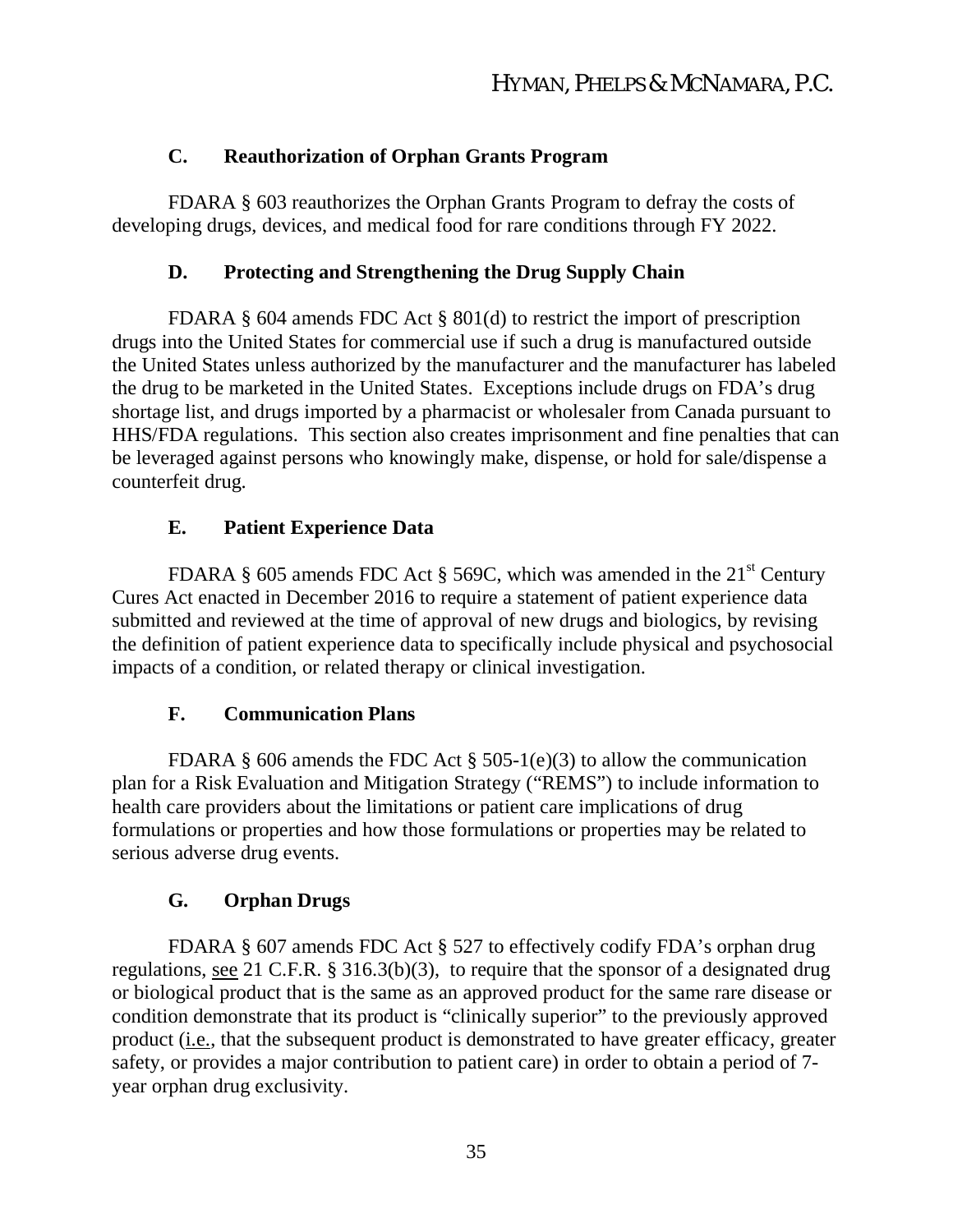# **C. Reauthorization of Orphan Grants Program**

FDARA § 603 reauthorizes the Orphan Grants Program to defray the costs of developing drugs, devices, and medical food for rare conditions through FY 2022.

# **D. Protecting and Strengthening the Drug Supply Chain**

FDARA § 604 amends FDC Act § 801(d) to restrict the import of prescription drugs into the United States for commercial use if such a drug is manufactured outside the United States unless authorized by the manufacturer and the manufacturer has labeled the drug to be marketed in the United States. Exceptions include drugs on FDA's drug shortage list, and drugs imported by a pharmacist or wholesaler from Canada pursuant to HHS/FDA regulations. This section also creates imprisonment and fine penalties that can be leveraged against persons who knowingly make, dispense, or hold for sale/dispense a counterfeit drug.

# **E. Patient Experience Data**

FDARA § 605 amends FDC Act § 569C, which was amended in the  $21<sup>st</sup>$  Century Cures Act enacted in December 2016 to require a statement of patient experience data submitted and reviewed at the time of approval of new drugs and biologics, by revising the definition of patient experience data to specifically include physical and psychosocial impacts of a condition, or related therapy or clinical investigation.

### **F. Communication Plans**

FDARA § 606 amends the FDC Act § 505-1(e)(3) to allow the communication plan for a Risk Evaluation and Mitigation Strategy ("REMS") to include information to health care providers about the limitations or patient care implications of drug formulations or properties and how those formulations or properties may be related to serious adverse drug events.

# **G. Orphan Drugs**

FDARA § 607 amends FDC Act § 527 to effectively codify FDA's orphan drug regulations, see 21 C.F.R. § 316.3(b)(3), to require that the sponsor of a designated drug or biological product that is the same as an approved product for the same rare disease or condition demonstrate that its product is "clinically superior" to the previously approved product (i.e., that the subsequent product is demonstrated to have greater efficacy, greater safety, or provides a major contribution to patient care) in order to obtain a period of 7 year orphan drug exclusivity.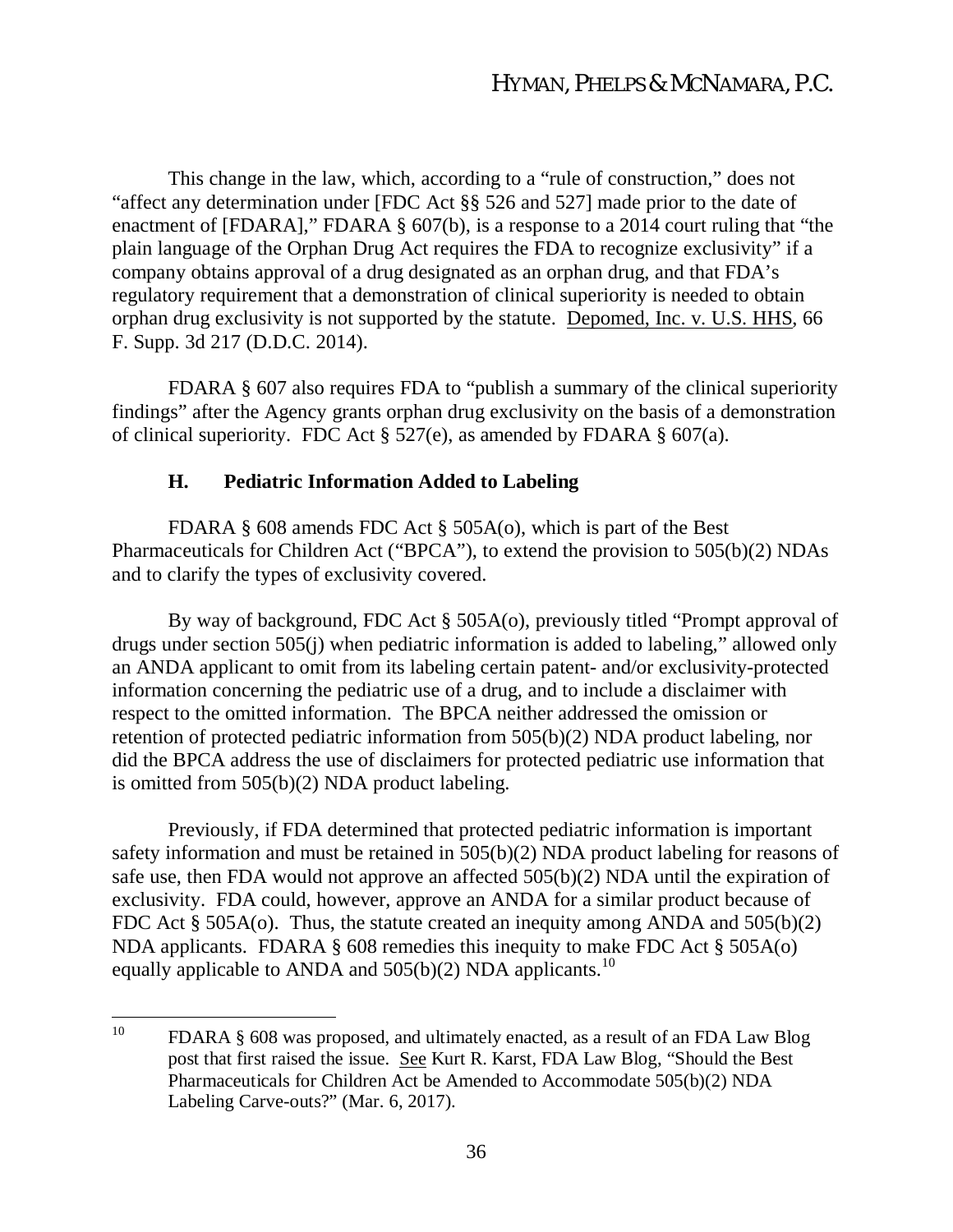This change in the law, which, according to a "rule of construction," does not "affect any determination under [FDC Act §§ 526 and 527] made prior to the date of enactment of [FDARA]," FDARA § 607(b), is a response to a 2014 court ruling that "the plain language of the Orphan Drug Act requires the FDA to recognize exclusivity" if a company obtains approval of a drug designated as an orphan drug, and that FDA's regulatory requirement that a demonstration of clinical superiority is needed to obtain orphan drug exclusivity is not supported by the statute. Depomed, Inc. v. U.S. HHS, 66 F. Supp. 3d 217 (D.D.C. 2014).

FDARA § 607 also requires FDA to "publish a summary of the clinical superiority findings" after the Agency grants orphan drug exclusivity on the basis of a demonstration of clinical superiority. FDC Act  $\S 527(e)$ , as amended by FDARA  $\S 607(a)$ .

#### **H. Pediatric Information Added to Labeling**

FDARA § 608 amends FDC Act § 505A(o), which is part of the Best Pharmaceuticals for Children Act ("BPCA"), to extend the provision to 505(b)(2) NDAs and to clarify the types of exclusivity covered.

By way of background, FDC Act § 505A(o), previously titled "Prompt approval of drugs under section 505(j) when pediatric information is added to labeling," allowed only an ANDA applicant to omit from its labeling certain patent- and/or exclusivity-protected information concerning the pediatric use of a drug, and to include a disclaimer with respect to the omitted information. The BPCA neither addressed the omission or retention of protected pediatric information from 505(b)(2) NDA product labeling, nor did the BPCA address the use of disclaimers for protected pediatric use information that is omitted from 505(b)(2) NDA product labeling.

Previously, if FDA determined that protected pediatric information is important safety information and must be retained in 505(b)(2) NDA product labeling for reasons of safe use, then FDA would not approve an affected 505(b)(2) NDA until the expiration of exclusivity. FDA could, however, approve an ANDA for a similar product because of FDC Act § 505A(o). Thus, the statute created an inequity among ANDA and 505(b)(2) NDA applicants. FDARA § 608 remedies this inequity to make FDC Act § 505A(o) equally applicable to ANDA and 505(b)(2) NDA applicants.<sup>10</sup>

<sup>&</sup>lt;sup>10</sup> FDARA § 608 was proposed, and ultimately enacted, as a result of an FDA Law Blog post that first raised the issue. See Kurt R. Karst, FDA Law Blog, "Should the Best Pharmaceuticals for Children Act be Amended to Accommodate 505(b)(2) NDA Labeling Carve-outs?" (Mar. 6, 2017).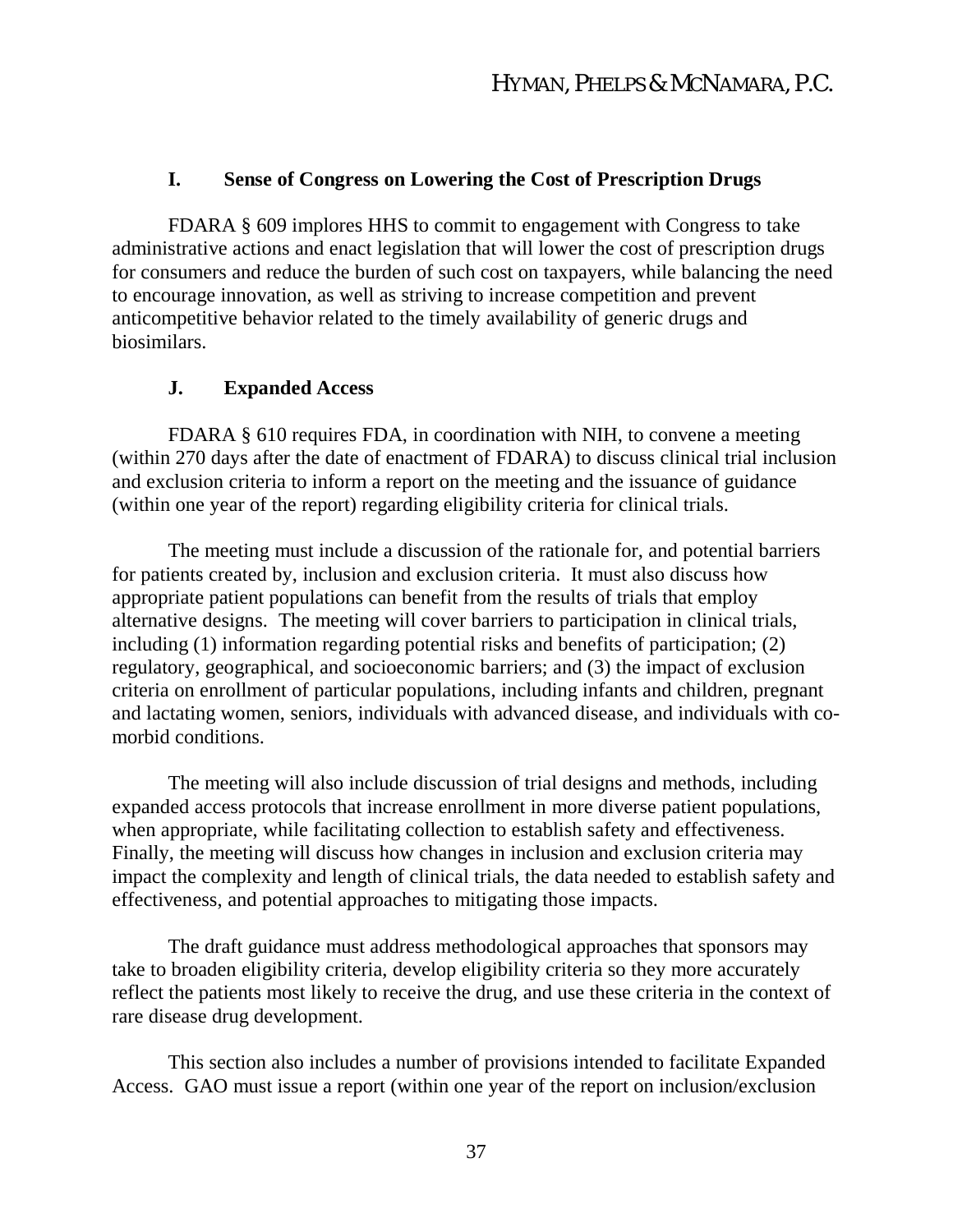# **I. Sense of Congress on Lowering the Cost of Prescription Drugs**

FDARA § 609 implores HHS to commit to engagement with Congress to take administrative actions and enact legislation that will lower the cost of prescription drugs for consumers and reduce the burden of such cost on taxpayers, while balancing the need to encourage innovation, as well as striving to increase competition and prevent anticompetitive behavior related to the timely availability of generic drugs and biosimilars.

### **J. Expanded Access**

FDARA § 610 requires FDA, in coordination with NIH, to convene a meeting (within 270 days after the date of enactment of FDARA) to discuss clinical trial inclusion and exclusion criteria to inform a report on the meeting and the issuance of guidance (within one year of the report) regarding eligibility criteria for clinical trials.

The meeting must include a discussion of the rationale for, and potential barriers for patients created by, inclusion and exclusion criteria. It must also discuss how appropriate patient populations can benefit from the results of trials that employ alternative designs. The meeting will cover barriers to participation in clinical trials, including (1) information regarding potential risks and benefits of participation; (2) regulatory, geographical, and socioeconomic barriers; and (3) the impact of exclusion criteria on enrollment of particular populations, including infants and children, pregnant and lactating women, seniors, individuals with advanced disease, and individuals with comorbid conditions.

The meeting will also include discussion of trial designs and methods, including expanded access protocols that increase enrollment in more diverse patient populations, when appropriate, while facilitating collection to establish safety and effectiveness. Finally, the meeting will discuss how changes in inclusion and exclusion criteria may impact the complexity and length of clinical trials, the data needed to establish safety and effectiveness, and potential approaches to mitigating those impacts.

The draft guidance must address methodological approaches that sponsors may take to broaden eligibility criteria, develop eligibility criteria so they more accurately reflect the patients most likely to receive the drug, and use these criteria in the context of rare disease drug development.

This section also includes a number of provisions intended to facilitate Expanded Access. GAO must issue a report (within one year of the report on inclusion/exclusion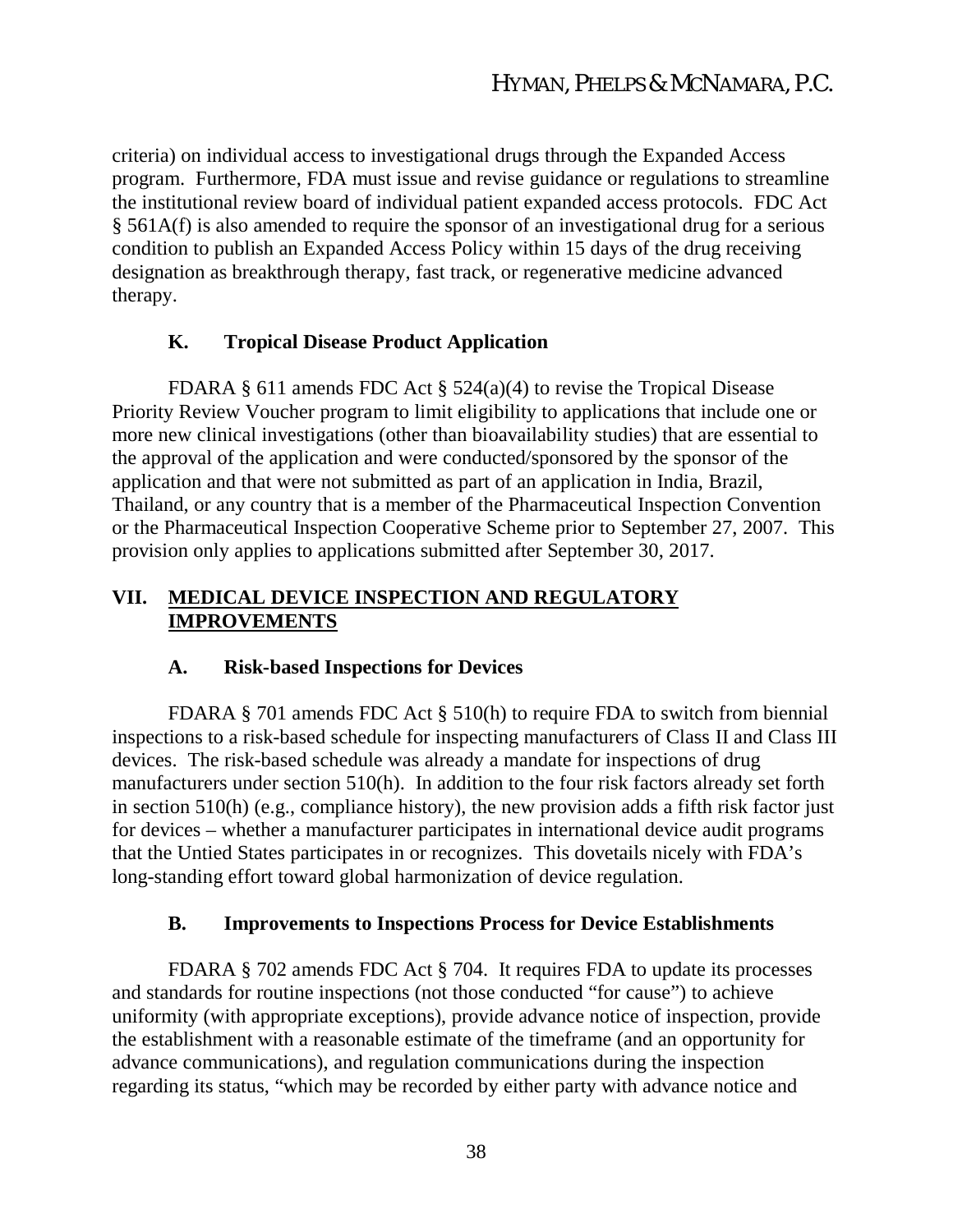criteria) on individual access to investigational drugs through the Expanded Access program. Furthermore, FDA must issue and revise guidance or regulations to streamline the institutional review board of individual patient expanded access protocols. FDC Act § 561A(f) is also amended to require the sponsor of an investigational drug for a serious condition to publish an Expanded Access Policy within 15 days of the drug receiving designation as breakthrough therapy, fast track, or regenerative medicine advanced therapy.

### **K. Tropical Disease Product Application**

FDARA § 611 amends FDC Act § 524(a)(4) to revise the Tropical Disease Priority Review Voucher program to limit eligibility to applications that include one or more new clinical investigations (other than bioavailability studies) that are essential to the approval of the application and were conducted/sponsored by the sponsor of the application and that were not submitted as part of an application in India, Brazil, Thailand, or any country that is a member of the Pharmaceutical Inspection Convention or the Pharmaceutical Inspection Cooperative Scheme prior to September 27, 2007. This provision only applies to applications submitted after September 30, 2017.

### **VII. MEDICAL DEVICE INSPECTION AND REGULATORY IMPROVEMENTS**

#### **A. Risk-based Inspections for Devices**

FDARA § 701 amends FDC Act § 510(h) to require FDA to switch from biennial inspections to a risk-based schedule for inspecting manufacturers of Class II and Class III devices. The risk-based schedule was already a mandate for inspections of drug manufacturers under section 510(h). In addition to the four risk factors already set forth in section 510(h) (e.g., compliance history), the new provision adds a fifth risk factor just for devices – whether a manufacturer participates in international device audit programs that the Untied States participates in or recognizes. This dovetails nicely with FDA's long-standing effort toward global harmonization of device regulation.

#### **B. Improvements to Inspections Process for Device Establishments**

FDARA § 702 amends FDC Act § 704. It requires FDA to update its processes and standards for routine inspections (not those conducted "for cause") to achieve uniformity (with appropriate exceptions), provide advance notice of inspection, provide the establishment with a reasonable estimate of the timeframe (and an opportunity for advance communications), and regulation communications during the inspection regarding its status, "which may be recorded by either party with advance notice and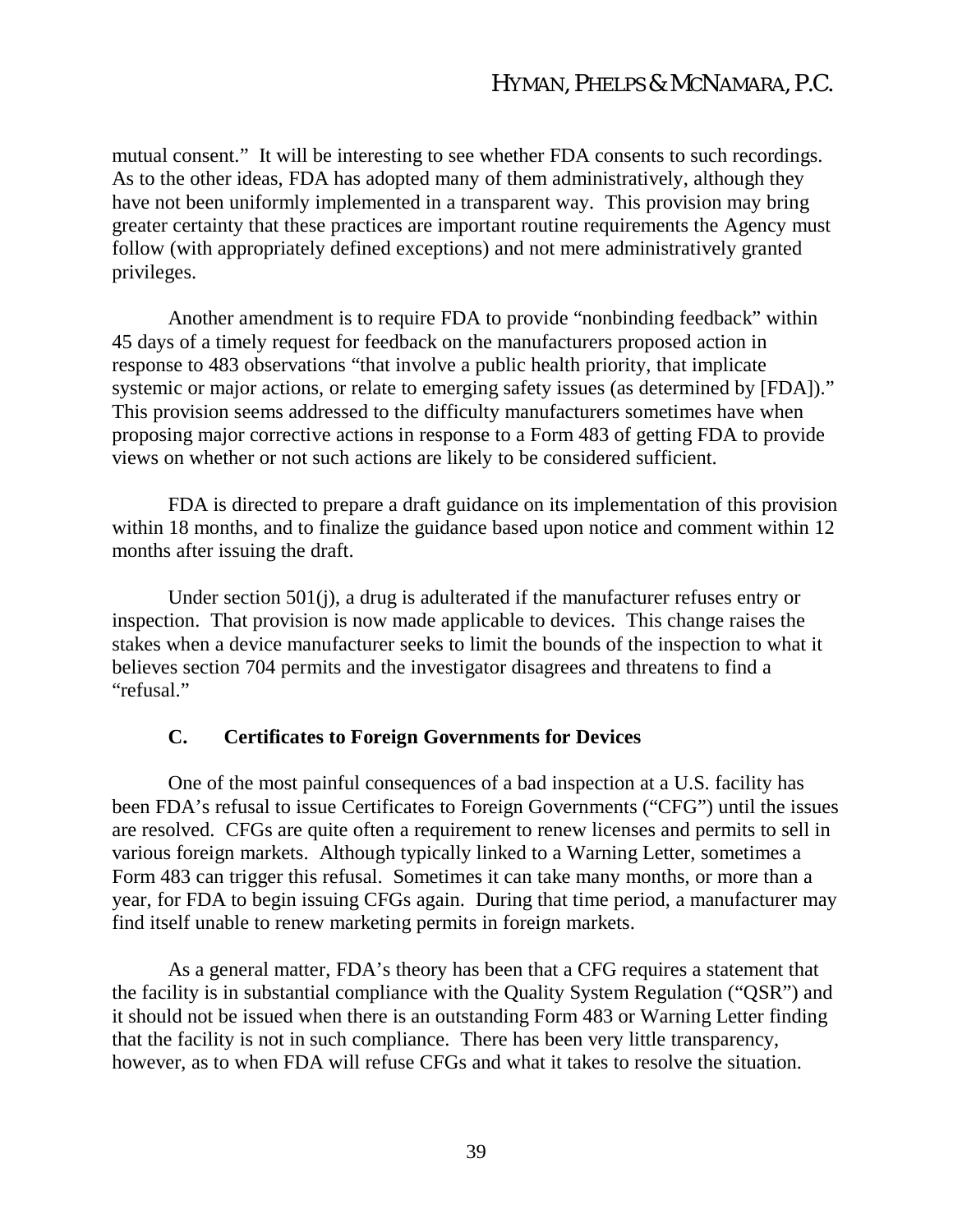mutual consent." It will be interesting to see whether FDA consents to such recordings. As to the other ideas, FDA has adopted many of them administratively, although they have not been uniformly implemented in a transparent way. This provision may bring greater certainty that these practices are important routine requirements the Agency must follow (with appropriately defined exceptions) and not mere administratively granted privileges.

Another amendment is to require FDA to provide "nonbinding feedback" within 45 days of a timely request for feedback on the manufacturers proposed action in response to 483 observations "that involve a public health priority, that implicate systemic or major actions, or relate to emerging safety issues (as determined by [FDA])." This provision seems addressed to the difficulty manufacturers sometimes have when proposing major corrective actions in response to a Form 483 of getting FDA to provide views on whether or not such actions are likely to be considered sufficient.

FDA is directed to prepare a draft guidance on its implementation of this provision within 18 months, and to finalize the guidance based upon notice and comment within 12 months after issuing the draft.

Under section 501(j), a drug is adulterated if the manufacturer refuses entry or inspection. That provision is now made applicable to devices. This change raises the stakes when a device manufacturer seeks to limit the bounds of the inspection to what it believes section 704 permits and the investigator disagrees and threatens to find a "refusal."

#### **C. Certificates to Foreign Governments for Devices**

One of the most painful consequences of a bad inspection at a U.S. facility has been FDA's refusal to issue Certificates to Foreign Governments ("CFG") until the issues are resolved. CFGs are quite often a requirement to renew licenses and permits to sell in various foreign markets. Although typically linked to a Warning Letter, sometimes a Form 483 can trigger this refusal. Sometimes it can take many months, or more than a year, for FDA to begin issuing CFGs again. During that time period, a manufacturer may find itself unable to renew marketing permits in foreign markets.

As a general matter, FDA's theory has been that a CFG requires a statement that the facility is in substantial compliance with the Quality System Regulation ("QSR") and it should not be issued when there is an outstanding Form 483 or Warning Letter finding that the facility is not in such compliance. There has been very little transparency, however, as to when FDA will refuse CFGs and what it takes to resolve the situation.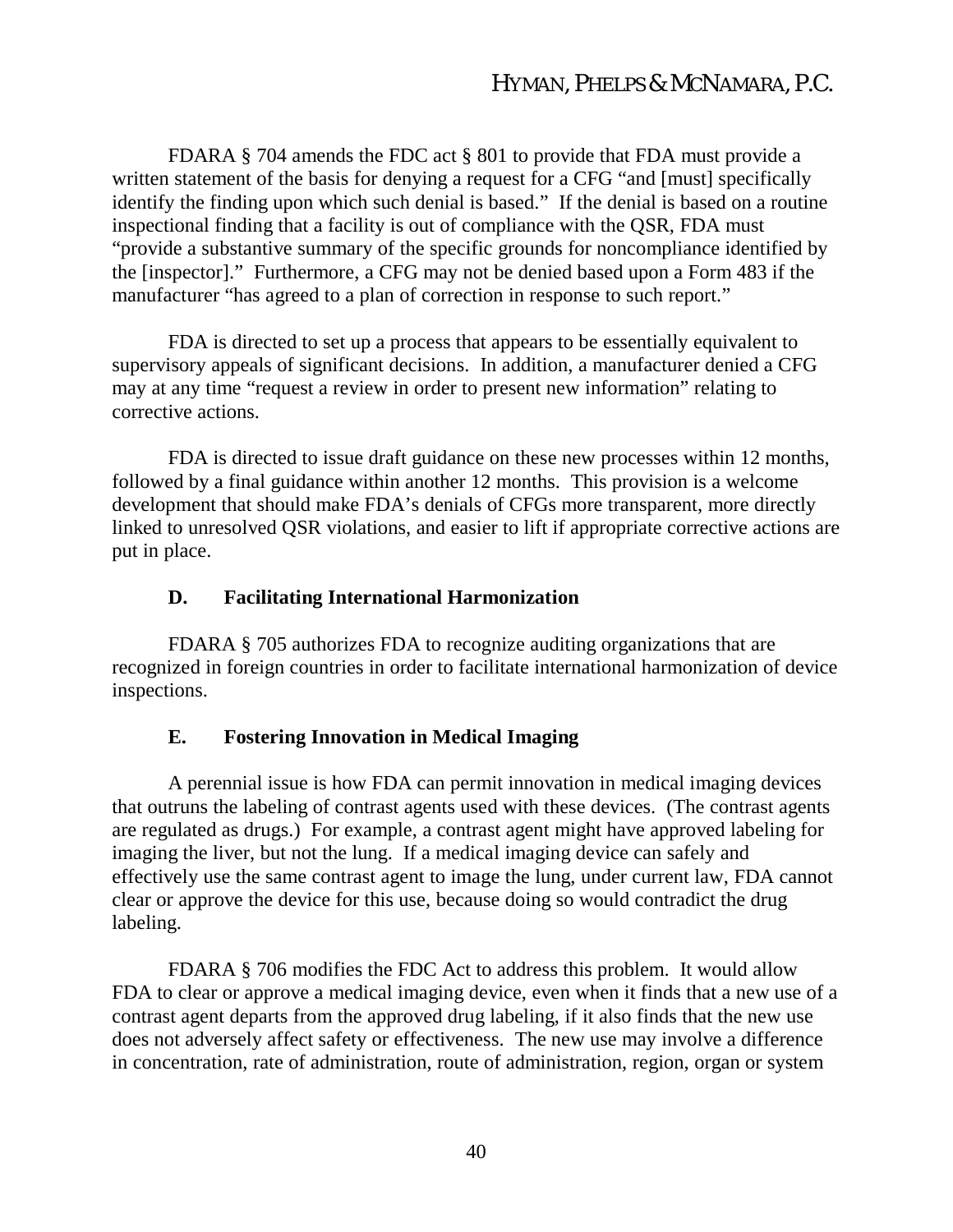FDARA § 704 amends the FDC act § 801 to provide that FDA must provide a written statement of the basis for denying a request for a CFG "and [must] specifically identify the finding upon which such denial is based." If the denial is based on a routine inspectional finding that a facility is out of compliance with the QSR, FDA must "provide a substantive summary of the specific grounds for noncompliance identified by the [inspector]." Furthermore, a CFG may not be denied based upon a Form 483 if the manufacturer "has agreed to a plan of correction in response to such report."

FDA is directed to set up a process that appears to be essentially equivalent to supervisory appeals of significant decisions. In addition, a manufacturer denied a CFG may at any time "request a review in order to present new information" relating to corrective actions.

FDA is directed to issue draft guidance on these new processes within 12 months, followed by a final guidance within another 12 months. This provision is a welcome development that should make FDA's denials of CFGs more transparent, more directly linked to unresolved QSR violations, and easier to lift if appropriate corrective actions are put in place.

# **D. Facilitating International Harmonization**

FDARA § 705 authorizes FDA to recognize auditing organizations that are recognized in foreign countries in order to facilitate international harmonization of device inspections.

# **E. Fostering Innovation in Medical Imaging**

A perennial issue is how FDA can permit innovation in medical imaging devices that outruns the labeling of contrast agents used with these devices. (The contrast agents are regulated as drugs.) For example, a contrast agent might have approved labeling for imaging the liver, but not the lung. If a medical imaging device can safely and effectively use the same contrast agent to image the lung, under current law, FDA cannot clear or approve the device for this use, because doing so would contradict the drug labeling.

FDARA § 706 modifies the FDC Act to address this problem. It would allow FDA to clear or approve a medical imaging device, even when it finds that a new use of a contrast agent departs from the approved drug labeling, if it also finds that the new use does not adversely affect safety or effectiveness. The new use may involve a difference in concentration, rate of administration, route of administration, region, organ or system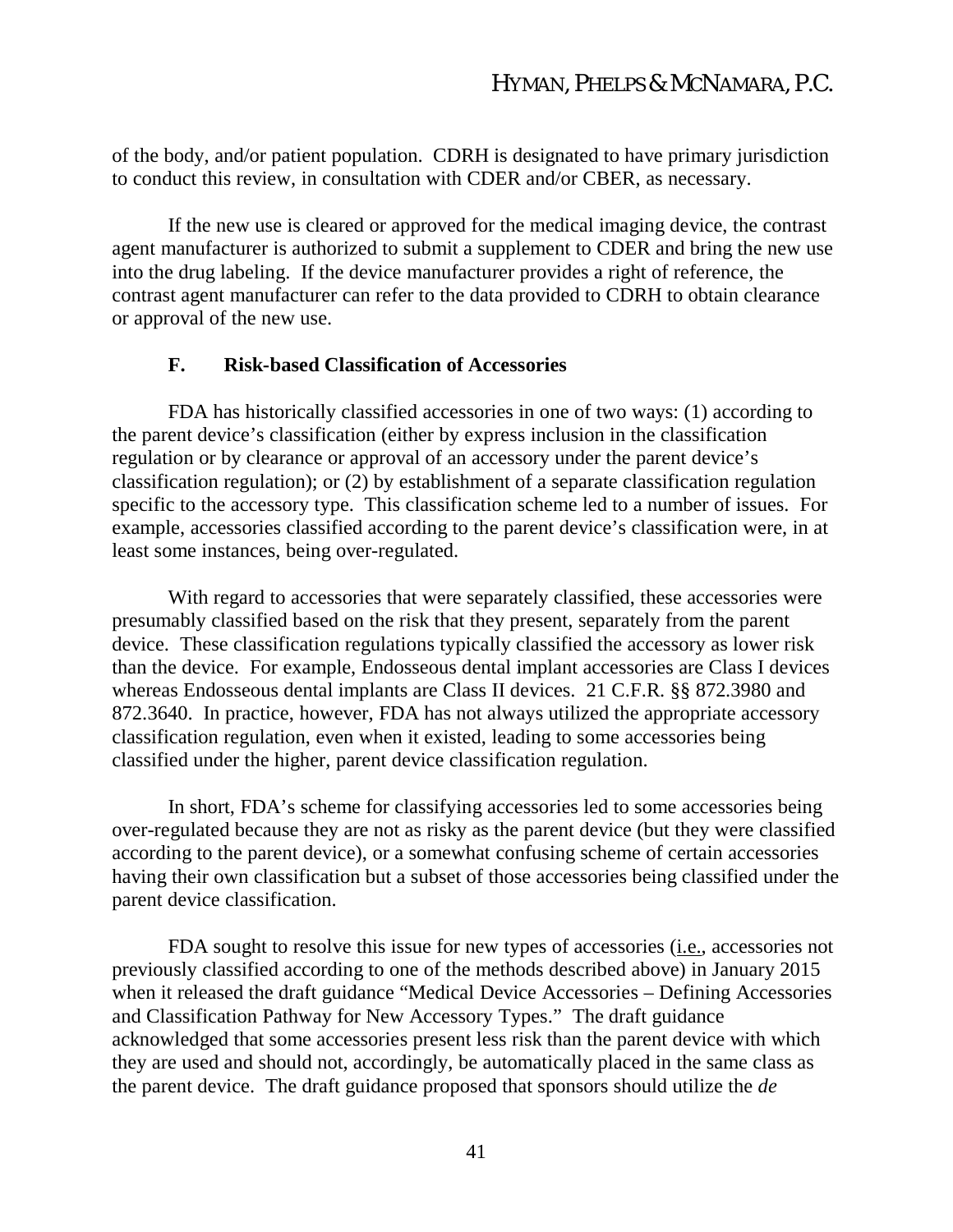of the body, and/or patient population. CDRH is designated to have primary jurisdiction to conduct this review, in consultation with CDER and/or CBER, as necessary.

If the new use is cleared or approved for the medical imaging device, the contrast agent manufacturer is authorized to submit a supplement to CDER and bring the new use into the drug labeling. If the device manufacturer provides a right of reference, the contrast agent manufacturer can refer to the data provided to CDRH to obtain clearance or approval of the new use.

#### **F. Risk-based Classification of Accessories**

FDA has historically classified accessories in one of two ways: (1) according to the parent device's classification (either by express inclusion in the classification regulation or by clearance or approval of an accessory under the parent device's classification regulation); or (2) by establishment of a separate classification regulation specific to the accessory type. This classification scheme led to a number of issues. For example, accessories classified according to the parent device's classification were, in at least some instances, being over-regulated.

With regard to accessories that were separately classified, these accessories were presumably classified based on the risk that they present, separately from the parent device. These classification regulations typically classified the accessory as lower risk than the device. For example, Endosseous dental implant accessories are Class I devices whereas Endosseous dental implants are Class II devices. 21 C.F.R. §§ 872.3980 and 872.3640. In practice, however, FDA has not always utilized the appropriate accessory classification regulation, even when it existed, leading to some accessories being classified under the higher, parent device classification regulation.

In short, FDA's scheme for classifying accessories led to some accessories being over-regulated because they are not as risky as the parent device (but they were classified according to the parent device), or a somewhat confusing scheme of certain accessories having their own classification but a subset of those accessories being classified under the parent device classification.

FDA sought to resolve this issue for new types of accessories (i.e., accessories not previously classified according to one of the methods described above) in January 2015 when it released the draft guidance "Medical Device Accessories – Defining Accessories and Classification Pathway for New Accessory Types." The draft guidance acknowledged that some accessories present less risk than the parent device with which they are used and should not, accordingly, be automatically placed in the same class as the parent device. The draft guidance proposed that sponsors should utilize the *de*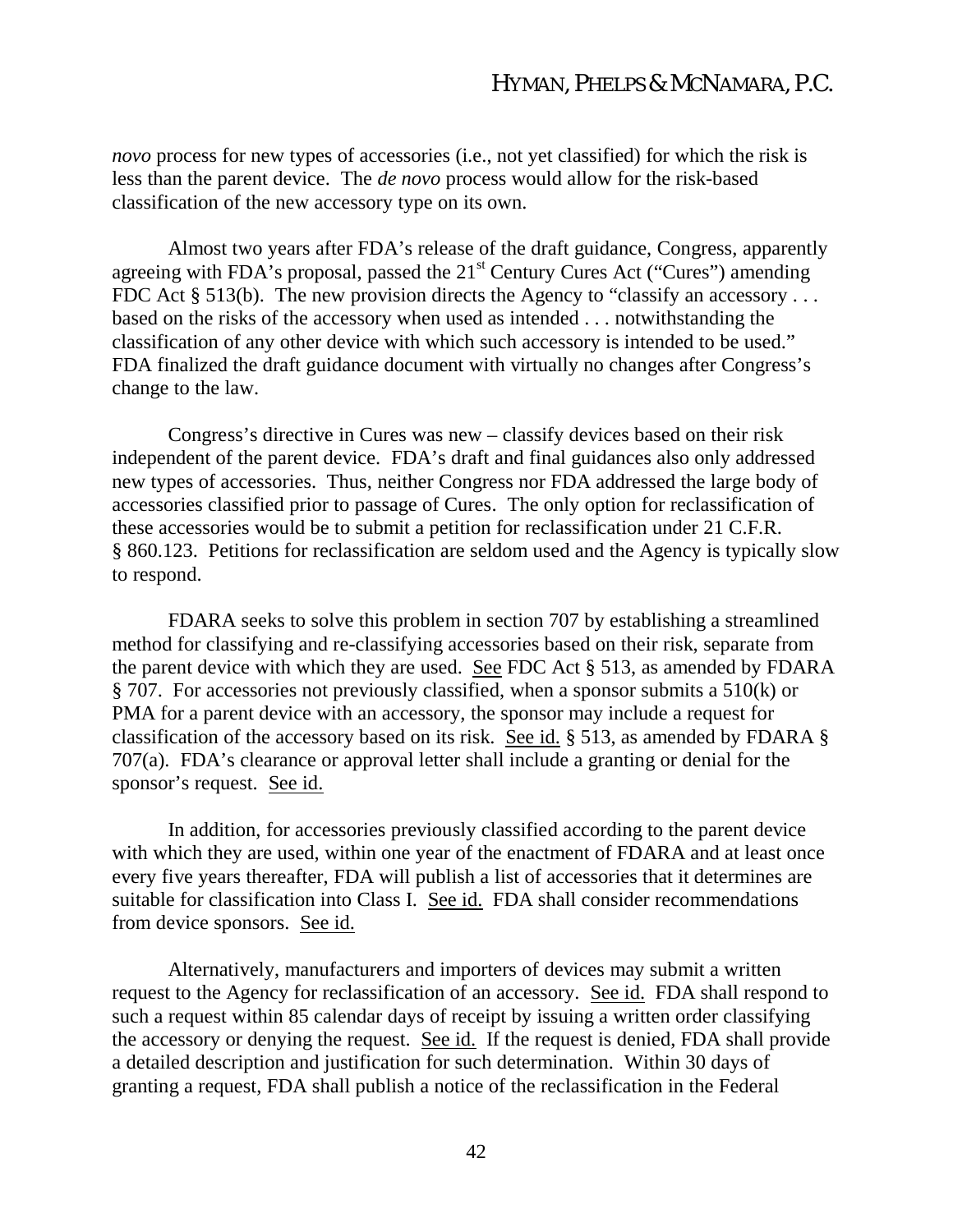*novo* process for new types of accessories (i.e., not yet classified) for which the risk is less than the parent device. The *de novo* process would allow for the risk-based classification of the new accessory type on its own.

Almost two years after FDA's release of the draft guidance, Congress, apparently agreeing with FDA's proposal, passed the  $21<sup>st</sup>$  Century Cures Act ("Cures") amending FDC Act  $\S 513(b)$ . The new provision directs the Agency to "classify an accessory ... based on the risks of the accessory when used as intended . . . notwithstanding the classification of any other device with which such accessory is intended to be used." FDA finalized the draft guidance document with virtually no changes after Congress's change to the law.

Congress's directive in Cures was new – classify devices based on their risk independent of the parent device. FDA's draft and final guidances also only addressed new types of accessories. Thus, neither Congress nor FDA addressed the large body of accessories classified prior to passage of Cures. The only option for reclassification of these accessories would be to submit a petition for reclassification under 21 C.F.R. § 860.123. Petitions for reclassification are seldom used and the Agency is typically slow to respond.

FDARA seeks to solve this problem in section 707 by establishing a streamlined method for classifying and re-classifying accessories based on their risk, separate from the parent device with which they are used. See FDC Act § 513, as amended by FDARA § 707. For accessories not previously classified, when a sponsor submits a 510(k) or PMA for a parent device with an accessory, the sponsor may include a request for classification of the accessory based on its risk. See id. § 513, as amended by FDARA § 707(a). FDA's clearance or approval letter shall include a granting or denial for the sponsor's request. See id.

In addition, for accessories previously classified according to the parent device with which they are used, within one year of the enactment of FDARA and at least once every five years thereafter, FDA will publish a list of accessories that it determines are suitable for classification into Class I. See id. FDA shall consider recommendations from device sponsors. See id.

Alternatively, manufacturers and importers of devices may submit a written request to the Agency for reclassification of an accessory. See id. FDA shall respond to such a request within 85 calendar days of receipt by issuing a written order classifying the accessory or denying the request. See id. If the request is denied, FDA shall provide a detailed description and justification for such determination. Within 30 days of granting a request, FDA shall publish a notice of the reclassification in the Federal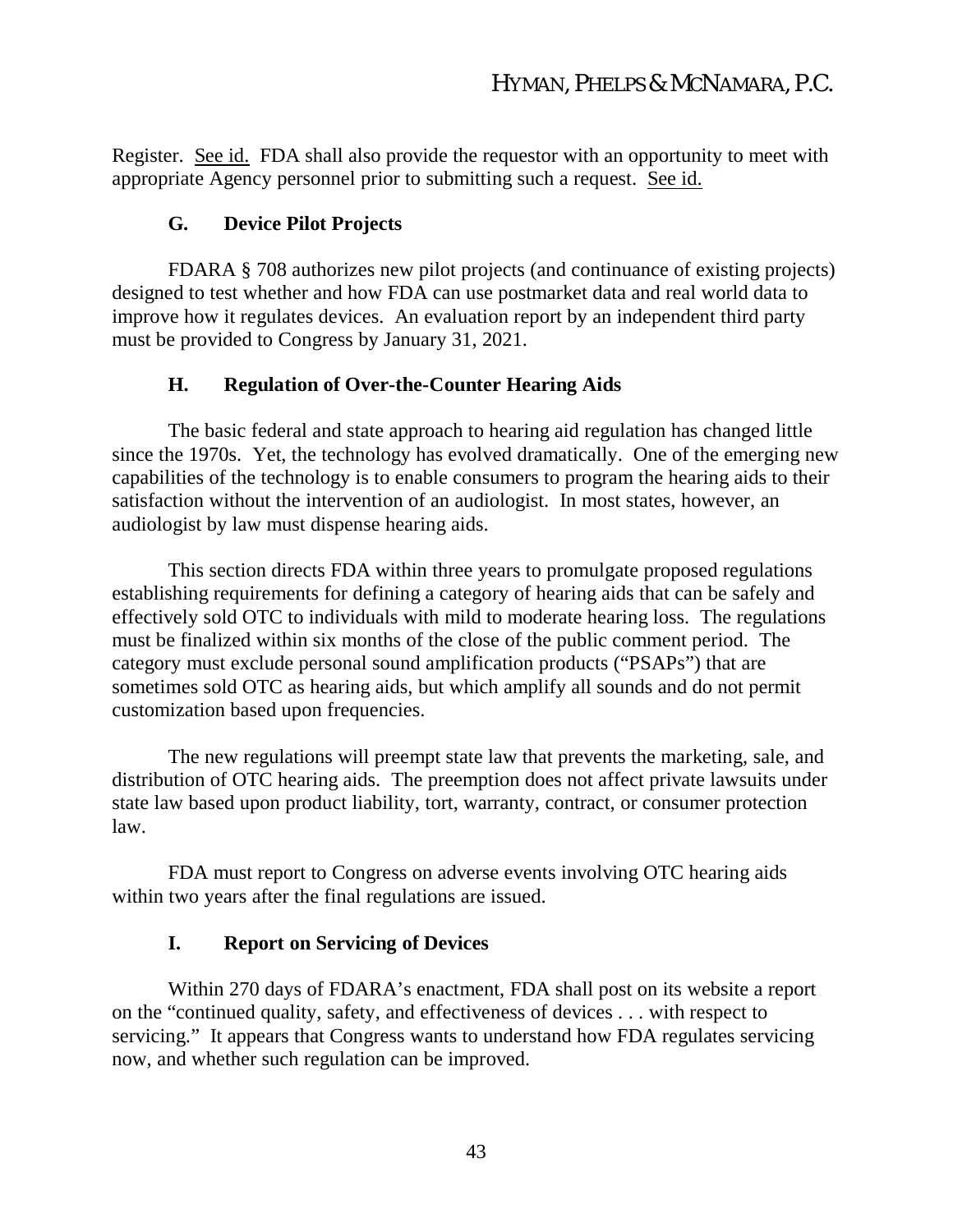Register. See id. FDA shall also provide the requestor with an opportunity to meet with appropriate Agency personnel prior to submitting such a request. See id.

### **G. Device Pilot Projects**

FDARA § 708 authorizes new pilot projects (and continuance of existing projects) designed to test whether and how FDA can use postmarket data and real world data to improve how it regulates devices. An evaluation report by an independent third party must be provided to Congress by January 31, 2021.

#### **H. Regulation of Over-the-Counter Hearing Aids**

The basic federal and state approach to hearing aid regulation has changed little since the 1970s. Yet, the technology has evolved dramatically. One of the emerging new capabilities of the technology is to enable consumers to program the hearing aids to their satisfaction without the intervention of an audiologist. In most states, however, an audiologist by law must dispense hearing aids.

This section directs FDA within three years to promulgate proposed regulations establishing requirements for defining a category of hearing aids that can be safely and effectively sold OTC to individuals with mild to moderate hearing loss. The regulations must be finalized within six months of the close of the public comment period. The category must exclude personal sound amplification products ("PSAPs") that are sometimes sold OTC as hearing aids, but which amplify all sounds and do not permit customization based upon frequencies.

The new regulations will preempt state law that prevents the marketing, sale, and distribution of OTC hearing aids. The preemption does not affect private lawsuits under state law based upon product liability, tort, warranty, contract, or consumer protection law.

FDA must report to Congress on adverse events involving OTC hearing aids within two years after the final regulations are issued.

#### **I. Report on Servicing of Devices**

Within 270 days of FDARA's enactment, FDA shall post on its website a report on the "continued quality, safety, and effectiveness of devices . . . with respect to servicing." It appears that Congress wants to understand how FDA regulates servicing now, and whether such regulation can be improved.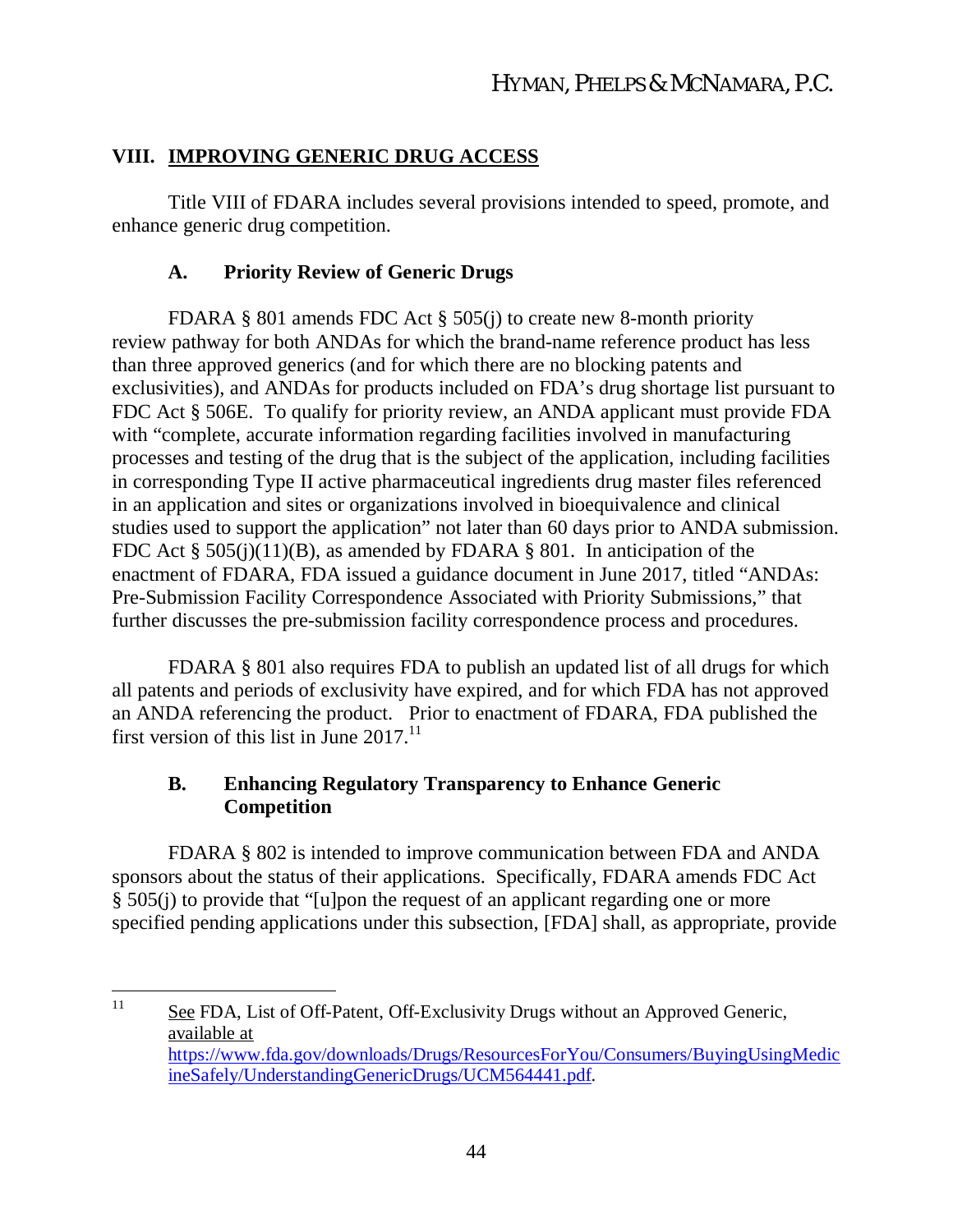# **VIII. IMPROVING GENERIC DRUG ACCESS**

Title VIII of FDARA includes several provisions intended to speed, promote, and enhance generic drug competition.

# **A. Priority Review of Generic Drugs**

FDARA § 801 amends FDC Act § 505(j) to create new 8-month priority review pathway for both ANDAs for which the brand-name reference product has less than three approved generics (and for which there are no blocking patents and exclusivities), and ANDAs for products included on FDA's drug shortage list pursuant to FDC Act § 506E. To qualify for priority review, an ANDA applicant must provide FDA with "complete, accurate information regarding facilities involved in manufacturing processes and testing of the drug that is the subject of the application, including facilities in corresponding Type II active pharmaceutical ingredients drug master files referenced in an application and sites or organizations involved in bioequivalence and clinical studies used to support the application" not later than 60 days prior to ANDA submission. FDC Act  $\S$  505(j)(11)(B), as amended by FDARA  $\S$  801. In anticipation of the enactment of FDARA, FDA issued a guidance document in June 2017, titled "ANDAs: Pre-Submission Facility Correspondence Associated with Priority Submissions," that further discusses the pre-submission facility correspondence process and procedures.

FDARA § 801 also requires FDA to publish an updated list of all drugs for which all patents and periods of exclusivity have expired, and for which FDA has not approved an ANDA referencing the product. Prior to enactment of FDARA, FDA published the first version of this list in June  $2017$ .<sup>11</sup>

# **B. Enhancing Regulatory Transparency to Enhance Generic Competition**

FDARA § 802 is intended to improve communication between FDA and ANDA sponsors about the status of their applications. Specifically, FDARA amends FDC Act § 505(j) to provide that "[u]pon the request of an applicant regarding one or more specified pending applications under this subsection, [FDA] shall, as appropriate, provide

<sup>&</sup>lt;sup>11</sup> See FDA, List of Off-Patent, Off-Exclusivity Drugs without an Approved Generic, available at https://www.fda.gov/downloads/Drugs/ResourcesForYou/Consumers/BuyingUsingMedic ineSafely/UnderstandingGenericDrugs/UCM564441.pdf.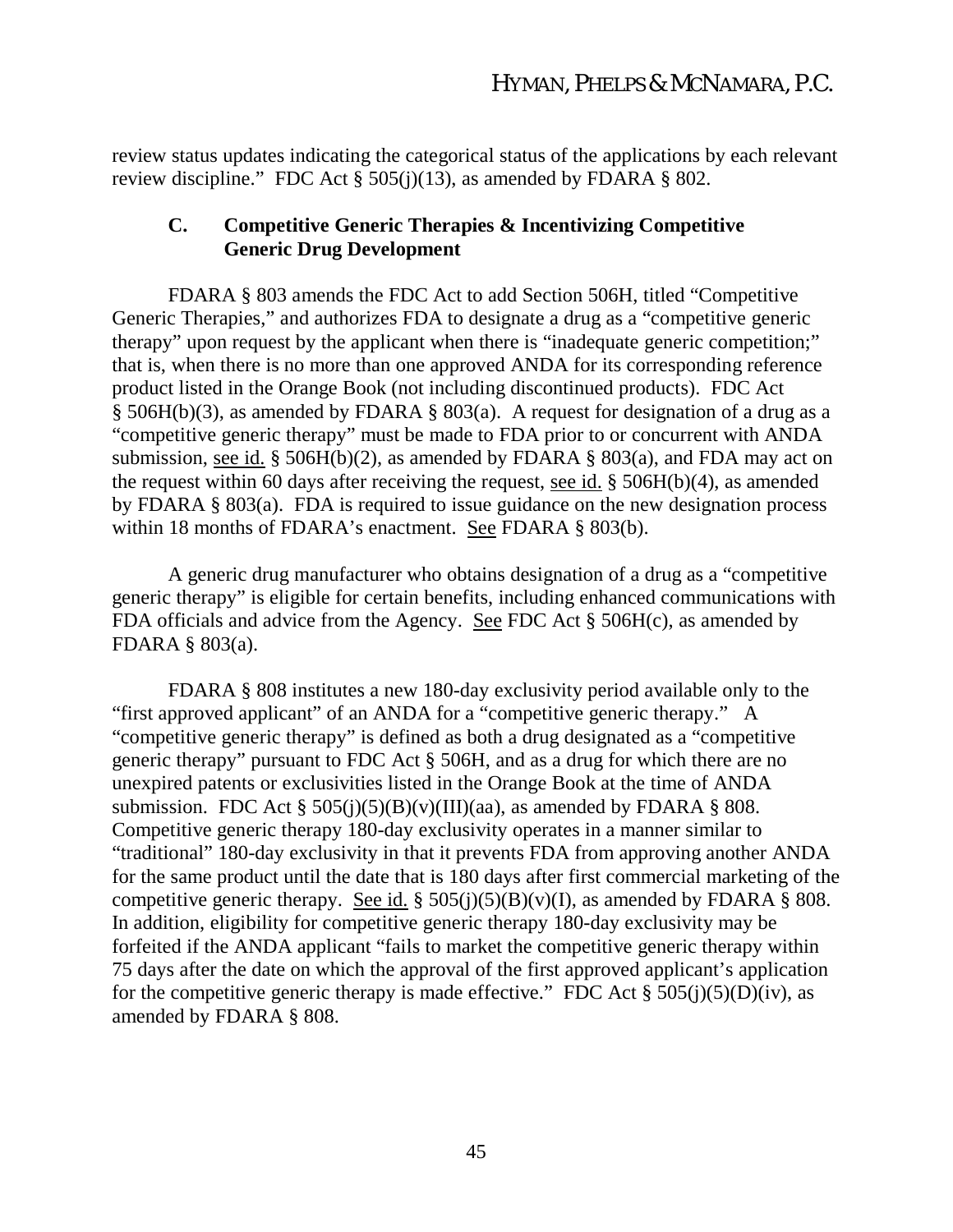review status updates indicating the categorical status of the applications by each relevant review discipline." FDC Act  $\S 505(j)(13)$ , as amended by FDARA  $\S 802$ .

### **C. Competitive Generic Therapies & Incentivizing Competitive Generic Drug Development**

FDARA § 803 amends the FDC Act to add Section 506H, titled "Competitive Generic Therapies," and authorizes FDA to designate a drug as a "competitive generic therapy" upon request by the applicant when there is "inadequate generic competition;" that is, when there is no more than one approved ANDA for its corresponding reference product listed in the Orange Book (not including discontinued products). FDC Act § 506H(b)(3), as amended by FDARA § 803(a). A request for designation of a drug as a "competitive generic therapy" must be made to FDA prior to or concurrent with ANDA submission, see id. § 506H(b)(2), as amended by FDARA § 803(a), and FDA may act on the request within 60 days after receiving the request, see id. § 506H(b)(4), as amended by FDARA § 803(a). FDA is required to issue guidance on the new designation process within 18 months of FDARA's enactment. See FDARA § 803(b).

A generic drug manufacturer who obtains designation of a drug as a "competitive generic therapy" is eligible for certain benefits, including enhanced communications with FDA officials and advice from the Agency. See FDC Act § 506H(c), as amended by FDARA § 803(a).

FDARA § 808 institutes a new 180-day exclusivity period available only to the "first approved applicant" of an ANDA for a "competitive generic therapy." A "competitive generic therapy" is defined as both a drug designated as a "competitive generic therapy" pursuant to FDC Act § 506H, and as a drug for which there are no unexpired patents or exclusivities listed in the Orange Book at the time of ANDA submission. FDC Act  $\S$  505(j)(5)(B)(y)(III)(aa), as amended by FDARA  $\S$  808. Competitive generic therapy 180-day exclusivity operates in a manner similar to "traditional" 180-day exclusivity in that it prevents FDA from approving another ANDA for the same product until the date that is 180 days after first commercial marketing of the competitive generic therapy. See id. §  $505(j)(5)(B)(v)(I)$ , as amended by FDARA § 808. In addition, eligibility for competitive generic therapy 180-day exclusivity may be forfeited if the ANDA applicant "fails to market the competitive generic therapy within 75 days after the date on which the approval of the first approved applicant's application for the competitive generic therapy is made effective." FDC Act  $\S 505(j)(5)(D)(iv)$ , as amended by FDARA § 808.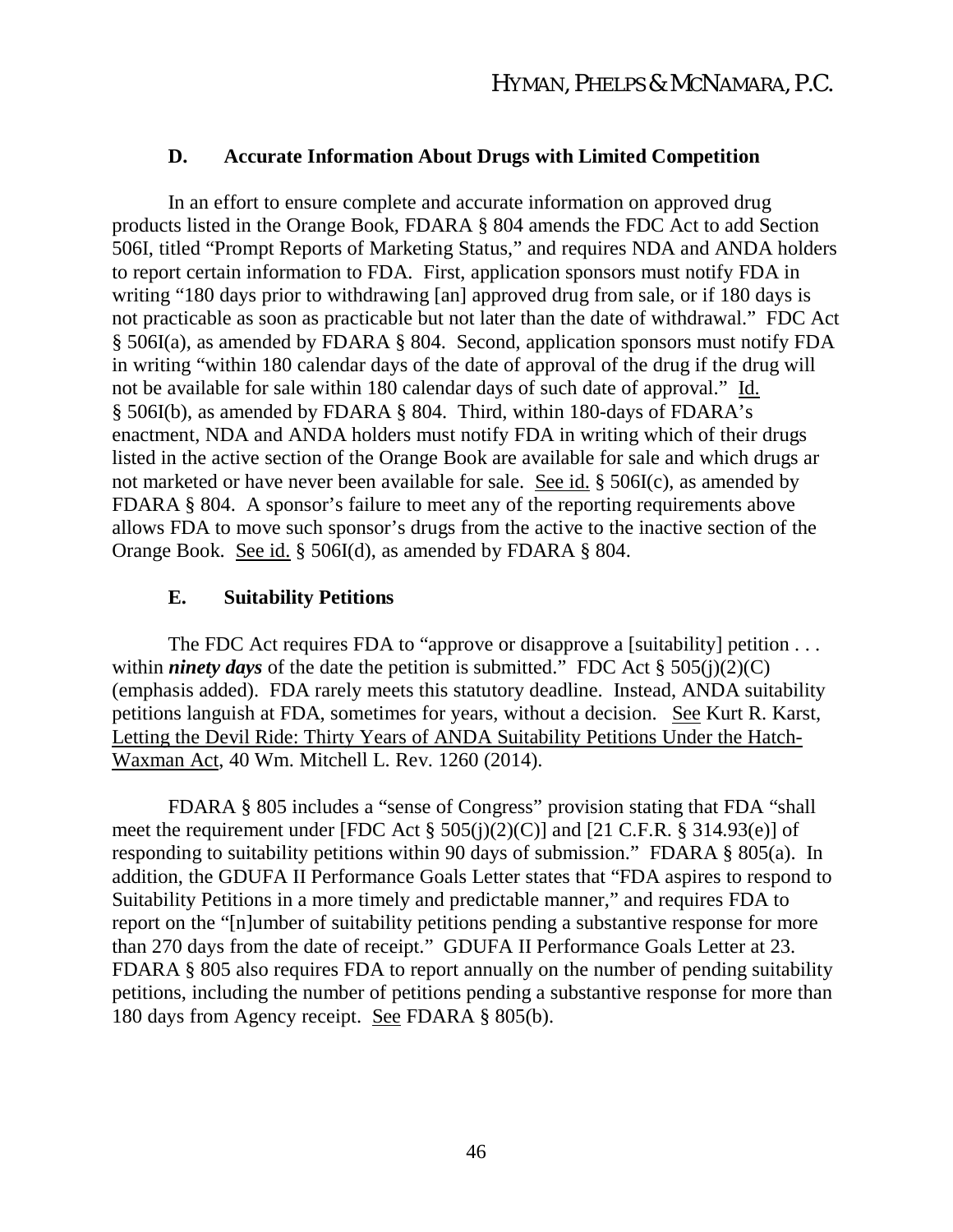### **D. Accurate Information About Drugs with Limited Competition**

In an effort to ensure complete and accurate information on approved drug products listed in the Orange Book, FDARA § 804 amends the FDC Act to add Section 506I, titled "Prompt Reports of Marketing Status," and requires NDA and ANDA holders to report certain information to FDA. First, application sponsors must notify FDA in writing "180 days prior to withdrawing [an] approved drug from sale, or if 180 days is not practicable as soon as practicable but not later than the date of withdrawal." FDC Act § 506I(a), as amended by FDARA § 804. Second, application sponsors must notify FDA in writing "within 180 calendar days of the date of approval of the drug if the drug will not be available for sale within 180 calendar days of such date of approval." Id. § 506I(b), as amended by FDARA § 804. Third, within 180-days of FDARA's enactment, NDA and ANDA holders must notify FDA in writing which of their drugs listed in the active section of the Orange Book are available for sale and which drugs ar not marketed or have never been available for sale. See id. § 506I(c), as amended by FDARA § 804. A sponsor's failure to meet any of the reporting requirements above allows FDA to move such sponsor's drugs from the active to the inactive section of the Orange Book. See id. § 506I(d), as amended by FDARA § 804.

### **E. Suitability Petitions**

The FDC Act requires FDA to "approve or disapprove a [suitability] petition ... within *ninety days* of the date the petition is submitted." FDC Act  $\S$  505(j)(2)(C) (emphasis added). FDA rarely meets this statutory deadline. Instead, ANDA suitability petitions languish at FDA, sometimes for years, without a decision. See Kurt R. Karst, Letting the Devil Ride: Thirty Years of ANDA Suitability Petitions Under the Hatch-Waxman Act, 40 Wm. Mitchell L. Rev. 1260 (2014).

FDARA § 805 includes a "sense of Congress" provision stating that FDA "shall meet the requirement under [FDC Act  $\S$  505(j)(2)(C)] and [21 C.F.R.  $\S$  314.93(e)] of responding to suitability petitions within 90 days of submission." FDARA § 805(a). In addition, the GDUFA II Performance Goals Letter states that "FDA aspires to respond to Suitability Petitions in a more timely and predictable manner," and requires FDA to report on the "[n]umber of suitability petitions pending a substantive response for more than 270 days from the date of receipt." GDUFA II Performance Goals Letter at 23. FDARA § 805 also requires FDA to report annually on the number of pending suitability petitions, including the number of petitions pending a substantive response for more than 180 days from Agency receipt. See FDARA § 805(b).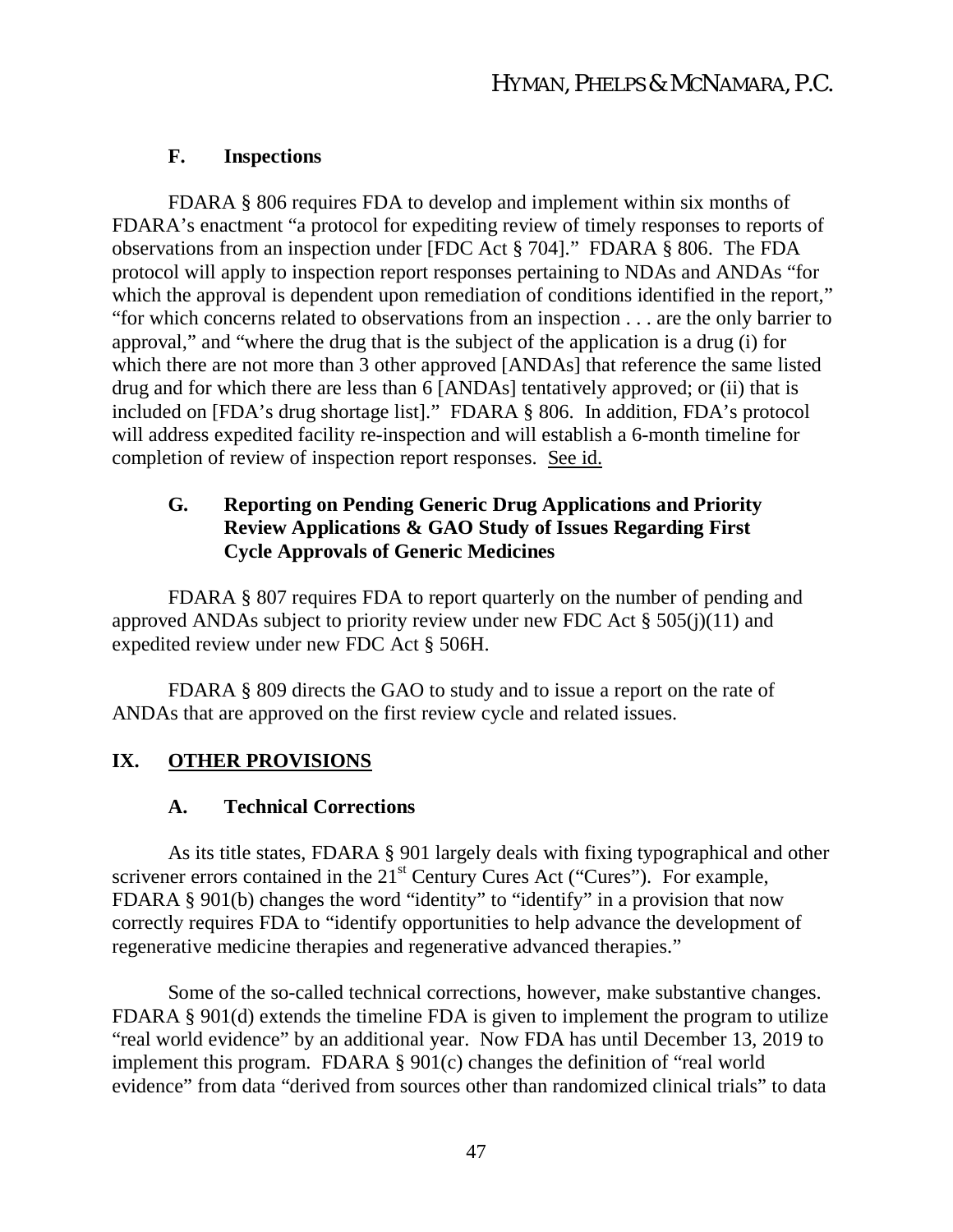### **F. Inspections**

FDARA § 806 requires FDA to develop and implement within six months of FDARA's enactment "a protocol for expediting review of timely responses to reports of observations from an inspection under [FDC Act § 704]." FDARA § 806. The FDA protocol will apply to inspection report responses pertaining to NDAs and ANDAs "for which the approval is dependent upon remediation of conditions identified in the report," "for which concerns related to observations from an inspection . . . are the only barrier to approval," and "where the drug that is the subject of the application is a drug (i) for which there are not more than 3 other approved [ANDAs] that reference the same listed drug and for which there are less than 6 [ANDAs] tentatively approved; or (ii) that is included on [FDA's drug shortage list]." FDARA § 806. In addition, FDA's protocol will address expedited facility re-inspection and will establish a 6-month timeline for completion of review of inspection report responses. See id.

# **G. Reporting on Pending Generic Drug Applications and Priority Review Applications & GAO Study of Issues Regarding First Cycle Approvals of Generic Medicines**

FDARA § 807 requires FDA to report quarterly on the number of pending and approved ANDAs subject to priority review under new FDC Act § 505(j)(11) and expedited review under new FDC Act § 506H.

FDARA § 809 directs the GAO to study and to issue a report on the rate of ANDAs that are approved on the first review cycle and related issues.

# **IX. OTHER PROVISIONS**

### **A. Technical Corrections**

As its title states, FDARA § 901 largely deals with fixing typographical and other scrivener errors contained in the  $21<sup>st</sup>$  Century Cures Act ("Cures"). For example, FDARA § 901(b) changes the word "identity" to "identify" in a provision that now correctly requires FDA to "identify opportunities to help advance the development of regenerative medicine therapies and regenerative advanced therapies."

Some of the so-called technical corrections, however, make substantive changes. FDARA § 901(d) extends the timeline FDA is given to implement the program to utilize "real world evidence" by an additional year. Now FDA has until December 13, 2019 to implement this program. FDARA § 901(c) changes the definition of "real world evidence" from data "derived from sources other than randomized clinical trials" to data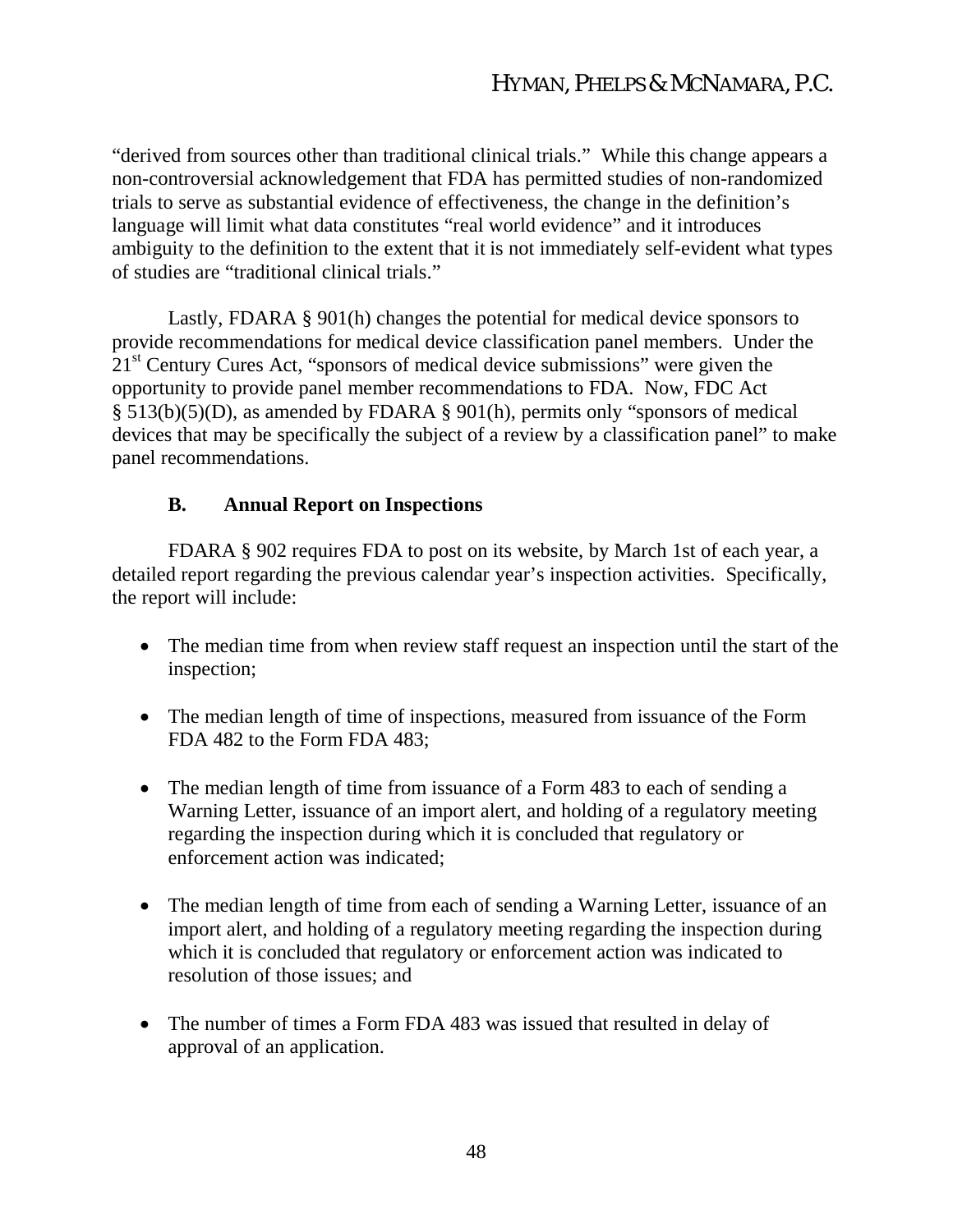"derived from sources other than traditional clinical trials." While this change appears a non-controversial acknowledgement that FDA has permitted studies of non-randomized trials to serve as substantial evidence of effectiveness, the change in the definition's language will limit what data constitutes "real world evidence" and it introduces ambiguity to the definition to the extent that it is not immediately self-evident what types of studies are "traditional clinical trials."

Lastly, FDARA § 901(h) changes the potential for medical device sponsors to provide recommendations for medical device classification panel members. Under the 21<sup>st</sup> Century Cures Act, "sponsors of medical device submissions" were given the opportunity to provide panel member recommendations to FDA. Now, FDC Act § 513(b)(5)(D), as amended by FDARA § 901(h), permits only "sponsors of medical devices that may be specifically the subject of a review by a classification panel" to make panel recommendations.

# **B. Annual Report on Inspections**

FDARA § 902 requires FDA to post on its website, by March 1st of each year, a detailed report regarding the previous calendar year's inspection activities. Specifically, the report will include:

- The median time from when review staff request an inspection until the start of the inspection;
- The median length of time of inspections, measured from issuance of the Form FDA 482 to the Form FDA 483;
- The median length of time from issuance of a Form 483 to each of sending a Warning Letter, issuance of an import alert, and holding of a regulatory meeting regarding the inspection during which it is concluded that regulatory or enforcement action was indicated;
- The median length of time from each of sending a Warning Letter, issuance of an import alert, and holding of a regulatory meeting regarding the inspection during which it is concluded that regulatory or enforcement action was indicated to resolution of those issues; and
- The number of times a Form FDA 483 was issued that resulted in delay of approval of an application.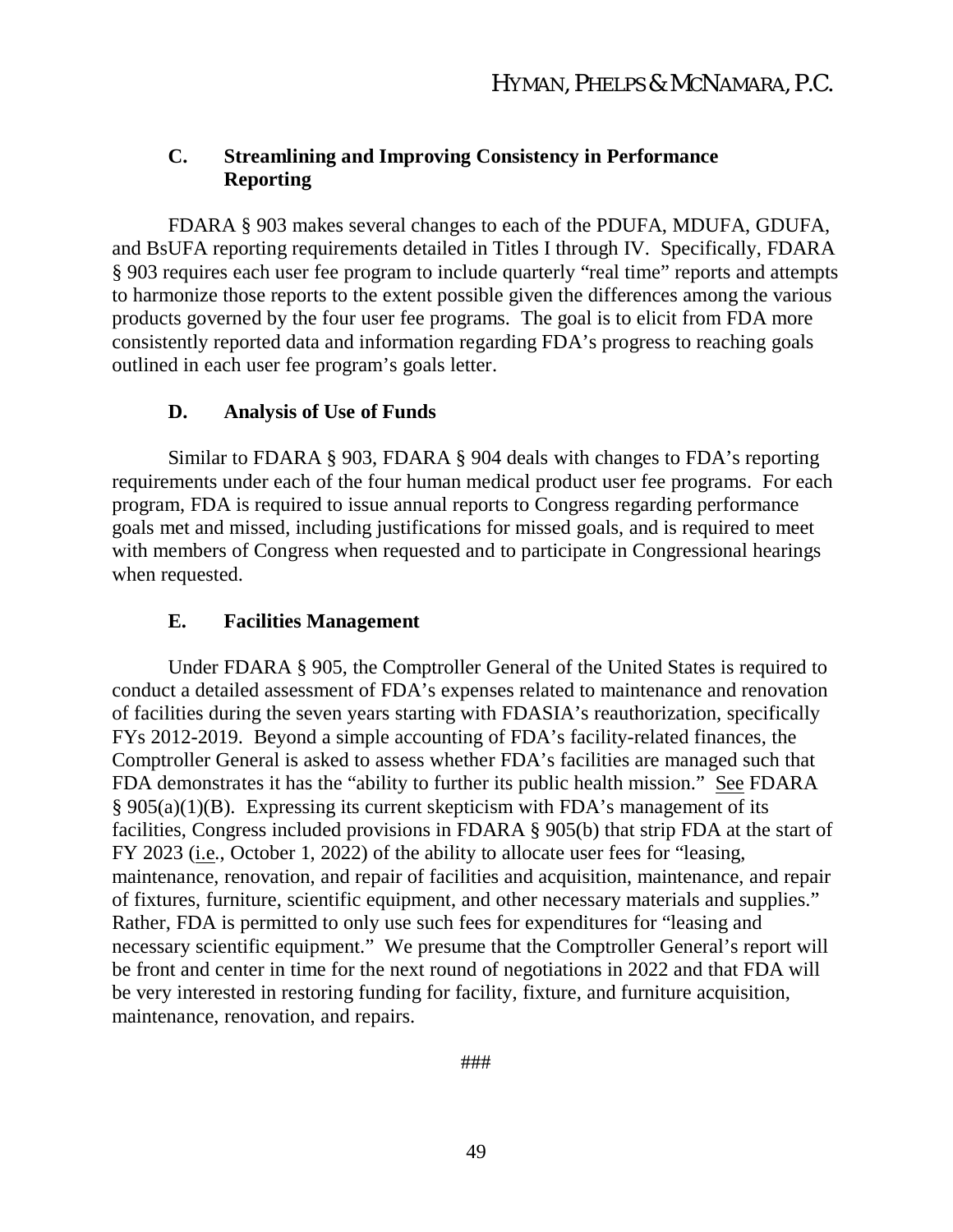# **C. Streamlining and Improving Consistency in Performance Reporting**

FDARA § 903 makes several changes to each of the PDUFA, MDUFA, GDUFA, and BsUFA reporting requirements detailed in Titles I through IV. Specifically, FDARA § 903 requires each user fee program to include quarterly "real time" reports and attempts to harmonize those reports to the extent possible given the differences among the various products governed by the four user fee programs. The goal is to elicit from FDA more consistently reported data and information regarding FDA's progress to reaching goals outlined in each user fee program's goals letter.

### **D. Analysis of Use of Funds**

Similar to FDARA § 903, FDARA § 904 deals with changes to FDA's reporting requirements under each of the four human medical product user fee programs. For each program, FDA is required to issue annual reports to Congress regarding performance goals met and missed, including justifications for missed goals, and is required to meet with members of Congress when requested and to participate in Congressional hearings when requested.

### **E. Facilities Management**

Under FDARA § 905, the Comptroller General of the United States is required to conduct a detailed assessment of FDA's expenses related to maintenance and renovation of facilities during the seven years starting with FDASIA's reauthorization, specifically FYs 2012-2019. Beyond a simple accounting of FDA's facility-related finances, the Comptroller General is asked to assess whether FDA's facilities are managed such that FDA demonstrates it has the "ability to further its public health mission." See FDARA § 905(a)(1)(B). Expressing its current skepticism with FDA's management of its facilities, Congress included provisions in FDARA § 905(b) that strip FDA at the start of FY 2023 (i.e*.*, October 1, 2022) of the ability to allocate user fees for "leasing, maintenance, renovation, and repair of facilities and acquisition, maintenance, and repair of fixtures, furniture, scientific equipment, and other necessary materials and supplies." Rather, FDA is permitted to only use such fees for expenditures for "leasing and necessary scientific equipment." We presume that the Comptroller General's report will be front and center in time for the next round of negotiations in 2022 and that FDA will be very interested in restoring funding for facility, fixture, and furniture acquisition, maintenance, renovation, and repairs.

###

49